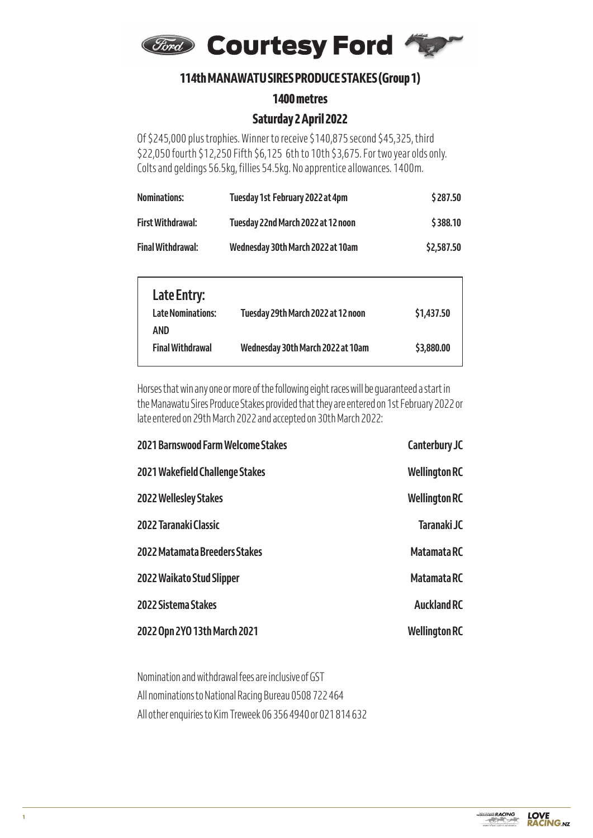

# **114th MANAWATU SIRES PRODUCE STAKES (Group 1) 114th MANAWATU SIRES PRODUCE STAKES (Group 1)**

**1400 metres 1400 metres**

# **Saturday 2 April 2022 Saturday 2 April 2022**

Of  $\sim$  245,000 plus trophics. Winner to receive  $\sim$  140,875 second  $\sim$  32,350 fourth  $\sim$ Of \$245,000 plus trophies. Winner to receive \$140,875 second \$45,325, third \$22,050 fourth \$12,250 Fifth \$6,125 6th to 10th \$3,675. For two year olds only. **Nominations: Tuesday 1st February 2022 at 4pm \$ 287.50 First Withdrawal: Tuesday 22nd March 2022 at 12 noon \$ 388.10** Colts and geldings 56.5kg, fillies 54.5kg. No apprentice allowances. 1400m.

| <b>Nominations:</b>      | Tuesday 1st February 2022 at 4pm   | \$287.50   |
|--------------------------|------------------------------------|------------|
| <b>First Withdrawal:</b> | Tuesday 22nd March 2022 at 12 noon | \$388.10   |
| <b>Final Withdrawal:</b> | Wednesday 30th March 2022 at 10am  | \$2,587.50 |

| Late Entry:                     |                                    |            |
|---------------------------------|------------------------------------|------------|
| <b>Late Nominations:</b><br>AND | Tuesday 29th March 2022 at 12 noon | \$1,437.50 |
| <b>Final Withdrawal</b>         | Wednesday 30th March 2022 at 10am  | \$3,880.00 |

Horses that win any one or more of the following eight races will be guaranteed a start in the Manawatu Sires Produce Stakes provided that they are entered on 1st February 2022 or late entered on 29th March 2022 and accepted on 30th March 2022:

| <b>2021 Barnswood Farm Welcome Stakes</b> | <b>Canterbury JC</b> |
|-------------------------------------------|----------------------|
| 2021 Wakefield Challenge Stakes           | <b>Wellington RC</b> |
| <b>2022 Wellesley Stakes</b>              | <b>Wellington RC</b> |
| 2022 Taranaki Classic                     | Taranaki JC          |
| 2022 Matamata Breeders Stakes             | Matamata RC          |
| 2022 Waikato Stud Slipper                 | <b>Matamata RC</b>   |
| 2022 Sistema Stakes                       | <b>Auckland RC</b>   |
| 2022 Opn 2YO 13th March 2021              | <b>Wellington RC</b> |

Nomination and withdrawal fees are inclusive of GST All nominations to National Racing Bureau 0508 722 464 All other enquiries to Kim Treweek 06 356 4940 or 021 814 632

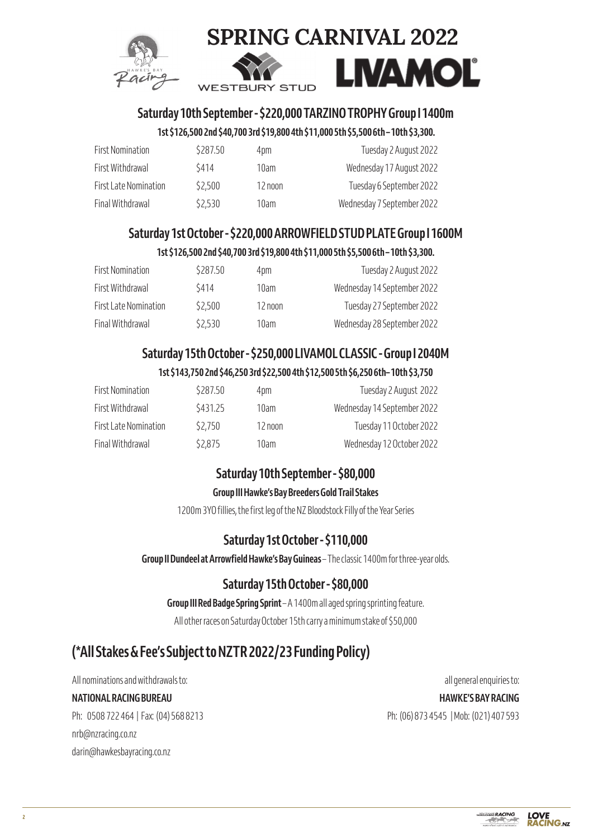



# **Saturday 10th September - \$220,000 TARZINO TROPHY Group I 1400m**

# **1st \$126,500 2nd \$40,700 3rd \$19,800 4th \$11,000 5th \$5,500 6th – 10th \$3,300.**

| <b>First Nomination</b> | \$287.50 | 4pm     | Tuesday 2 August 2022      |
|-------------------------|----------|---------|----------------------------|
| First Withdrawal        | \$414    | 10am    | Wednesday 17 August 2022   |
| First Late Nomination   | \$2,500  | 12 noon | Tuesday 6 September 2022   |
| Final Withdrawal        | \$2,530  | 10am    | Wednesday 7 September 2022 |

# **Saturday 1st October - \$220,000 ARROWFIELD STUD PLATE Group I 1600M**

# **1st \$126,500 2nd \$40,700 3rd \$19,800 4th \$11,000 5th \$5,500 6th – 10th \$3,300.**

| <b>First Nomination</b> | \$287.50 | 4pm     | Tuesday 2 August 2022       |
|-------------------------|----------|---------|-----------------------------|
| First Withdrawal        | \$414    | 10am    | Wednesday 14 September 2022 |
| First Late Nomination   | \$2,500  | 12 noon | Tuesday 27 September 2022   |
| Final Withdrawal        | \$2,530  | 10am    | Wednesday 28 September 2022 |

# **Saturday 15th October - \$250,000 LIVAMOL CLASSIC - Group I 2040M**

# **1st \$143,750 2nd \$46,250 3rd \$22,500 4th \$12,500 5th \$6,250 6th– 10th \$3,750**

| <b>First Nomination</b> | \$287.50 | 4pm     | Tuesday 2 August 2022       |
|-------------------------|----------|---------|-----------------------------|
| First Withdrawal        | \$431.25 | 10am    | Wednesday 14 September 2022 |
| First Late Nomination   | \$2,750  | 12 noon | Tuesday 11 October 2022     |
| Final Withdrawal        | \$2,875  | 10am    | Wednesday 12 October 2022   |

# **Saturday 10th September - \$80,000**

# **Group III Hawke's Bay Breeders Gold Trail Stakes**

1200m 3YO fillies, the first leg of the NZ Bloodstock Filly of the Year Series

# **Saturday 1st October - \$110,000**

**Group II Dundeel at Arrowfield Hawke's Bay Guineas** – The classic 1400m for three-year olds.

# **Saturday 15th October - \$80,000**

**Group III Red Badge Spring Sprint** – A 1400m all aged spring sprinting feature.

All other races on Saturday October 15th carry a minimum stake of \$50,000

# **(\*All Stakes & Fee's Subject to NZTR 2022/23 Funding Policy)**

Ph: 0508 722 464 | Fax: (04) 568 8213 Ph: (06) 873 4545 | Mob: (021) 407 593 nrb@nzracing.co.nz darin@hawkesbayracing.co.nz

All nominations and withdrawals to: all general enquiries to: all general enquiries to: **NATIONAL RACING BUREAU HAWKE'S BAY RACING**

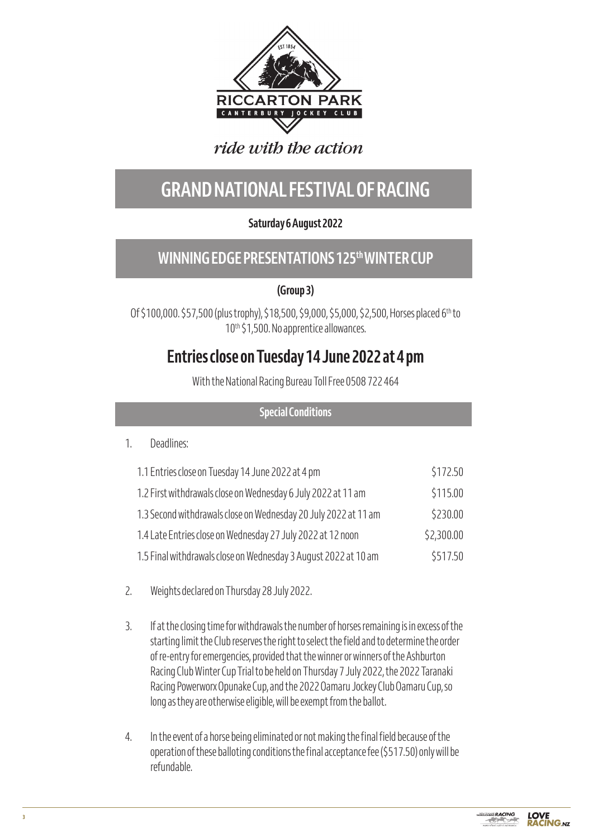

# ride with the action

# **GRAND NATIONAL FESTIVAL OF RACING**

# **Saturday 6 August 2022**

# **WINNING EDGE PRESENTATIONS 125th WINTER CUP**

**(Group 3)**

Of \$100,000. \$57,500 (plus trophy), \$18,500, \$9,000, \$5,000, \$2,500, Horses placed 6<sup>th</sup> to 10<sup>th</sup> \$1,500. No apprentice allowances.

# **Entries close on Tuesday 14 June 2022 at 4 pm**

With the National Racing Bureau Toll Free 0508 722 464

# **Special Conditions**

# 1. Deadlines:

| 1.1 Entries close on Tuesday 14 June 2022 at 4 pm               | \$172.50   |
|-----------------------------------------------------------------|------------|
| 1.2 First withdrawals close on Wednesday 6 July 2022 at 11 am   | \$115.00   |
| 1.3 Second withdrawals close on Wednesday 20 July 2022 at 11 am | \$230.00   |
| 1.4 Late Entries close on Wednesday 27 July 2022 at 12 noon     | \$2,300.00 |
| 1.5 Final withdrawals close on Wednesday 3 August 2022 at 10 am | \$517.50   |

- 2. Weights declared on Thursday 28 July 2022.
- 3. If at the closing time for withdrawals the number of horses remaining is in excess of the starting limit the Club reserves the right to select the field and to determine the order of re-entry for emergencies, provided that the winner or winners of the Ashburton Racing Club Winter Cup Trial to be held on Thursday 7 July 2022, the 2022 Taranaki Racing Powerworx Opunake Cup, and the 2022 Oamaru Jockey Club Oamaru Cup, so long as they are otherwise eligible, will be exempt from the ballot.
- 4. In the event of a horse being eliminated or not making the final field because of the operation of these balloting conditions the final acceptance fee (\$517.50) only will be refundable.

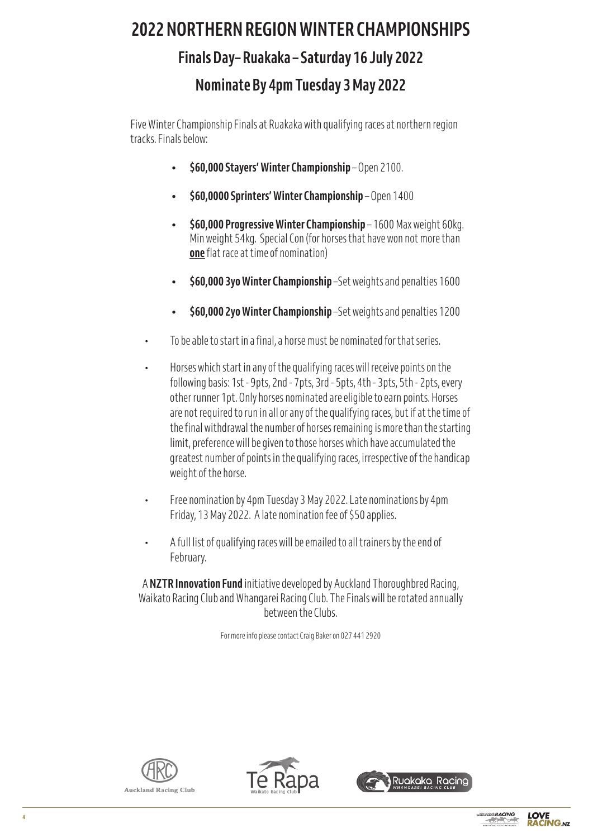# **2022 NORTHERN REGION WINTER CHAMPIONSHIPS Finals Day– Ruakaka – Saturday 16 July 2022 Nominate By 4pm Tuesday 3 May 2022**

Five Winter Championship Finals at Ruakaka with qualifying races at northern region tracks. Finals below:

- **• \$60,000 Stayers' Winter Championship** Open 2100.
- **• \$60,0000 Sprinters' Winter Championship** Open 1400
- **• \$60,000 Progressive Winter Championship** 1600 Max weight 60kg. Min weight 54kg. Special Con (for horses that have won not more than **one** flat race at time of nomination) **2022 NORTHERN REGION WINTER CHAMPIONSHIPS**
- **•** \$60,000 3yo Winter Championship -Set weights and penalties 1600
- **• \$60,000 2yo Winter Championship** –Set weights and penalties 1200
- To be able to start in a final, a horse must be nominated for that series. o **\$60,000 Stayers' Winter Championship** – Open 2100.
	- $\cdot$  Horses which start in any of the qualifying races will receive points on the following basis: 1st - 9pts, 2nd - 7pts, 3rd - 5pts, 4th - 3pts, 5th - 2pts, every other runner 1pt. Only horses nominated are eligible to earn points. Horses are not required to run in all or any of the qualifying races, but if at the time of the final withdrawal the number of horses remaining is more than the starting limit, preference will be given to those horses which have accumulated the greatest number of points in the qualifying races, irrespective of the handicap weight of the horse.  $\overline{a}$  that  $\overline{b}$  are eligible are eligible are eligible are eligible are eligible. to earn points. Horses are not required to run in all or any of the qualifying races, but if at the time of
	- Free nomination by 4pm Tuesday 3 May 2022. Late nominations by 4pm Friday, 13 May 2022. A late nomination fee of \$50 applies. Free nomination by 4pm Tuesday 3 May 2022. Late nominations by 4pm
	- A full list of qualifying races will be emailed to all trainers by the end of February. **Full list of the emailed to all trainers will be emailed to all trainers by the end of February.**

A **NZTR Innovation Fund** initiative developed by Auckland Thoroughbred Racing, Waikato Racing Club and Whangarei Racing Club. The Finals will be rotated annually between the Clubs.

For more info please contact Craig Baker on 027 441 2920







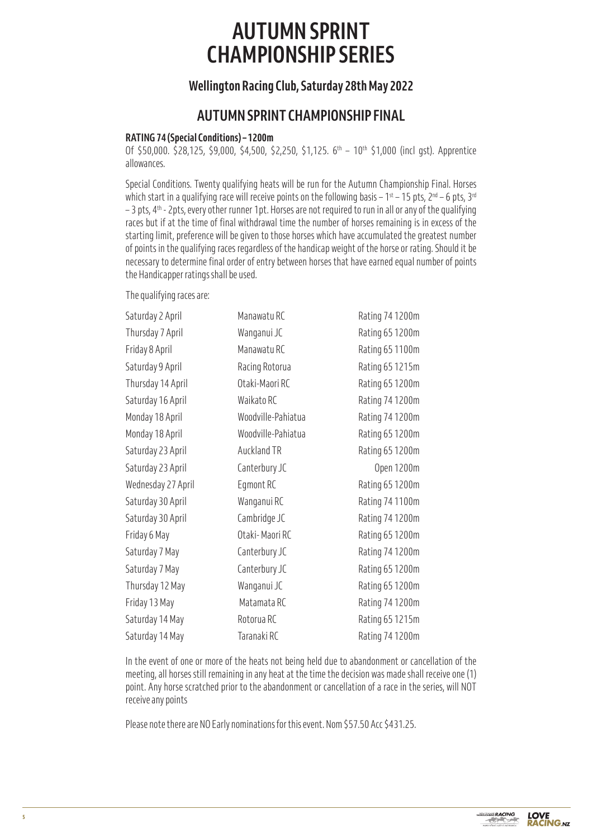# **AUTUMN SPRINT CHAMPIONSHIP SERIES**

# **Wellington Racing Club, Saturday 28th May 2022**

# **AUTUMN SPRINT CHAMPIONSHIP FINAL**

# **RATING 74 (Special Conditions) – 1200m**

Of \$50,000. \$28,125, \$9,000, \$4,500, \$2,250, \$1,125.  $6<sup>th</sup> - 10<sup>th</sup>$  \$1,000 (incl gst). Apprentice allowances.

Special Conditions. Twenty qualifying heats will be run for the Autumn Championship Final. Horses which start in a qualifying race will receive points on the following basis –  $1^{st}$  – 15 pts,  $2^{nd}$  – 6 pts,  $3^{rd}$  $-$  3 pts, 4<sup>th</sup> - 2pts, every other runner 1pt. Horses are not required to run in all or any of the qualifying races but if at the time of final withdrawal time the number of horses remaining is in excess of the starting limit, preference will be given to those horses which have accumulated the greatest number of points in the qualifying races regardless of the handicap weight of the horse or rating. Should it be necessary to determine final order of entry between horses that have earned equal number of points the Handicapper ratings shall be used.

The qualifying races are:

| Saturday 2 April   | Manawatu RC        | Rating 74 1200m |
|--------------------|--------------------|-----------------|
| Thursday 7 April   | Wanganui JC        | Rating 65 1200m |
| Friday 8 April     | Manawatu RC        | Rating 65 1100m |
| Saturday 9 April   | Racing Rotorua     | Rating 65 1215m |
| Thursday 14 April  | Otaki-Maori RC     | Rating 65 1200m |
| Saturday 16 April  | Waikato RC         | Rating 74 1200m |
| Monday 18 April    | Woodville-Pahiatua | Rating 74 1200m |
| Monday 18 April    | Woodville-Pahiatua | Rating 65 1200m |
| Saturday 23 April  | <b>Auckland TR</b> | Rating 65 1200m |
| Saturday 23 April  | Canterbury JC      | Open 1200m      |
| Wednesday 27 April | Egmont RC          | Rating 65 1200m |
| Saturday 30 April  | Wanganui RC        | Rating 74 1100m |
| Saturday 30 April  | Cambridge JC       | Rating 74 1200m |
| Friday 6 May       | Otaki-Maori RC     | Rating 65 1200m |
| Saturday 7 May     | Canterbury JC      | Rating 74 1200m |
| Saturday 7 May     | Canterbury JC      | Rating 65 1200m |
| Thursday 12 May    | Wanganui JC        | Rating 65 1200m |
| Friday 13 May      | Matamata RC        | Rating 74 1200m |
| Saturday 14 May    | Rotorua RC         | Rating 65 1215m |
| Saturday 14 May    | Taranaki RC        | Rating 74 1200m |

In the event of one or more of the heats not being held due to abandonment or cancellation of the meeting, all horses still remaining in any heat at the time the decision was made shall receive one (1) point. Any horse scratched prior to the abandonment or cancellation of a race in the series, will NOT receive any points

Please note there are NO Early nominations for this event. Nom \$57.50 Acc \$431.25.

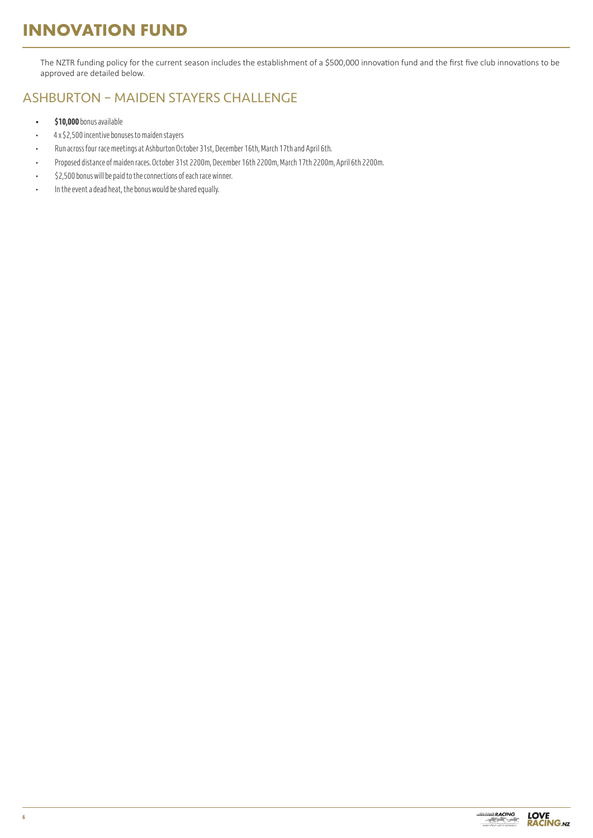# **INNOVATION FUND**

The NZTR funding policy for the current season includes the establishment of a \$500,000 innovation fund and the first five club innovations to be approved are detailed below.

# ASHBURTON – MAIDEN STAYERS CHALLENGE

- **\$10,000** bonus available
- 4 x \$2,500 incentive bonuses to maiden stayers
- Run across four race meetings at Ashburton October 31st, December 16th, March 17th and April 6th.
- Proposed distance of maiden races. October 31st 2200m, December 16th 2200m, March 17th 2200m, April 6th 2200m.
- \$2,500 bonus will be paid to the connections of each race winner.
- In the event a dead heat, the bonus would be shared equally.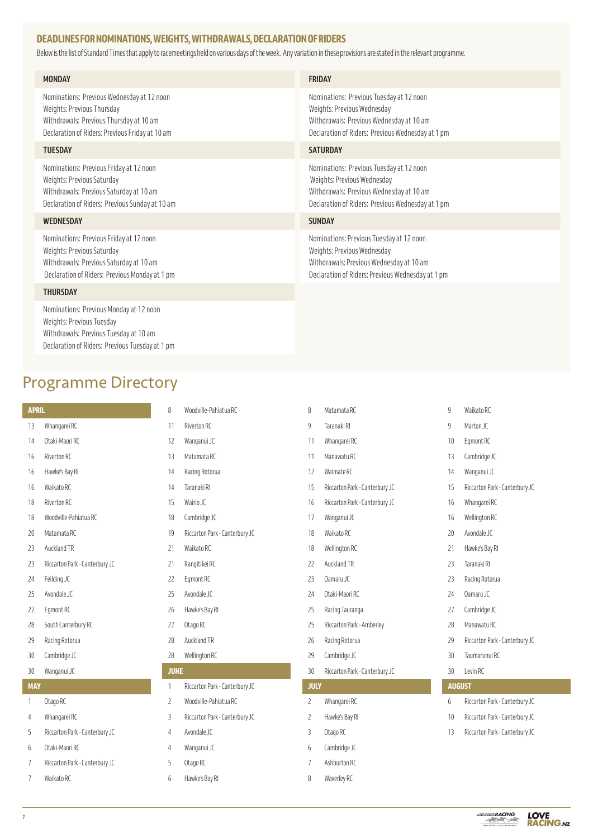# **DEADLINES FOR NOMINATIONS, WEIGHTS, WITHDRAWALS, DECLARATION OF RIDERS**

Below is the list of Standard Times that apply to racemeetings held on various days of the week. Any variation in these provisions are stated in the relevant programme.

| <b>MONDAY</b>                                   | <b>FRIDAY</b>                                     |
|-------------------------------------------------|---------------------------------------------------|
| Nominations: Previous Wednesday at 12 noon      | Nominations: Previous Tuesday at 12 noon          |
| Weights: Previous Thursday                      | Weights: Previous Wednesday                       |
| Withdrawals: Previous Thursday at 10 am         | Withdrawals: Previous Wednesday at 10 am          |
| Declaration of Riders: Previous Friday at 10 am | Declaration of Riders: Previous Wednesday at 1 pm |
| <b>TUESDAY</b>                                  | <b>SATURDAY</b>                                   |
| Nominations: Previous Friday at 12 noon         | Nominations: Previous Tuesday at 12 noon          |
| Weights: Previous Saturday                      | Weights: Previous Wednesday                       |
| Withdrawals: Previous Saturday at 10 am         | Withdrawals: Previous Wednesday at 10 am          |
| Declaration of Riders: Previous Sunday at 10 am | Declaration of Riders: Previous Wednesday at 1 pm |
| <b>WEDNESDAY</b>                                | <b>SUNDAY</b>                                     |
| Nominations: Previous Friday at 12 noon         | Nominations: Previous Tuesday at 12 noon          |
| Weights: Previous Saturday                      | Weights: Previous Wednesday                       |
| Withdrawals: Previous Saturday at 10 am         | Withdrawals: Previous Wednesday at 10 am          |
| Declaration of Riders: Previous Monday at 1 pm  | Declaration of Riders: Previous Wednesday at 1 pm |

# **THURSDAY**

Nominations: Previous Monday at 12 noon Weights: Previous Tuesday Withdrawals: Previous Tuesday at 10 am Declaration of Riders: Previous Tuesday at 1 pm

# Programme Directory

| <b>APRIL</b> |                                | 8           | Woodville-Pahiatua RC          |
|--------------|--------------------------------|-------------|--------------------------------|
| 13           | Whangarei RC                   | 11          | Riverton RC                    |
| 14           | Otaki-Maori RC                 | 12          | Wanganui JC                    |
| 16           | Riverton RC                    | 13          | Matamata RC                    |
| 16           | Hawke's Bay RI                 | 14          | Racing Rotorua                 |
| 16           | Waikato RC                     | 14          | Taranaki RI                    |
| 18           | Riverton RC                    | 15          | Wairio JC                      |
| 18           | Woodville-Pahiatua RC          | 18          | Cambridge JC                   |
| 20           | Matamata RC                    | 19          | Riccarton Park - Canterbury JC |
| 23           | Auckland TR                    | 21          | Waikato RC                     |
| 23           | Riccarton Park - Canterbury JC | 21          | Rangitikei RC                  |
| 24           | Feilding JC                    | 22          | Egmont RC                      |
| 25           | Avondale JC                    | 25          | Avondale JC                    |
| 27           | Egmont RC                      | 26          | Hawke's Bay RI                 |
| 28           | South Canterbury RC            | 27          | Otago RC                       |
| 29           | Racing Rotorua                 | 28          | Auckland TR                    |
| 30           | Cambridge JC                   | 28          | Wellington RC                  |
| 30           | Wanganui JC                    | <b>JUNE</b> |                                |
| <b>MAY</b>   |                                | 1           | Riccarton Park - Canterbury JC |
| 1            | Otago RC                       | 2           | Woodville-Pahiatua RC          |
| 4            | Whangarei RC                   | 3           | Riccarton Park - Canterbury JC |
| 5            | Riccarton Park - Canterbury JC | 4           | Avondale JC                    |
| 6            | Otaki-Maori RC                 | 4           | Wanganui JC                    |
| 7            | Riccarton Park - Canterbury JC | 5           | Otago RC                       |
| 7            | Waikato RC                     | 6           | Hawke's Bay RI                 |

| iC        | 8              | Matamata RC                    |
|-----------|----------------|--------------------------------|
|           | 9              | Taranaki RI                    |
|           | 11             | Whangarei RC                   |
|           | 11             | Manawatu RC                    |
|           | 12             | Waimate RC                     |
|           | 15             | Riccarton Park - Canterbury JC |
|           | 16             | Riccarton Park - Canterbury JC |
|           | 17             | Wanganui JC                    |
| erbury JC | 18             | Waikato RC                     |
|           | 18             | Wellington RC                  |
|           | 22             | Auckland TR                    |
|           | 23             | Oamaru JC                      |
|           | 24             | Otaki-Maori RC                 |
|           | 25             | Racing Tauranga                |
|           | 25             | Riccarton Park - Amberley      |
|           | 26             | Racing Rotorua                 |
|           | 29             | Cambridge JC                   |
|           | 30             | Riccarton Park - Canterbury JC |
| erbury JC | <b>JULY</b>    |                                |
| C)        | $\overline{c}$ | Whangarei RC                   |
| erbury JC | 2              | Hawke's Bay RI                 |
|           | 3              | Otago RC                       |
|           | 6              | Cambridge JC                   |
|           | 7              | Ashburton RC                   |
|           | 8              | Waverley RC                    |

|                     | 9               | Waikato RC                     |  |
|---------------------|-----------------|--------------------------------|--|
|                     | 9               | Marton JC                      |  |
|                     | 10              | Egmont RC                      |  |
|                     | 13              | Cambridge JC                   |  |
|                     | 14              | Wanganui JC                    |  |
| <b>Interbury JC</b> | 15              | Riccarton Park - Canterbury JC |  |
| <b>Interbury JC</b> | 16              | Whangarei RC                   |  |
|                     | 16              | Wellington RC                  |  |
|                     | 20 <sup>°</sup> | Avondale JC                    |  |
|                     | 21              | Hawke's Bay RI                 |  |
|                     | 23              | Taranaki RI                    |  |
|                     | 23              | Racing Rotorua                 |  |
|                     | 24              | Oamaru JC                      |  |
|                     | 27              | Cambridge JC                   |  |
| nberley             | 28              | Manawatu RC                    |  |
|                     | 29              | Riccarton Park - Canterbury JC |  |
|                     | 30              | Taumarunui RC                  |  |
| <b>Interbury JC</b> | 30              | I evin RC                      |  |
|                     |                 | <b>AUGUST</b>                  |  |
|                     | 6               | Riccarton Park - Canterbury JC |  |
|                     | 10              | Riccarton Park - Canterbury JC |  |
|                     | 13              | Riccarton Park - Canterbury JC |  |
|                     |                 |                                |  |
|                     |                 |                                |  |

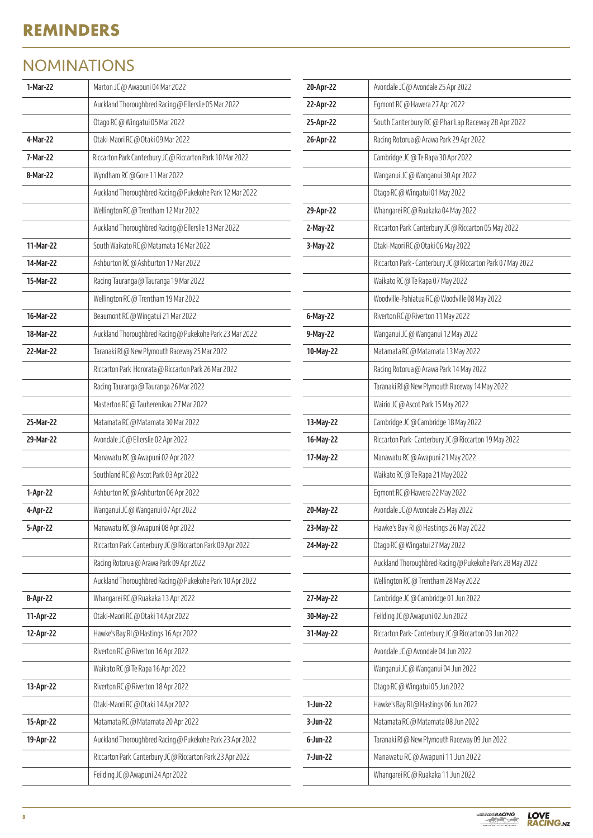# **REMINDERS**

# NOMINATIONS

| 1-Mar-22  | Marton JC @ Awapuni 04 Mar 2022                           | 20-Apr-22   | Avondale JC @ Avondale 25 Apr 2022                          |
|-----------|-----------------------------------------------------------|-------------|-------------------------------------------------------------|
|           | Auckland Thoroughbred Racing @ Ellerslie 05 Mar 2022      | 22-Apr-22   | Egmont RC @ Hawera 27 Apr 2022                              |
|           | Otago RC @ Wingatui 05 Mar 2022                           | 25-Apr-22   | South Canterbury RC @ Phar Lap Raceway 28 Apr 2022          |
| 4-Mar-22  | Otaki-Maori RC @ Otaki 09 Mar 2022                        | 26-Apr-22   | Racing Rotorua @ Arawa Park 29 Apr 2022                     |
| 7-Mar-22  | Riccarton Park Canterbury JC @ Riccarton Park 10 Mar 2022 |             | Cambridge JC @ Te Rapa 30 Apr 2022                          |
| 8-Mar-22  | Wyndham RC @ Gore 11 Mar 2022                             |             | Wanganui JC @ Wanganui 30 Apr 2022                          |
|           | Auckland Thoroughbred Racing @ Pukekohe Park 12 Mar 2022  |             | Otago RC @ Wingatui 01 May 2022                             |
|           | Wellington RC @ Trentham 12 Mar 2022                      | 29-Apr-22   | Whangarei RC@Ruakaka04 May 2022                             |
|           | Auckland Thoroughbred Racing @ Ellerslie 13 Mar 2022      | 2-May-22    | Riccarton Park Canterbury JC @ Riccarton 05 May 2022        |
| 11-Mar-22 | South Waikato RC @ Matamata 16 Mar 2022                   | 3-May-22    | Otaki-Maori RC @ Otaki 06 May 2022                          |
| 14-Mar-22 | Ashburton RC@ Ashburton 17 Mar 2022                       |             | Riccarton Park - Canterbury JC @ Riccarton Park 07 May 2022 |
| 15-Mar-22 | Racing Tauranga @ Tauranga 19 Mar 2022                    |             | Waikato RC @ Te Rapa 07 May 2022                            |
|           | Wellington RC @ Trentham 19 Mar 2022                      |             | Woodville-Pahiatua RC @ Woodville 08 May 2022               |
| 16-Mar-22 | Beaumont RC @ Wingatui 21 Mar 2022                        | 6-May-22    | Riverton RC @ Riverton 11 May 2022                          |
| 18-Mar-22 | Auckland Thoroughbred Racing @ Pukekohe Park 23 Mar 2022  | 9-May-22    | Wanganui JC @ Wanganui 12 May 2022                          |
| 22-Mar-22 | Taranaki RI @ New Plymouth Raceway 25 Mar 2022            | 10-May-22   | Matamata RC @ Matamata 13 May 2022                          |
|           | Riccarton Park Hororata @ Riccarton Park 26 Mar 2022      |             | Racing Rotorua @ Arawa Park 14 May 2022                     |
|           | Racing Tauranga @ Tauranga 26 Mar 2022                    |             | Taranaki RI @ New Plymouth Raceway 14 May 2022              |
|           | Masterton RC @ Tauherenikau 27 Mar 2022                   |             | Wairio JC @ Ascot Park 15 May 2022                          |
| 25-Mar-22 | Matamata RC @ Matamata 30 Mar 2022                        | 13-May-22   | Cambridge JC @ Cambridge 18 May 2022                        |
| 29-Mar-22 | Avondale JC @ Ellerslie 02 Apr 2022                       | 16-May-22   | Riccarton Park-Canterbury JC @ Riccarton 19 May 2022        |
|           | Manawatu RC @ Awapuni 02 Apr 2022                         | 17-May-22   | Manawatu RC @ Awapuni 21 May 2022                           |
|           | Southland RC @ Ascot Park 03 Apr 2022                     |             | Waikato RC @ Te Rapa 21 May 2022                            |
| 1-Apr-22  | Ashburton RC @ Ashburton 06 Apr 2022                      |             | Egmont RC @ Hawera 22 May 2022                              |
| 4-Apr-22  | Wanganui JC @ Wanganui 07 Apr 2022                        | 20-May-22   | Avondale JC @ Avondale 25 May 2022                          |
| 5-Apr-22  | Manawatu RC @ Awapuni 08 Apr 2022                         | 23-May-22   | Hawke's Bay RI @ Hastings 26 May 2022                       |
|           | Riccarton Park Canterbury JC @ Riccarton Park 09 Apr 2022 | 24-May-22   | Otago RC @ Wingatui 27 May 2022                             |
|           | Racing Rotorua @ Arawa Park 09 Apr 2022                   |             | Auckland Thoroughbred Racing @ Pukekohe Park 28 May 2022    |
|           | Auckland Thoroughbred Racing @ Pukekohe Park 10 Apr 2022  |             | Wellington RC @ Trentham 28 May 2022                        |
| 8-Apr-22  | Whangarei RC @ Ruakaka 13 Apr 2022                        | 27-May-22   | Cambridge JC @ Cambridge 01 Jun 2022                        |
| 11-Apr-22 | Otaki-Maori RC @ Otaki 14 Apr 2022                        | 30-May-22   | Feilding JC @ Awapuni 02 Jun 2022                           |
| 12-Apr-22 | Hawke's Bay RI @ Hastings 16 Apr 2022                     | 31-May-22   | Riccarton Park-Canterbury JC @ Riccarton 03 Jun 2022        |
|           | Riverton RC @ Riverton 16 Apr 2022                        |             | Avondale JC @ Avondale 04 Jun 2022                          |
|           | Waikato RC @ Te Rapa 16 Apr 2022                          |             | Wanganui JC @ Wanganui 04 Jun 2022                          |
| 13-Apr-22 | Riverton RC @ Riverton 18 Apr 2022                        |             | Otago RC @ Wingatui 05 Jun 2022                             |
|           | Otaki-Maori RC @ Otaki 14 Apr 2022                        | $1-Jun-22$  | Hawke's Bay RI @ Hastings 06 Jun 2022                       |
| 15-Apr-22 | Matamata RC @ Matamata 20 Apr 2022                        | 3-Jun-22    | Matamata RC @ Matamata 08 Jun 2022                          |
| 19-Apr-22 | Auckland Thoroughbred Racing @ Pukekohe Park 23 Apr 2022  | $6$ -Jun-22 | Taranaki RI @ New Plymouth Raceway 09 Jun 2022              |
|           | Riccarton Park Canterbury JC @ Riccarton Park 23 Apr 2022 | 7-Jun-22    | Manawatu RC @ Awapuni 11 Jun 2022                           |
|           | Feilding JC @ Awapuni 24 Apr 2022                         |             | Whangarei RC @ Ruakaka 11 Jun 2022                          |

**LOVE<br>RACING.**NZ

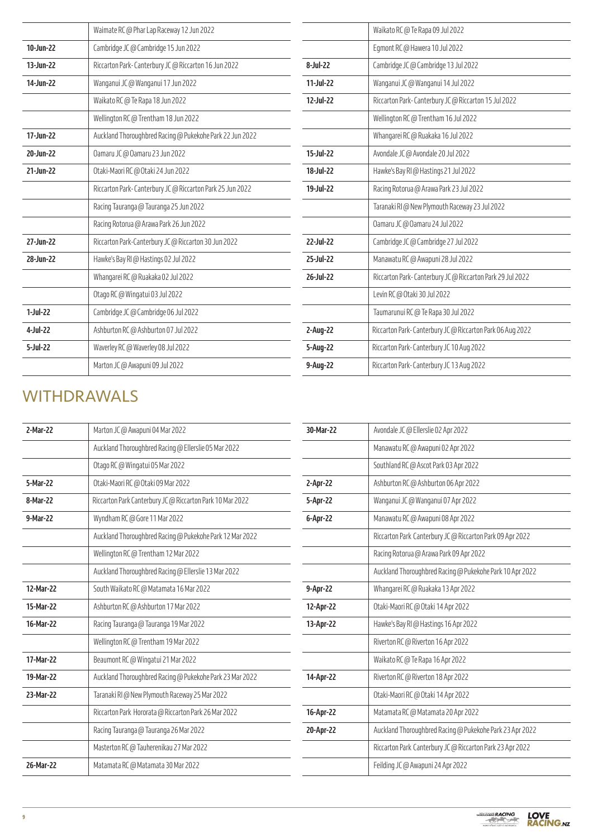|            | Waimate RC @ Phar Lap Raceway 12 Jun 2022                 |           | Waikato RC @ Te Rapa 09 Jul 2022                          |
|------------|-----------------------------------------------------------|-----------|-----------------------------------------------------------|
| 10-Jun-22  | Cambridge JC @ Cambridge 15 Jun 2022                      |           | Egmont RC @ Hawera 10 Jul 2022                            |
| 13-Jun-22  | Riccarton Park-Canterbury JC @ Riccarton 16 Jun 2022      | 8-Jul-22  | Cambridge JC @ Cambridge 13 Jul 2022                      |
| 14-Jun-22  | Wanganui JC @ Wanganui 17 Jun 2022                        | 11-Jul-22 | Wanganui JC @ Wanganui 14 Jul 2022                        |
|            | Waikato RC @ Te Rapa 18 Jun 2022                          | 12-Jul-22 | Riccarton Park-Canterbury JC @ Riccarton 15 Jul 2022      |
|            | Wellington RC @ Trentham 18 Jun 2022                      |           | Wellington RC @ Trentham 16 Jul 2022                      |
| 17-Jun-22  | Auckland Thoroughbred Racing @ Pukekohe Park 22 Jun 2022  |           | Whangarei RC @ Ruakaka 16 Jul 2022                        |
| 20-Jun-22  | Oamaru JC @ Oamaru 23 Jun 2022                            | 15-Jul-22 | Avondale JC @ Avondale 20 Jul 2022                        |
| 21-Jun-22  | Otaki-Maori RC @ Otaki 24 Jun 2022                        | 18-Jul-22 | Hawke's Bay RI @ Hastings 21 Jul 2022                     |
|            | Riccarton Park-Canterbury JC @ Riccarton Park 25 Jun 2022 | 19-Jul-22 | Racing Rotorua @ Arawa Park 23 Jul 2022                   |
|            | Racing Tauranga @ Tauranga 25 Jun 2022                    |           | Taranaki RI @ New Plymouth Raceway 23 Jul 2022            |
|            | Racing Rotorua @ Arawa Park 26 Jun 2022                   |           | Oamaru JC @ Oamaru 24 Jul 2022                            |
| 27-Jun-22  | Riccarton Park-Canterbury JC @ Riccarton 30 Jun 2022      | 22-Jul-22 | Cambridge JC @ Cambridge 27 Jul 2022                      |
| 28-Jun-22  | Hawke's Bay RI @ Hastings 02 Jul 2022                     | 25-Jul-22 | Manawatu RC @ Awapuni 28 Jul 2022                         |
|            | Whangarei RC @ Ruakaka 02 Jul 2022                        | 26-Jul-22 | Riccarton Park-Canterbury JC @ Riccarton Park 29 Jul 2022 |
|            | Otago RC @ Wingatui 03 Jul 2022                           |           | Levin RC @ Otaki 30 Jul 2022                              |
| $1-Jul-22$ | Cambridge JC @ Cambridge 06 Jul 2022                      |           | Taumarunui RC @ Te Rapa 30 Jul 2022                       |
| 4-Jul-22   | Ashburton RC @ Ashburton 07 Jul 2022                      | 2-Aug-22  | Riccarton Park-Canterbury JC @ Riccarton Park 06 Aug 2022 |
| 5-Jul-22   | Waverley RC @ Waverley 08 Jul 2022                        | 5-Aug-22  | Riccarton Park-Canterbury JC 10 Aug 2022                  |
|            | Marton JC @ Awapuni 09 Jul 2022                           | 9-Aug-22  | Riccarton Park-Canterbury JC 13 Aug 2022                  |

# WITHDRAWALS

| 2-Mar-22  | Marton JC @ Awapuni 04 Mar 2022                           |
|-----------|-----------------------------------------------------------|
|           | Auckland Thoroughbred Racing @ Ellerslie 05 Mar 2022      |
|           | Otago RC @ Wingatui 05 Mar 2022                           |
| 5-Mar-22  | Otaki-Maori RC @ Otaki 09 Mar 2022                        |
| 8-Mar-22  | Riccarton Park Canterbury JC @ Riccarton Park 10 Mar 2022 |
| 9-Mar-22  | Wyndham RC @ Gore 11 Mar 2022                             |
|           | Auckland Thoroughbred Racing @ Pukekohe Park 12 Mar 2022  |
|           | Wellington RC @ Trentham 12 Mar 2022                      |
|           | Auckland Thoroughbred Racing @ Ellerslie 13 Mar 2022      |
| 12-Mar-22 | South Waikato RC @ Matamata 16 Mar 2022                   |
| 15-Mar-22 | Ashburton RC @ Ashburton 17 Mar 2022                      |
| 16-Mar-22 | Racing Tauranga @ Tauranga 19 Mar 2022                    |
|           | Wellington RC @ Trentham 19 Mar 2022                      |
| 17-Mar-22 | Beaumont RC @ Wingatui 21 Mar 2022                        |
| 19-Mar-22 | Auckland Thoroughbred Racing @ Pukekohe Park 23 Mar 2022  |
| 23-Mar-22 | Taranaki RI @ New Plymouth Raceway 25 Mar 2022            |
|           | Riccarton Park Hororata @ Riccarton Park 26 Mar 2022      |
|           | Racing Tauranga @ Tauranga 26 Mar 2022                    |
|           | Masterton RC @ Tauherenikau 27 Mar 2022                   |
| 26-Mar-22 | Matamata RC @ Matamata 30 Mar 2022                        |
|           |                                                           |

| 30-Mar-22 | Avondale JC @ Ellerslie 02 Apr 2022                       |
|-----------|-----------------------------------------------------------|
|           | Manawatu RC @ Awapuni 02 Apr 2022                         |
|           | Southland RC @ Ascot Park 03 Apr 2022                     |
| 2-Apr-22  | Ashburton RC @ Ashburton 06 Apr 2022                      |
| 5-Apr-22  | Wanganui JC @ Wanganui 07 Apr 2022                        |
| 6-Apr-22  | Manawatu RC @ Awapuni 08 Apr 2022                         |
|           | Riccarton Park Canterbury JC @ Riccarton Park 09 Apr 2022 |
|           | Racing Rotorua @ Arawa Park 09 Apr 2022                   |
|           | Auckland Thoroughbred Racing @ Pukekohe Park 10 Apr 2022  |
| 9-Apr-22  | Whangarei RC @ Ruakaka 13 Apr 2022                        |
| 12-Apr-22 | Otaki-Maori RC @ Otaki 14 Apr 2022                        |
| 13-Apr-22 | Hawke's Bay RI @ Hastings 16 Apr 2022                     |
|           | Riverton RC @ Riverton 16 Apr 2022                        |
|           | Waikato RC @ Te Rapa 16 Apr 2022                          |
| 14-Apr-22 | Riverton RC @ Riverton 18 Apr 2022                        |
|           | Otaki-Maori RC @ Otaki 14 Apr 2022                        |
| 16-Apr-22 | Matamata RC @ Matamata 20 Apr 2022                        |
| 20-Apr-22 | Auckland Thoroughbred Racing @ Pukekohe Park 23 Apr 2022  |
|           | Riccarton Park Canterbury JC @ Riccarton Park 23 Apr 2022 |
|           | Feilding JC @ Awapuni 24 Apr 2022                         |
|           |                                                           |

**LOVE**<br>RACING.NZ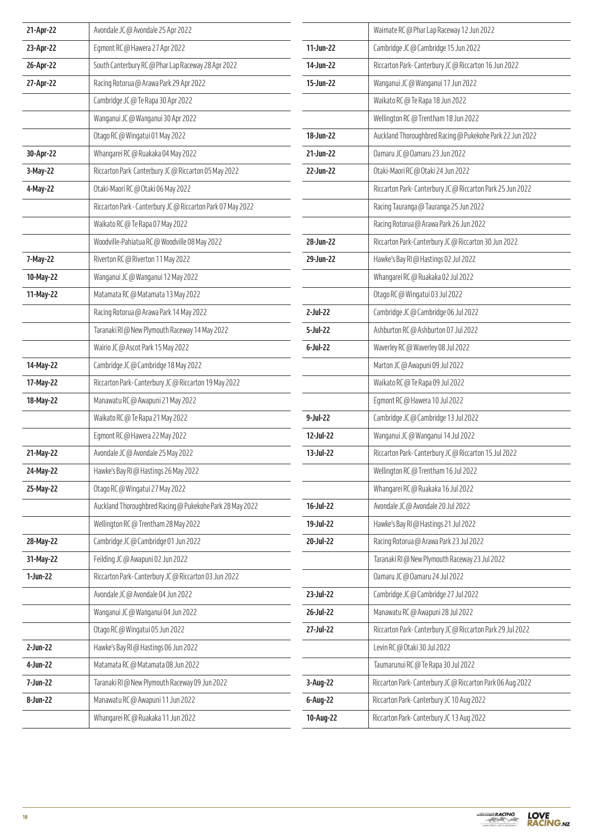| 21-Apr-22  | Avondale JC @ Avondale 25 Apr 2022                          |             | Waimate RC @ Phar Lap Raceway 12 Jun 2022                 |
|------------|-------------------------------------------------------------|-------------|-----------------------------------------------------------|
| 23-Apr-22  | Egmont RC@ Hawera 27 Apr 2022                               | 11-Jun-22   | Cambridge JC @ Cambridge 15 Jun 2022                      |
| 26-Apr-22  | South Canterbury RC @ Phar Lap Raceway 28 Apr 2022          | 14-Jun-22   | Riccarton Park-Canterbury JC @ Riccarton 16 Jun 2022      |
| 27-Apr-22  | Racing Rotorua @ Arawa Park 29 Apr 2022                     | 15-Jun-22   | Wanganui JC @ Wanganui 17 Jun 2022                        |
|            | Cambridge JC @ Te Rapa 30 Apr 2022                          |             | Waikato RC @ Te Rapa 18 Jun 2022                          |
|            | Wanganui JC @ Wanganui 30 Apr 2022                          |             | Wellington RC @ Trentham 18 Jun 2022                      |
|            | Otago RC @ Wingatui 01 May 2022                             | 18-Jun-22   | Auckland Thoroughbred Racing @ Pukekohe Park 22 Jun 2022  |
| 30-Apr-22  | Whangarei RC @ Ruakaka 04 May 2022                          | 21-Jun-22   | Oamaru JC @ Oamaru 23 Jun 2022                            |
| 3-May-22   | Riccarton Park Canterbury JC @ Riccarton 05 May 2022        | 22-Jun-22   | Otaki-Maori RC @ Otaki 24 Jun 2022                        |
| 4-May-22   | Otaki-Maori RC @ Otaki 06 May 2022                          |             | Riccarton Park-Canterbury JC @ Riccarton Park 25 Jun 2022 |
|            | Riccarton Park - Canterbury JC @ Riccarton Park 07 May 2022 |             | Racing Tauranga @ Tauranga 25 Jun 2022                    |
|            | Waikato RC @ Te Rapa 07 May 2022                            |             | Racing Rotorua @ Arawa Park 26 Jun 2022                   |
|            | Woodville-Pahiatua RC @ Woodville 08 May 2022               | 28-Jun-22   | Riccarton Park-Canterbury JC @ Riccarton 30 Jun 2022      |
| 7-May-22   | Riverton RC @ Riverton 11 May 2022                          | 29-Jun-22   | Hawke's Bay RI @ Hastings 02 Jul 2022                     |
| 10-May-22  | Wanganui JC @ Wanganui 12 May 2022                          |             | Whangarei RC @ Ruakaka 02 Jul 2022                        |
| 11-May-22  | Matamata RC @ Matamata 13 May 2022                          |             | Otago RC @ Wingatui 03 Jul 2022                           |
|            | Racing Rotorua @ Arawa Park 14 May 2022                     | 2-Jul-22    | Cambridge JC @ Cambridge 06 Jul 2022                      |
|            | Taranaki RI @ New Plymouth Raceway 14 May 2022              | 5-Jul-22    | Ashburton RC @ Ashburton 07 Jul 2022                      |
|            | Wairio JC @ Ascot Park 15 May 2022                          | $6$ -Jul-22 | Waverley RC @ Waverley 08 Jul 2022                        |
| 14-May-22  | Cambridge JC @ Cambridge 18 May 2022                        |             | Marton JC @ Awapuni 09 Jul 2022                           |
| 17-May-22  | Riccarton Park-Canterbury JC @ Riccarton 19 May 2022        |             | Waikato RC @ Te Rapa 09 Jul 2022                          |
| 18-May-22  | Manawatu RC @ Awapuni 21 May 2022                           |             | Egmont RC @ Hawera 10 Jul 2022                            |
|            | Waikato RC @ Te Rapa 21 May 2022                            | 9-Jul-22    | Cambridge JC @ Cambridge 13 Jul 2022                      |
|            | Egmont RC@ Hawera 22 May 2022                               | 12-Jul-22   | Wanganui JC @ Wanganui 14 Jul 2022                        |
| 21-May-22  | Avondale JC @ Avondale 25 May 2022                          | 13-Jul-22   | Riccarton Park-Canterbury JC @ Riccarton 15 Jul 2022      |
| 24-May-22  | Hawke's Bay RI @ Hastings 26 May 2022                       |             | Wellington RC @ Trentham 16 Jul 2022                      |
| 25-May-22  | Otago RC @ Wingatui 27 May 2022                             |             | Whangarei RC @ Ruakaka 16 Jul 2022                        |
|            | Auckland Thoroughbred Racing @ Pukekohe Park 28 May 2022    | 16-Jul-22   | Avondale JC @ Avondale 20 Jul 2022                        |
|            | Wellington RC @ Trentham 28 May 2022                        | 19-Jul-22   | Hawke's Bay RI @ Hastings 21 Jul 2022                     |
| 28-May-22  | Cambridge JC @ Cambridge 01 Jun 2022                        | 20-Jul-22   | Racing Rotorua @ Arawa Park 23 Jul 2022                   |
| 31-May-22  | Feilding JC @ Awapuni 02 Jun 2022                           |             | Taranaki RI @ New Plymouth Raceway 23 Jul 2022            |
| $1-Jun-22$ | Riccarton Park-Canterbury JC @ Riccarton 03 Jun 2022        |             | Oamaru JC @ Oamaru 24 Jul 2022                            |
|            | Avondale JC @ Avondale 04 Jun 2022                          | 23-Jul-22   | Cambridge JC @ Cambridge 27 Jul 2022                      |
|            | Wanganui JC @ Wanganui 04 Jun 2022                          | 26-Jul-22   | Manawatu RC @ Awapuni 28 Jul 2022                         |
|            | Otago RC @ Wingatui 05 Jun 2022                             | 27-Jul-22   | Riccarton Park-Canterbury JC @ Riccarton Park 29 Jul 2022 |
| 2-Jun-22   | Hawke's Bay RI @ Hastings 06 Jun 2022                       |             | Levin RC @ Otaki 30 Jul 2022                              |
| 4-Jun-22   | Matamata RC @ Matamata 08 Jun 2022                          |             | Taumarunui RC @ Te Rapa 30 Jul 2022                       |
| 7-Jun-22   | Taranaki RI @ New Plymouth Raceway 09 Jun 2022              | 3-Aug-22    | Riccarton Park-Canterbury JC @ Riccarton Park 06 Aug 2022 |
| 8-Jun-22   | Manawatu RC @ Awapuni 11 Jun 2022                           | 6-Aug-22    | Riccarton Park-Canterbury JC 10 Aug 2022                  |
|            | Whangarei RC @ Ruakaka 11 Jun 2022                          | 10-Aug-22   | Riccarton Park-Canterbury JC 13 Aug 2022                  |

**LOVE<br>RACING.**nz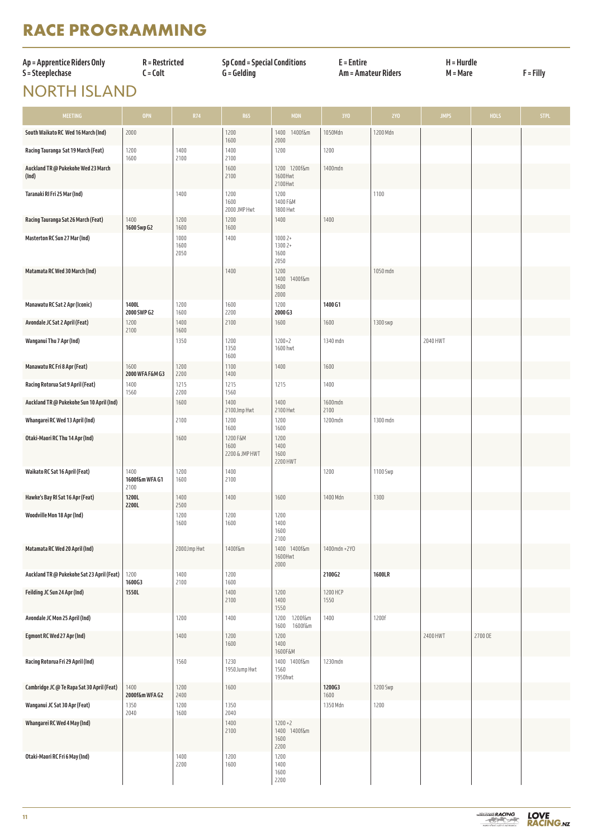# **RACE PROGRAMMING**

| Ap = Apprentice Riders Only | R = Restricted | <b>Sp Cond = Special Conditions</b> | $E =$ Entire        | $H = Hurdle$ | F = Filly |
|-----------------------------|----------------|-------------------------------------|---------------------|--------------|-----------|
| S = Steeplechase            | : = Colt       | G = Gelding                         | Am = Amateur Riders | M = Mare     |           |
|                             |                |                                     |                     |              |           |

# NORTH ISLAND

| <b>MEETING</b>                               | <b>OPN</b>                     | <b>R74</b>           | <b>R65</b>                         | <b>MDN</b>                                 | 3YO              | 2Y0      | <b>JMPS</b> | <b>HDLS</b> | <b>STPL</b> |
|----------------------------------------------|--------------------------------|----------------------|------------------------------------|--------------------------------------------|------------------|----------|-------------|-------------|-------------|
| South Waikato RC Wed 16 March (Ind)          | 2000                           |                      | 1200<br>1600                       | 1400<br>1400f&m<br>2000                    | 1050Mdn          | 1200 Mdn |             |             |             |
| Racing Tauranga Sat 19 March (Feat)          | 1200<br>1600                   | 1400<br>2100         | 1400<br>2100                       | 1200                                       | 1200             |          |             |             |             |
| Auckland TR @ Pukekohe Wed 23 March<br>(Ind) |                                |                      | 1600<br>2100                       | 1200 1200f&m<br>1600Hwt<br>2100Hwt         | 1400mdn          |          |             |             |             |
| Taranaki RI Fri 25 Mar (Ind)                 |                                | 1400                 | 1200<br>1600<br>2000 JMP Hwt       | 1200<br>1400 F&M<br>1800 Hwt               |                  | 1100     |             |             |             |
| Racing Tauranga Sat 26 March (Feat)          | 1400<br>1600 Swp G2            | 1200<br>1600         | 1200<br>1600                       | 1400                                       | 1400             |          |             |             |             |
| Masterton RC Sun 27 Mar (Ind)                |                                | 1000<br>1600<br>2050 | 1400                               | $10002+$<br>1300 2+<br>1600<br>2050        |                  |          |             |             |             |
| Matamata RC Wed 30 March (Ind)               |                                |                      | 1400                               | 1200<br>1400<br>1400f&m<br>1600<br>2000    |                  | 1050 mdn |             |             |             |
| Manawatu RC Sat 2 Apr (Iconic)               | 1400L<br>2000 SWP G2           | 1200<br>1600         | 1600<br>2200                       | 1200<br>2000 G3                            | 1400 G1          |          |             |             |             |
| Avondale JC Sat 2 April (Feat)               | 1200<br>2100                   | 1400<br>1600         | 2100                               | 1600                                       | 1600             | 1300 swp |             |             |             |
| Wanganui Thu 7 Apr (Ind)                     |                                | 1350                 | 1200<br>1350<br>1600               | $1200 + 2$<br>1600 hwt                     | 1340 mdn         |          | 2040 HWT    |             |             |
| Manawatu RC Fri 8 Apr (Feat)                 | 1600<br>2000 WFA F&M G3        | 1200<br>2200         | 1100<br>1400                       | 1400                                       | 1600             |          |             |             |             |
| Racing Rotorua Sat 9 April (Feat)            | 1400<br>1560                   | 1215<br>2200         | 1215<br>1560                       | 1215                                       | 1400             |          |             |             |             |
| Auckland TR @ Pukekohe Sun 10 April (Ind)    |                                | 1600                 | 1400<br>2100Jmp Hwt                | 1400<br>2100 Hwt                           | 1600mdn<br>2100  |          |             |             |             |
| Whangarei RC Wed 13 April (Ind)              |                                | 2100                 | 1200<br>1600                       | 1200<br>1600                               | 1200mdn          | 1300 mdn |             |             |             |
| Otaki-Maori RC Thu 14 Apr (Ind)              |                                | 1600                 | 1200 F&M<br>1600<br>2200 & JMP HWT | 1200<br>1400<br>1600<br>2200 HWT           |                  |          |             |             |             |
| Waikato RC Sat 16 April (Feat)               | 1400<br>1600f&m WFA G1<br>2100 | 1200<br>1600         | 1400<br>2100                       |                                            | 1200             | 1100 Swp |             |             |             |
| Hawke's Bay RI Sat 16 Apr (Feat)             | 1200L<br>2200L                 | 1400<br>2500         | 1400                               | 1600                                       | 1400 Mdn         | 1300     |             |             |             |
| Woodville Mon 18 Apr (Ind)                   |                                | 1200<br>1600         | 1200<br>1600                       | 1200<br>1400<br>1600<br>2100               |                  |          |             |             |             |
| Matamata RC Wed 20 April (Ind)               |                                | 2000Jmp Hwt          | 1400f&m                            | 1400 1400f&m<br>1600Hwt<br>2000            | 1400mdn + 2YO    |          |             |             |             |
| Auckland TR @ Pukekohe Sat 23 April (Feat)   | 1200<br>1600G3                 | 1400<br>2100         | 1200<br>1600                       |                                            | 2100G2           | 1600LR   |             |             |             |
| Feilding JC Sun 24 Apr (Ind)                 | 1550L                          |                      | 1400<br>2100                       | 1200<br>1400<br>1550                       | 1200 HCP<br>1550 |          |             |             |             |
| Avondale JC Mon 25 April (Ind)               |                                | 1200                 | 1400                               | 1200<br>1200f&m<br>1600<br>1600f&m         | 1400             | 1200f    |             |             |             |
| Egmont RC Wed 27 Apr (Ind)                   |                                | 1400                 | 1200<br>1600                       | 1200<br>1400<br>1600F&M                    |                  |          | 2400 HWT    | 2700 OE     |             |
| Racing Rotorua Fri 29 April (Ind)            |                                | 1560                 | 1230<br>1950Jump Hwt               | 1400 1400f&m<br>1560<br>1950hwt            | 1230mdn          |          |             |             |             |
| Cambridge JC @ Te Rapa Sat 30 April (Feat)   | 1400<br>2000f&m WFA G2         | 1200<br>2400         | 1600                               |                                            | 1200G3<br>1600   | 1200 Swp |             |             |             |
| Wanganui JC Sat 30 Apr (Feat)                | 1350<br>2040                   | 1200<br>1600         | 1350<br>2040                       |                                            | 1350 Mdn         | 1200     |             |             |             |
| Whangarei RC Wed 4 May (Ind)                 |                                |                      | 1400<br>2100                       | $1200 + 2$<br>1400 1400f&m<br>1600<br>2200 |                  |          |             |             |             |
| Otaki-Maori RC Fri 6 May (Ind)               |                                | 1400<br>2200         | 1200<br>1600                       | 1200<br>1400<br>1600<br>2200               |                  |          |             |             |             |

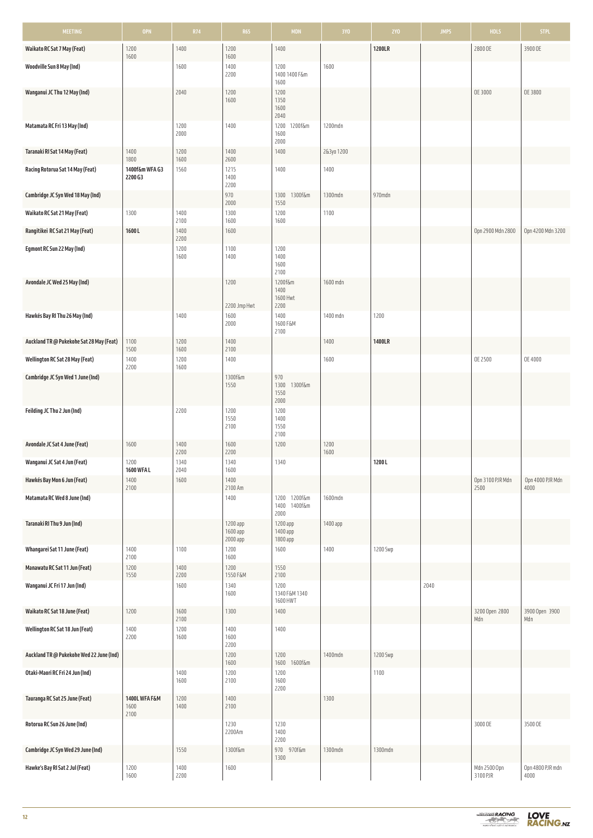| MEETING                                  | <b>OPN</b>                    | <b>R74</b>   | <b>R65</b>                       | <b>MDN</b>                              | 3YO          | <b>2YO</b>    | <b>JMPS</b> | <b>HDLS</b>              | <b>STPL</b>              |
|------------------------------------------|-------------------------------|--------------|----------------------------------|-----------------------------------------|--------------|---------------|-------------|--------------------------|--------------------------|
| Waikato RC Sat 7 May (Feat)              | 1200<br>1600                  | 1400         | 1200<br>1600                     | 1400                                    |              | 1200LR        |             | 2800 OE                  | 3900 OE                  |
| Woodville Sun 8 May (Ind)                |                               | 1600         | 1400<br>2200                     | 1200<br>1400 1400 F&m<br>1600           | 1600         |               |             |                          |                          |
| Wanganui JC Thu 12 May (Ind)             |                               | 2040         | 1200<br>1600                     | 1200<br>1350<br>1600<br>2040            |              |               |             | OE 3000                  | OE 3800                  |
| Matamata RC Fri 13 May (Ind)             |                               | 1200<br>2000 | 1400                             | 1200f&m<br>1200<br>1600<br>2000         | 1200mdn      |               |             |                          |                          |
| Taranaki RI Sat 14 May (Feat)            | 1400<br>1800                  | 1200<br>1600 | 1400<br>2600                     | 1400                                    | 2&3yo 1200   |               |             |                          |                          |
| Racing Rotorua Sat 14 May (Feat)         | 1400f&m WFA G3<br>2200 G3     | 1560         | 1215<br>1400<br>2200             | 1400                                    | 1400         |               |             |                          |                          |
| Cambridge JC Syn Wed 18 May (Ind)        |                               |              | 970<br>2000                      | 1300f&m<br>1300<br>1550                 | 1300mdn      | 970mdn        |             |                          |                          |
| Waikato RC Sat 21 May (Feat)             | 1300                          | 1400<br>2100 | 1300<br>1600                     | 1200<br>1600                            | 1100         |               |             |                          |                          |
| Rangitikei RC Sat 21 May (Feat)          | 1600L                         | 1400<br>2200 | 1600                             |                                         |              |               |             | Opn 2900 Mdn 2800        | Opn 4200 Mdn 3200        |
| Egmont RC Sun 22 May (Ind)               |                               | 1200<br>1600 | 1100<br>1400                     | 1200<br>1400<br>1600<br>2100            |              |               |             |                          |                          |
| Avondale JC Wed 25 May (Ind)             |                               |              | 1200<br>2200 Jmp Hwt             | 1200f&m<br>1400<br>1600 Hwt<br>2200     | 1600 mdn     |               |             |                          |                          |
| Hawkés Bay RI Thu 26 May (Ind)           |                               | 1400         | 1600<br>2000                     | 1400<br>1600 F&M<br>2100                | 1400 mdn     | 1200          |             |                          |                          |
| Auckland TR @ Pukekohe Sat 28 May (Feat) | 1100<br>1500                  | 1200<br>1600 | 1400<br>2100                     |                                         | 1400         | <b>1400LR</b> |             |                          |                          |
| Wellington RC Sat 28 May (Feat)          | 1400<br>2200                  | 1200<br>1600 | 1400                             |                                         | 1600         |               |             | OE 2500                  | OE 4000                  |
| Cambridge JC Syn Wed 1 June (Ind)        |                               |              | 1300f&m<br>1550                  | 970<br>1300f&m<br>1300<br>1550<br>2000  |              |               |             |                          |                          |
| Feilding JC Thu 2 Jun (Ind)              |                               | 2200         | 1200<br>1550<br>2100             | 1200<br>1400<br>1550<br>2100            |              |               |             |                          |                          |
| Avondale JC Sat 4 June (Feat)            | 1600                          | 1400<br>2200 | 1600<br>2200                     | 1200                                    | 1200<br>1600 |               |             |                          |                          |
| Wanganui JC Sat 4 Jun (Feat)             | 1200<br>1600 WFA L            | 1340<br>2040 | 1340<br>1600                     | 1340                                    |              | 1200L         |             |                          |                          |
| Hawkés Bay Mon 6 Jun (Feat)              | 1400<br>2100                  | 1600         | 1400<br>2100 Am                  |                                         |              |               |             | Opn 3100 PJR Mdn<br>2500 | Opn 4000 PJR Mdn<br>4000 |
| Matamata RC Wed 8 June (Ind)             |                               |              | 1400                             | 1200 1200f&m<br>1400f&m<br>1400<br>2000 | 1600mdn      |               |             |                          |                          |
| Taranaki RI Thu 9 Jun (Ind)              |                               |              | 1200 app<br>1600 app<br>2000 app | 1200 app<br>1400 app<br>1800 app        | 1400 app     |               |             |                          |                          |
| Whangarei Sat 11 June (Feat)             | 1400<br>2100                  | 1100         | 1200<br>1600                     | 1600                                    | 1400         | 1200 Swp      |             |                          |                          |
| Manawatu RC Sat 11 Jun (Feat)            | 1200<br>1550                  | 1400<br>2200 | 1200<br>1550 F&M                 | 1550<br>2100                            |              |               |             |                          |                          |
| Wanganui JC Fri 17 Jun (Ind)             |                               | 1600         | 1340<br>1600                     | 1200<br>1340 F&M 1340<br>1600 HWT       |              |               | 2040        |                          |                          |
| Waikato RC Sat 18 June (Feat)            | 1200                          | 1600<br>2100 | 1300                             | 1400                                    |              |               |             | 3200 Open 2800<br>Mdn    | 3900 Open 3900<br>Mdn    |
| Wellington RC Sat 18 Jun (Feat)          | 1400<br>2200                  | 1200<br>1600 | 1400<br>1600<br>2200             | 1400                                    |              |               |             |                          |                          |
| Auckland TR @ Pukekohe Wed 22 June (Ind) |                               |              | 1200<br>1600                     | 1200<br>1600 1600f&m                    | 1400mdn      | 1200 Swp      |             |                          |                          |
| Otaki-Maori RC Fri 24 Jun (Ind)          |                               | 1400<br>1600 | 1200<br>2100                     | 1200<br>1600<br>2200                    |              | 1100          |             |                          |                          |
| Tauranga RC Sat 25 June (Feat)           | 1400L WFA F&M<br>1600<br>2100 | 1200<br>1400 | 1400<br>2100                     |                                         | 1300         |               |             |                          |                          |
| Rotorua RC Sun 26 June (Ind)             |                               |              | 1230<br>2200Am                   | 1230<br>1400<br>2200                    |              |               |             | 3000 OE                  | 3500 OE                  |
| Cambridge JC Syn Wed 29 June (Ind)       |                               | 1550         | 1300f&m                          | 970 970f&m<br>1300                      | 1300mdn      | 1300mdn       |             |                          |                          |
| Hawke's Bay RI Sat 2 Jul (Feat)          | 1200<br>1600                  | 1400<br>2200 | 1600                             |                                         |              |               |             | Mdn 2500 Opn<br>3100 PJR | Opn 4800 PJR mdn<br>4000 |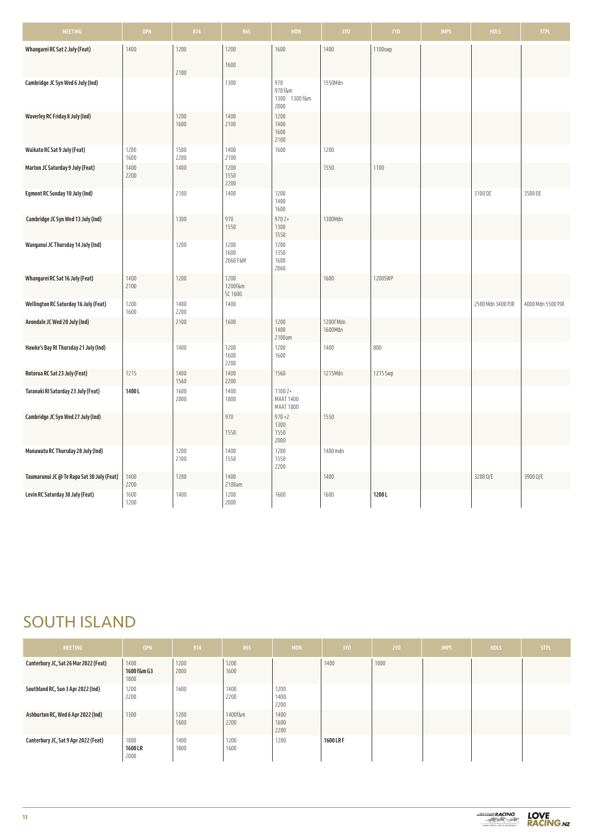| <b>MEETING</b>                             | <b>OPN</b>   | <b>R74</b>   | <b>R65</b>                 | <b>MDN</b>                                | 3YO                  | <b>2YO</b> | <b>JMPS</b> | <b>HDLS</b>       | STPL.             |
|--------------------------------------------|--------------|--------------|----------------------------|-------------------------------------------|----------------------|------------|-------------|-------------------|-------------------|
| Whangarei RC Sat 2 July (Feat)             | 1400         | 1200<br>2100 | 1200<br>1600               | 1600                                      | 1400                 | 1100swp    |             |                   |                   |
| Cambridge JC Syn Wed 6 July (Ind)          |              |              | 1300                       | 970<br>970 f&m<br>1300 1300 f&m<br>2000   | 1550Mdn              |            |             |                   |                   |
| Waverley RC Friday 8 July (Ind)            |              | 1200<br>1600 | 1400<br>2100               | 1200<br>1400<br>1600<br>2100              |                      |            |             |                   |                   |
| Waikato RC Sat 9 July (Feat)               | 1200<br>1600 | 1500<br>2200 | 1400<br>2100               | 1600                                      | 1200                 |            |             |                   |                   |
| Marton JC Saturday 9 July (Feat)           | 1400<br>2200 | 1400         | 1200<br>1550<br>2200       |                                           | 1550                 | 1100       |             |                   |                   |
| <b>Egmont RC Sunday 10 July (Ind)</b>      |              | 2100         | 1400                       | 1200<br>1400<br>1600                      |                      |            |             | 3100 OE           | 3500 OE           |
| Cambridge JC Syn Wed 13 July (Ind)         |              | 1300         | 970<br>1550                | $9702+$<br>1300<br>1550                   | 1300Mdn              |            |             |                   |                   |
| Wanganui JC Thursday 14 July (Ind)         |              | 1200         | 1200<br>1600<br>2060 F&M   | 1200<br>1350<br>1600<br>2060              |                      |            |             |                   |                   |
| Whangarei RC Sat 16 July (Feat)            | 1400<br>2100 | 1200         | 1200<br>1200f&m<br>SC 1600 |                                           | 1600                 | 1200SWP    |             |                   |                   |
| Wellington RC Saturday 16 July (Feat)      | 1200<br>1600 | 1400<br>2200 | 1400                       |                                           |                      |            |             | 2500 Mdn 3400 PJR | 4000 Mdn 5500 PJR |
| Avondale JC Wed 20 July (Ind)              |              | 2100         | 1600                       | 1200<br>1400<br>2100am                    | 1200f Mdn<br>1600Mdn |            |             |                   |                   |
| Hawke's Bay RI Thursday 21 July (Ind)      |              | 1400         | 1200<br>1600<br>2200       | 1200<br>1600                              | 1400                 | 800        |             |                   |                   |
| Rotorua RC Sat 23 July (Feat)              | 1215         | 1400<br>1560 | 1400<br>2200               | 1560                                      | 1215Mdn              | 1215 Swp   |             |                   |                   |
| Taranaki RI Saturday 23 July (Feat)        | 1400L        | 1600<br>2000 | 1400<br>1800               | $11002+$<br>MAAT 1400<br><b>MAAT 1800</b> |                      |            |             |                   |                   |
| Cambridge JC Syn Wed 27 July (Ind)         |              |              | 970<br>1550                | $970 + 2$<br>1300<br>1550<br>2000         | 1550                 |            |             |                   |                   |
| Manawatu RC Thursday 28 July (Ind)         |              | 1200<br>2100 | 1400<br>1550               | 1200<br>1550<br>2200                      | 1400 mdn             |            |             |                   |                   |
| Taumarunui JC @ Te Rapa Sat 30 July (Feat) | 1400<br>2200 | 1200         | 1400<br>2100am             |                                           | 1400                 |            |             | 32000/E           | 3900 O/E          |
| Levin RC Saturday 30 July (Feat)           | 1600<br>1200 | 1400         | 1200<br>2000               | 1600                                      | 1600                 | 1200L      |             |                   |                   |

# SOUTH ISLAND

| <b>MEETING</b>                        | <b>OPN</b>                    | R74          | R <sub>65</sub> | <b>MDN</b>           | 3Y <sub>0</sub> | <b>2YO</b> | <b>JMPS</b> | <b>HDLS</b> | <b>STPL</b> |
|---------------------------------------|-------------------------------|--------------|-----------------|----------------------|-----------------|------------|-------------|-------------|-------------|
| Canterbury JC, Sat 26 Mar 2022 (Feat) | 1400<br>1600 f&m G3<br>1800   | 1200<br>2000 | 1200<br>1600    |                      | 1400            | 1000       |             |             |             |
| Southland RC, Sun 3 Apr 2022 (Ind)    | 1200<br>2200                  | 1600         | 1400<br>2200    | 1200<br>1400<br>2200 |                 |            |             |             |             |
| Ashburton RC, Wed 6 Apr 2022 (Ind)    | 1300                          | 1200<br>1600 | 1400f&m<br>2200 | 1400<br>1600<br>2200 |                 |            |             |             |             |
| Canterbury JC, Sat 9 Apr 2022 (Feat)  | 1000<br><b>1600LR</b><br>2000 | 1400<br>1800 | 1200<br>1600    | 1200                 | <b>1600 LRF</b> |            |             |             |             |

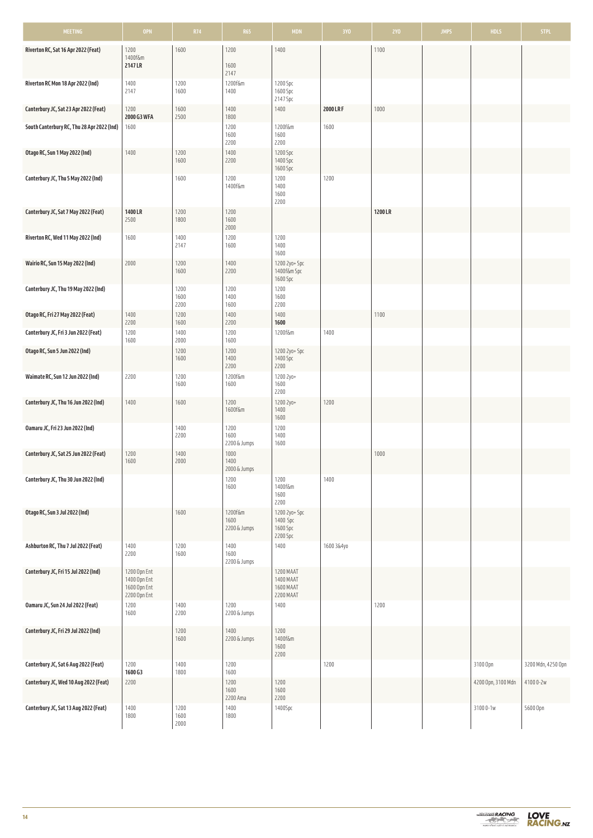| <b>MEETING</b>                             | <b>OPN</b>                                   | R74                  | <b>R65</b>                      | <b>MDN</b>                            | 3Y <sub>0</sub> | <b>2YO</b> | <b>JMPS</b> | <b>HDLS</b>        | <b>STPL</b>        |
|--------------------------------------------|----------------------------------------------|----------------------|---------------------------------|---------------------------------------|-----------------|------------|-------------|--------------------|--------------------|
| Riverton RC, Sat 16 Apr 2022 (Feat)        | 1200                                         | 1600                 | 1200                            | 1400                                  |                 | 1100       |             |                    |                    |
|                                            | 1400f&m<br>2147 LR                           |                      | 1600                            |                                       |                 |            |             |                    |                    |
| Riverton RC Mon 18 Apr 2022 (Ind)          | 1400                                         | 1200                 | 2147<br>1200f&m                 | 1200 Spc                              |                 |            |             |                    |                    |
|                                            | 2147                                         | 1600                 | 1400                            | 1600 Spc<br>2147 Spc                  |                 |            |             |                    |                    |
| Canterbury JC, Sat 23 Apr 2022 (Feat)      | 1200<br>2000 G3 WFA                          | 1600<br>2500         | 1400<br>1800                    | 1400                                  | 2000 LR F       | 1000       |             |                    |                    |
| South Canterbury RC, Thu 28 Apr 2022 (Ind) | 1600                                         |                      | 1200                            | 1200f&m                               | 1600            |            |             |                    |                    |
|                                            |                                              |                      | 1600<br>2200                    | 1600<br>2200                          |                 |            |             |                    |                    |
| Otago RC, Sun 1 May 2022 (Ind)             | 1400                                         | 1200<br>1600         | 1400<br>2200                    | 1200 Spc<br>1400 Spc                  |                 |            |             |                    |                    |
| Canterbury JC, Thu 5 May 2022 (Ind)        |                                              | 1600                 | 1200                            | 1600 Spc<br>1200                      | 1200            |            |             |                    |                    |
|                                            |                                              |                      | 1400f&m                         | 1400<br>1600                          |                 |            |             |                    |                    |
|                                            |                                              |                      |                                 | 2200                                  |                 |            |             |                    |                    |
| Canterbury JC, Sat 7 May 2022 (Feat)       | 1400 LR<br>2500                              | 1200<br>1800         | 1200<br>1600                    |                                       |                 | 1200 LR    |             |                    |                    |
| Riverton RC, Wed 11 May 2022 (Ind)         | 1600                                         | 1400                 | 2000<br>1200                    | 1200                                  |                 |            |             |                    |                    |
|                                            |                                              | 2147                 | 1600                            | 1400<br>1600                          |                 |            |             |                    |                    |
| Wairio RC, Sun 15 May 2022 (Ind)           | 2000                                         | 1200<br>1600         | 1400<br>2200                    | 1200 2yo+ Spc<br>1400f&m Spc          |                 |            |             |                    |                    |
| Canterbury JC, Thu 19 May 2022 (Ind)       |                                              | 1200                 | 1200                            | 1600 Spc<br>1200                      |                 |            |             |                    |                    |
|                                            |                                              | 1600<br>2200         | 1400<br>1600                    | 1600<br>2200                          |                 |            |             |                    |                    |
| Otago RC, Fri 27 May 2022 (Feat)           | 1400                                         | 1200                 | 1400                            | 1400                                  |                 | 1100       |             |                    |                    |
| Canterbury JC, Fri 3 Jun 2022 (Feat)       | 2200<br>1200                                 | 1600<br>1400         | 2200<br>1200                    | 1600<br>1200f&m                       | 1400            |            |             |                    |                    |
| Otago RC, Sun 5 Jun 2022 (Ind)             | 1600                                         | 2000<br>1200         | 1600<br>1200                    | 1200 2yo+ Spc                         |                 |            |             |                    |                    |
|                                            |                                              | 1600                 | 1400<br>2200                    | 1400 Spc<br>2200                      |                 |            |             |                    |                    |
| Waimate RC, Sun 12 Jun 2022 (Ind)          | 2200                                         | 1200<br>1600         | 1200f&m<br>1600                 | 1200 2yo+<br>1600                     |                 |            |             |                    |                    |
|                                            |                                              |                      |                                 | 2200                                  |                 |            |             |                    |                    |
| Canterbury JC, Thu 16 Jun 2022 (Ind)       | 1400                                         | 1600                 | 1200<br>1600f&m                 | 1200 2yo+<br>1400                     | 1200            |            |             |                    |                    |
| Oamaru JC, Fri 23 Jun 2022 (Ind)           |                                              | 1400                 | 1200                            | 1600<br>1200                          |                 |            |             |                    |                    |
|                                            |                                              | 2200                 | 1600<br>2200 & Jumps            | 1400<br>1600                          |                 |            |             |                    |                    |
| Canterbury JC, Sat 25 Jun 2022 (Feat)      | 1200<br>1600                                 | 1400<br>2000         | 1000<br>1400                    |                                       |                 | 1000       |             |                    |                    |
| Canterbury JC, Thu 30 Jun 2022 (Ind)       |                                              |                      | 2000 & Jumps<br>1200            | 1200                                  | 1400            |            |             |                    |                    |
|                                            |                                              |                      | 1600                            | 1400f&m<br>1600                       |                 |            |             |                    |                    |
|                                            |                                              |                      |                                 | 2200                                  |                 |            |             |                    |                    |
| Otago RC, Sun 3 Jul 2022 (Ind)             |                                              | 1600                 | 1200f&m<br>1600<br>2200 & Jumps | 1200 2yo+ Spc<br>1400 Spc<br>1600 Spc |                 |            |             |                    |                    |
|                                            |                                              |                      |                                 | 2200 Spc                              |                 |            |             |                    |                    |
| Ashburton RC, Thu 7 Jul 2022 (Feat)        | 1400<br>2200                                 | 1200<br>1600         | 1400<br>1600                    | 1400                                  | 1600 3&4yo      |            |             |                    |                    |
| Canterbury JC, Fri 15 Jul 2022 (Ind)       | 1200 Opn Ent                                 |                      | 2200 & Jumps                    | 1200 MAAT                             |                 |            |             |                    |                    |
|                                            | 1400 Opn Ent<br>1600 Opn Ent<br>2200 Opn Ent |                      |                                 | 1400 MAAT<br>1600 MAAT<br>2200 MAAT   |                 |            |             |                    |                    |
| Oamaru JC, Sun 24 Jul 2022 (Feat)          | 1200<br>1600                                 | 1400<br>2200         | 1200<br>2200 & Jumps            | 1400                                  |                 | 1200       |             |                    |                    |
| Canterbury JC, Fri 29 Jul 2022 (Ind)       |                                              | 1200<br>1600         | 1400<br>2200 & Jumps            | 1200<br>1400f&m                       |                 |            |             |                    |                    |
|                                            |                                              |                      |                                 | 1600<br>2200                          |                 |            |             |                    |                    |
| Canterbury JC, Sat 6 Aug 2022 (Feat)       | 1200                                         | 1400                 | 1200                            |                                       | 1200            |            |             | 3100 Opn           | 3200 Mdn, 4250 Opn |
| Canterbury JC, Wed 10 Aug 2022 (Feat)      | 1600 G3<br>2200                              | 1800                 | 1600<br>1200                    | 1200                                  |                 |            |             | 4200 Opn, 3100 Mdn | 41000-2w           |
|                                            |                                              |                      | 1600<br>2200 Ama                | 1600<br>2200                          |                 |            |             |                    |                    |
| Canterbury JC, Sat 13 Aug 2022 (Feat)      | 1400<br>1800                                 | 1200<br>1600<br>2000 | 1400<br>1800                    | 1400Spc                               |                 |            |             | 31000-1w           | 5600 Opn           |

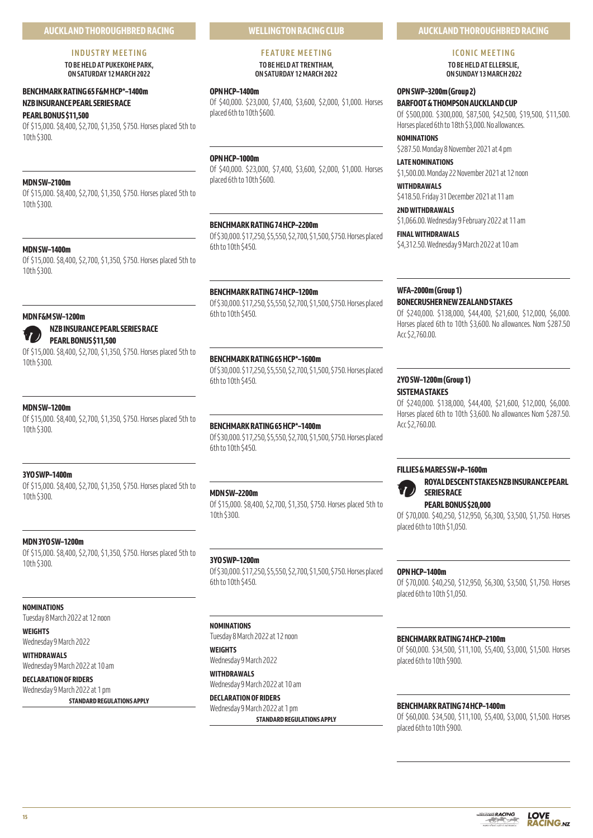# **INDUSTRY MEETING**

**TO BE HELD AT PUKEKOHE PARK, ON SATURDAY 12 MARCH 2022** 

# **BENCHMARK RATING 65 F&M HCP\*–1400m NZB INSURANCE PEARL SERIES RACE**

# **PEARL BONUS \$11,500**

Of \$15,000. \$8,400, \$2,700, \$1,350, \$750. Horses placed 5th to 10th \$300.

# **MDN SW–2100m**

Of \$15,000. \$8,400, \$2,700, \$1,350, \$750. Horses placed 5th to 10th \$300.

# **MDN SW–1400m**

Of \$15,000. \$8,400, \$2,700, \$1,350, \$750. Horses placed 5th to 10th \$300.

# **MDN F&M SW–1200m**

**NZB INSURANCE PEARL SERIES RACE**

# **PEARL BONUS \$11,500**

Of \$15,000. \$8,400, \$2,700, \$1,350, \$750. Horses placed 5th to 10th \$300.

# **MDN SW–1200m**

Of \$15,000. \$8,400, \$2,700, \$1,350, \$750. Horses placed 5th to 10th \$300.

# **3YO SWP–1400m**

Of \$15,000. \$8,400, \$2,700, \$1,350, \$750. Horses placed 5th to 10th \$300.

# **MDN 3YO SW–1200m**

Of \$15,000. \$8,400, \$2,700, \$1,350, \$750. Horses placed 5th to 10th \$300.

# **NOMINATIONS**

Tuesday 8 March 2022 at 12 noon

**WEIGHTS** Wednesday 9 March 2022

**WITHDRAWALS**

Wednesday 9 March 2022 at 10 am

# **DECLARATION OF RIDERS** Wednesday 9 March 2022 at 1 pm

**STANDARD REGULATIONS APPLY**

# **WELLINGTON RACING CLUB**

#### **FEATURE MEETING TO BE HELD AT TRENTHAM, ON SATURDAY 12 MARCH 2022**

#### **OPN HCP–1400m**

Of \$40,000. \$23,000, \$7,400, \$3,600, \$2,000, \$1,000. Horses placed 6th to 10th \$600.

# **OPN HCP–1000m**

Of \$40,000. \$23,000, \$7,400, \$3,600, \$2,000, \$1,000. Horses placed 6th to 10th \$600.

# **BENCHMARK RATING 74 HCP–2200m**

Of \$30,000. \$17,250, \$5,550, \$2,700, \$1,500, \$750. Horses placed 6th to 10th \$450.

# **BENCHMARK RATING 74 HCP–1200m**

Of \$30,000. \$17,250, \$5,550, \$2,700, \$1,500, \$750. Horses placed 6th to 10th \$450.

# **BENCHMARK RATING 65 HCP\*–1600m**

Of \$30,000. \$17,250, \$5,550, \$2,700, \$1,500, \$750. Horses placed 6th to 10th \$450.

# **BENCHMARK RATING 65 HCP\*–1400m**

Of \$30,000. \$17,250, \$5,550, \$2,700, \$1,500, \$750. Horses placed 6th to 10th \$450.

# **MDN SW–2200m**

Of \$15,000. \$8,400, \$2,700, \$1,350, \$750. Horses placed 5th to 10th \$300.

# **3YO SWP–1200m**

Of \$30,000. \$17,250, \$5,550, \$2,700, \$1,500, \$750. Horses placed 6th to 10th \$450.

# **NOMINATIONS**

Tuesday 8 March 2022 at 12 noon

# **WEIGHTS** Wednesday 9 March 2022

**WITHDRAWALS** Wednesday 9 March 2022 at 10 am

**DECLARATION OF RIDERS** Wednesday 9 March 2022 at 1 pm **STANDARD REGULATIONS APPLY**

# **AUCKLAND THOROUGHBRED RACING**

# **ICONIC MEETING**

**TO BE HELD AT ELLERSLIE, ON SUNDAY 13 MARCH 2022** 

# **OPN SWP–3200m (Group 2)**

**BARFOOT & THOMPSON AUCKLAND CUP** Of \$500,000. \$300,000, \$87,500, \$42,500, \$19,500, \$11,500. Horses placed 6th to 18th \$3,000. No allowances.

**NOMINATIONS**

\$287.50. Monday 8 November 2021 at 4 pm

# **LATE NOMINATIONS**

\$1,500.00. Monday 22 November 2021 at 12 noon **WITHDRAWALS**

# \$418.50. Friday 31 December 2021 at 11 am

**2ND WITHDRAWALS**

# \$1,066.00. Wednesday 9 February 2022 at 11 am

**FINAL WITHDRAWALS** \$4,312.50. Wednesday 9 March 2022 at 10 am

# **WFA–2000m (Group 1)**

# **BONECRUSHER NEW ZEALAND STAKES**

Of \$240,000. \$138,000, \$44,400, \$21,600, \$12,000, \$6,000. Horses placed 6th to 10th \$3,600. No allowances. Nom \$287.50 Acc \$2,760.00.

# **2YO SW–1200m (Group 1)**

# **SISTEMA STAKES**

Of \$240,000. \$138,000, \$44,400, \$21,600, \$12,000, \$6,000. Horses placed 6th to 10th \$3,600. No allowances Nom \$287.50. Acc \$2,760.00.

# **FILLIES & MARES SW+P–1600m**



# **SERIES RACE PEARL BONUS \$20,000**

Of \$70,000. \$40,250, \$12,950, \$6,300, \$3,500, \$1,750. Horses placed 6th to 10th \$1,050.

**ROYAL DESCENT STAKES NZB INSURANCE PEARL** 

# **OPN HCP–1400m**

Of \$70,000. \$40,250, \$12,950, \$6,300, \$3,500, \$1,750. Horses placed 6th to 10th \$1,050.

# **BENCHMARK RATING 74 HCP–2100m**

Of \$60,000. \$34,500, \$11,100, \$5,400, \$3,000, \$1,500. Horses placed 6th to 10th \$900.

# **BENCHMARK RATING 74 HCP–1400m**

Of \$60,000. \$34,500, \$11,100, \$5,400, \$3,000, \$1,500. Horses placed 6th to 10th \$900.

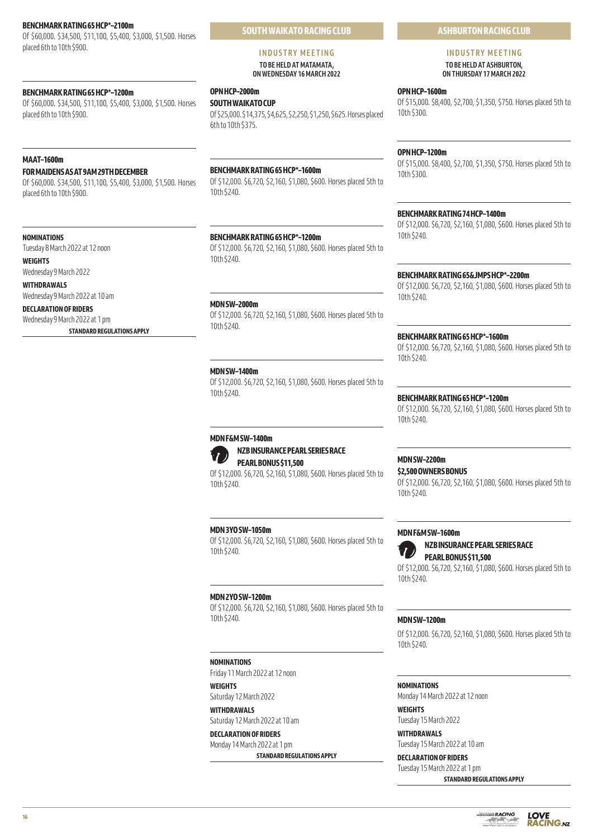# **BENCHMARK RATING 65 HCP\*–2100m**

Of \$60,000. \$34,500, \$11,100, \$5,400, \$3,000, \$1,500. Horses placed 6th to 10th \$900.

# **BENCHMARK RATING 65 HCP\*–1200m**

Of \$60,000. \$34,500, \$11,100, \$5,400, \$3,000, \$1,500. Horses placed 6th to 10th \$900.

# **MAAT–1600m**

# **FOR MAIDENS AS AT 9AM 29TH DECEMBER**

Of \$60,000. \$34,500, \$11,100, \$5,400, \$3,000, \$1,500. Horses placed 6th to 10th \$900.

#### **NOMINATIONS**

Tuesday 8 March 2022 at 12 noon

**WEIGHTS**

```
Wednesday 9 March 2022
```
**WITHDRAWALS** Wednesday 9 March 2022 at 10 am

# **DECLARATION OF RIDERS**

Wednesday 9 March 2022 at 1 pm **STANDARD REGULATIONS APPLY**

#### **INDUSTRY MEETING TO BE HELD AT MATAMATA, ON WEDNESDAY 16 MARCH 2022**

# **OPN HCP–2000m**

**SOUTH WAIKATO CUP** Of \$25,000. \$14,375, \$4,625, \$2,250, \$1,250, \$625. Horses placed 6th to 10th \$375.

#### **BENCHMARK RATING 65 HCP\*–1600m**

Of \$12,000. \$6,720, \$2,160, \$1,080, \$600. Horses placed 5th to 10th \$240.

# **BENCHMARK RATING 65 HCP\*–1200m**

Of \$12,000. \$6,720, \$2,160, \$1,080, \$600. Horses placed 5th to 10th \$240.

#### **MDN SW–2000m**

Of \$12,000. \$6,720, \$2,160, \$1,080, \$600. Horses placed 5th to 10th \$240.

#### **MDN SW–1400m**

Of \$12,000. \$6,720, \$2,160, \$1,080, \$600. Horses placed 5th to 10th \$240.

# **MDN F&M SW–1400m**

**NZB INSURANCE PEARL SERIES RACE PEARL BONUS \$11,500**

Of \$12,000. \$6,720, \$2,160, \$1,080, \$600. Horses placed 5th to 10th \$240.

## **MDN 3YO SW–1050m**

Of \$12,000. \$6,720, \$2,160, \$1,080, \$600. Horses placed 5th to 10th \$240.

#### **MDN 2YO SW–1200m**

Of \$12,000. \$6,720, \$2,160, \$1,080, \$600. Horses placed 5th to 10th \$240.

#### **NOMINATIONS**

Friday 11 March 2022 at 12 noon

**WEIGHTS** Saturday 12 March 2022 **WITHDRAWALS**

Saturday 12 March 2022 at 10 am **DECLARATION OF RIDERS**

# Monday 14 March 2022 at 1 pm

**STANDARD REGULATIONS APPLY**

# **ASHBURTON RACING CLUB**

# **INDUSTRY MEETING TO BE HELD AT ASHBURTON,**

**ON THURSDAY 17 MARCH 2022** 

# **OPN HCP–1600m**

Of \$15,000. \$8,400, \$2,700, \$1,350, \$750. Horses placed 5th to 10th \$300.

#### **OPN HCP–1200m**

Of \$15,000. \$8,400, \$2,700, \$1,350, \$750. Horses placed 5th to 10th \$300.

# **BENCHMARK RATING 74 HCP–1400m**

Of \$12,000. \$6,720, \$2,160, \$1,080, \$600. Horses placed 5th to 10th \$240.

#### **BENCHMARK RATING 65&JMPS HCP\*–2200m**

Of \$12,000. \$6,720, \$2,160, \$1,080, \$600. Horses placed 5th to 10th \$240.

#### **BENCHMARK RATING 65 HCP\*–1600m**

Of \$12,000. \$6,720, \$2,160, \$1,080, \$600. Horses placed 5th to 10th \$240.

#### **BENCHMARK RATING 65 HCP\*–1200m**

Of \$12,000. \$6,720, \$2,160, \$1,080, \$600. Horses placed 5th to 10th \$240.

# **MDN SW–2200m**

**\$2,500 OWNERS BONUS**

Of \$12,000. \$6,720, \$2,160, \$1,080, \$600. Horses placed 5th to 10th \$240.

## **MDN F&M SW–1600m**



**NZB INSURANCE PEARL SERIES RACE PEARL BONUS \$11,500**

Of \$12,000. \$6,720, \$2,160, \$1,080, \$600. Horses placed 5th to 10th \$240.

#### **MDN SW–1200m**

Of \$12,000. \$6,720, \$2,160, \$1,080, \$600. Horses placed 5th to 10th \$240.

#### **NOMINATIONS**

Monday 14 March 2022 at 12 noon **WEIGHTS**

Tuesday 15 March 2022

**WITHDRAWALS** Tuesday 15 March 2022 at 10 am

**DECLARATION OF RIDERS** Tuesday 15 March 2022 at 1 pm

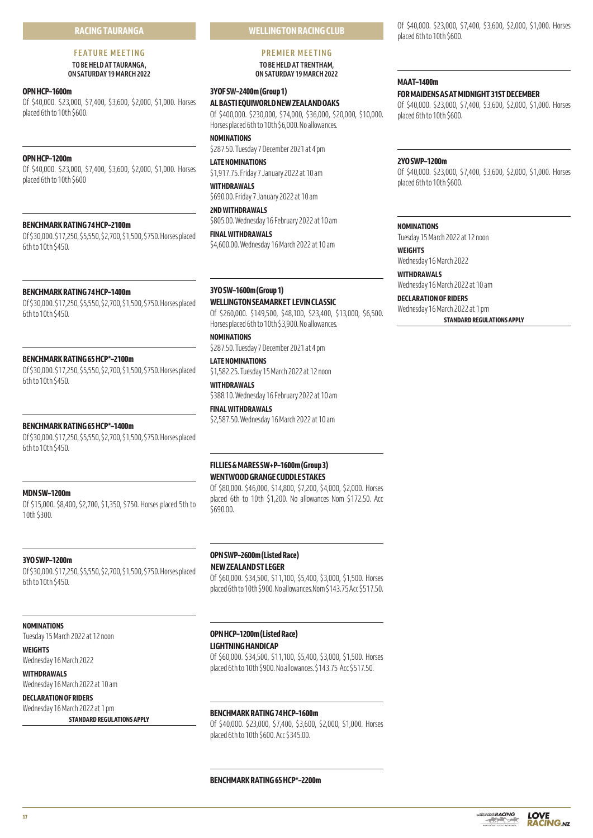# **RACING TAURANGA**

# **FEATURE MEETING TO BE HELD AT TAURANGA,**

**ON SATURDAY 19 MARCH 2022** 

# **OPN HCP–1600m**

Of \$40,000. \$23,000, \$7,400, \$3,600, \$2,000, \$1,000. Horses placed 6th to 10th \$600.

# **OPN HCP–1200m**

Of \$40,000. \$23,000, \$7,400, \$3,600, \$2,000, \$1,000. Horses placed 6th to 10th \$600

#### **BENCHMARK RATING 74 HCP–2100m**

Of \$30,000. \$17,250, \$5,550, \$2,700, \$1,500, \$750. Horses placed 6th to 10th \$450.

#### **BENCHMARK RATING 74 HCP–1400m**

Of \$30,000. \$17,250, \$5,550, \$2,700, \$1,500, \$750. Horses placed 6th to 10th \$450.

#### **BENCHMARK RATING 65 HCP\*–2100m**

Of \$30,000. \$17,250, \$5,550, \$2,700, \$1,500, \$750. Horses placed 6th to 10th \$450.

#### **BENCHMARK RATING 65 HCP\*–1400m**

Of \$30,000. \$17,250, \$5,550, \$2,700, \$1,500, \$750. Horses placed 6th to 10th \$450.

#### **MDN SW–1200m**

Of \$15,000. \$8,400, \$2,700, \$1,350, \$750. Horses placed 5th to 10th \$300.

#### **3YO SWP–1200m**

Of \$30,000. \$17,250, \$5,550, \$2,700, \$1,500, \$750. Horses placed 6th to 10th \$450.

#### **NOMINATIONS**

Tuesday 15 March 2022 at 12 noon

# **WEIGHTS**

Wednesday 16 March 2022 **WITHDRAWALS**

Wednesday 16 March 2022 at 10 am **DECLARATION OF RIDERS**

# Wednesday 16 March 2022 at 1 pm

**STANDARD REGULATIONS APPLY**

# **WELLINGTON RACING CLUB**

# **PREMIER MEETING**

#### **TO BE HELD AT TRENTHAM, ON SATURDAY 19 MARCH 2022**

# **3YOF SW–2400m (Group 1)**

**AL BASTI EQUIWORLD NEW ZEALAND OAKS** Of \$400,000. \$230,000, \$74,000, \$36,000, \$20,000, \$10,000. Horses placed 6th to 10th \$6,000. No allowances.

**NOMINATIONS** \$287.50. Tuesday 7 December 2021 at 4 pm

**LATE NOMINATIONS** \$1,917.75. Friday 7 January 2022 at 10 am

**WITHDRAWALS** \$690.00. Friday 7 January 2022 at 10 am

**2ND WITHDRAWALS** \$805.00. Wednesday 16 February 2022 at 10 am

**FINAL WITHDRAWALS** \$4,600.00. Wednesday 16 March 2022 at 10 am

# **3YO SW–1600m (Group 1)**

**WELLINGTON SEAMARKET LEVIN CLASSIC** Of \$260,000. \$149,500, \$48,100, \$23,400, \$13,000, \$6,500. Horses placed 6th to 10th \$3,900. No allowances.

**NOMINATIONS** \$287.50. Tuesday 7 December 2021 at 4 pm

**LATE NOMINATIONS** \$1,582.25. Tuesday 15 March 2022 at 12 noon

**WITHDRAWALS** \$388.10. Wednesday 16 February 2022 at 10 am

**FINAL WITHDRAWALS** \$2,587.50. Wednesday 16 March 2022 at 10 am

# **FILLIES & MARES SW+P–1600m (Group 3) WENTWOOD GRANGE CUDDLE STAKES**

Of \$80,000. \$46,000, \$14,800, \$7,200, \$4,000, \$2,000. Horses placed 6th to 10th \$1,200. No allowances Nom \$172.50. Acc  $5690.00$ 

# **OPN SWP–2600m (Listed Race) NEW ZEALAND ST LEGER**

Of \$60,000. \$34,500, \$11,100, \$5,400, \$3,000, \$1,500. Horses placed 6th to 10th \$900. No allowances.Nom \$143.75 Acc \$517.50.

# **OPN HCP–1200m (Listed Race) LIGHTNING HANDICAP**

Of \$60,000. \$34,500, \$11,100, \$5,400, \$3,000, \$1,500. Horses placed 6th to 10th \$900. No allowances. \$143.75 Acc \$517.50.

# **BENCHMARK RATING 74 HCP–1600m**

Of \$40,000. \$23,000, \$7,400, \$3,600, \$2,000, \$1,000. Horses placed 6th to 10th \$600. Acc \$345.00.

Of \$40,000. \$23,000, \$7,400, \$3,600, \$2,000, \$1,000. Horses placed 6th to 10th \$600.

# **MAAT–1400m FOR MAIDENS AS AT MIDNIGHT 31ST DECEMBER**

Of \$40,000. \$23,000, \$7,400, \$3,600, \$2,000, \$1,000. Horses placed 6th to 10th \$600.

#### **2YO SWP–1200m**

Of \$40,000. \$23,000, \$7,400, \$3,600, \$2,000, \$1,000. Horses placed 6th to 10th \$600.

#### **NOMINATIONS**

Tuesday 15 March 2022 at 12 noon

**WEIGHTS** Wednesday 16 March 2022

**WITHDRAWALS** Wednesday 16 March 2022 at 10 am

**DECLARATION OF RIDERS** Wednesday 16 March 2022 at 1 pm **STANDARD REGULATIONS APPLY**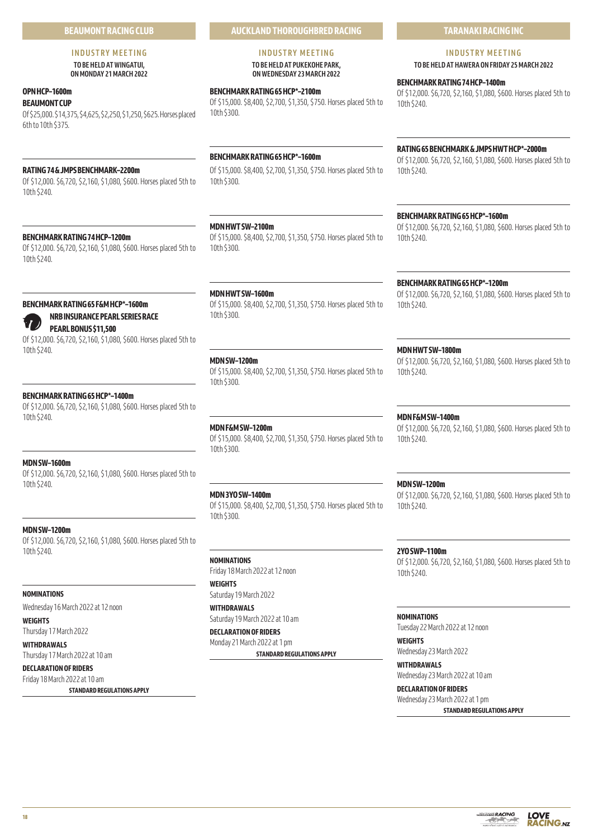# **BEAUMONT RACING CLUB**

#### **INDUSTRY MEETING TO BE HELD AT WINGATUI, ON MONDAY 21 MARCH 2022**

# **OPN HCP–1600m**

**BEAUMONT CUP**

Of \$25,000. \$14,375, \$4,625, \$2,250, \$1,250, \$625. Horses placed 6th to 10th \$375.

# **RATING 74 & JMPS BENCHMARK–2200m**

Of \$12,000. \$6,720, \$2,160, \$1,080, \$600. Horses placed 5th to 10th \$240.

# **BENCHMARK RATING 74 HCP–1200m**

Of \$12,000. \$6,720, \$2,160, \$1,080, \$600. Horses placed 5th to 10th \$240.

# **BENCHMARK RATING 65 F&M HCP\*–1600m**

# **NRB INSURANCE PEARL SERIES RACE PEARL BONUS \$11,500**

Of \$12,000. \$6,720, \$2,160, \$1,080, \$600. Horses placed 5th to 10th \$240.

# **BENCHMARK RATING 65 HCP\*–1400m**

Of \$12,000. \$6,720, \$2,160, \$1,080, \$600. Horses placed 5th to 10th \$240.

# **MDN SW–1600m**

Of \$12,000. \$6,720, \$2,160, \$1,080, \$600. Horses placed 5th to 10th \$240.

# **MDN SW–1200m**

Of \$12,000. \$6,720, \$2,160, \$1,080, \$600. Horses placed 5th to 10th \$240.

# **NOMINATIONS**

Wednesday 16 March 2022 at 12 noon

# **WEIGHTS**

Thursday 17 March 2022

# **WITHDRAWALS**

Thursday 17 March 2022 at 10 am **DECLARATION OF RIDERS**

# Friday 18 March 2022 at 10 am

**STANDARD REGULATIONS APPLY**

# **AUCKLAND THOROUGHBRED RACING**

#### **INDUSTRY MEETING TO BE HELD AT PUKEKOHE PARK, ON WEDNESDAY 23 MARCH 2022**

**BENCHMARK RATING 65 HCP\*–2100m**

Of \$15,000. \$8,400, \$2,700, \$1,350, \$750. Horses placed 5th to 10th \$300.

# **BENCHMARK RATING 65 HCP\*–1600m**

Of \$15,000. \$8,400, \$2,700, \$1,350, \$750. Horses placed 5th to 10th \$300.

# **MDN HWT SW–2100m**

Of \$15,000. \$8,400, \$2,700, \$1,350, \$750. Horses placed 5th to 10th \$300.

# **MDN HWT SW–1600m**

Of \$15,000. \$8,400, \$2,700, \$1,350, \$750. Horses placed 5th to 10th \$300.

# **MDN SW–1200m**

Of \$15,000. \$8,400, \$2,700, \$1,350, \$750. Horses placed 5th to 10th \$300.

# **MDN F&M SW–1200m**

Of \$15,000. \$8,400, \$2,700, \$1,350, \$750. Horses placed 5th to 10th \$300.

# **MDN 3YO SW–1400m**

Of \$15,000. \$8,400, \$2,700, \$1,350, \$750. Horses placed 5th to 10th \$300.

# **NOMINATIONS**

Friday 18 March 2022 at 12 noon **WEIGHTS**

Saturday 19 March 2022 **WITHDRAWALS**

# Saturday 19 March 2022 at 10 am

**DECLARATION OF RIDERS**

Monday 21 March 2022 at 1 pm

**STANDARD REGULATIONS APPLY**

# **TARANAKI RACING INC**

# **INDUSTRY MEETING**

**TO BE HELD AT HAWERA ON FRIDAY 25 MARCH 2022** 

# **BENCHMARK RATING 74 HCP–1400m**

Of \$12,000. \$6,720, \$2,160, \$1,080, \$600. Horses placed 5th to 10th \$240.

# **RATING 65 BENCHMARK & JMPS HWT HCP\*–2000m**

Of \$12,000. \$6,720, \$2,160, \$1,080, \$600. Horses placed 5th to 10th \$240.

# **BENCHMARK RATING 65 HCP\*–1600m**

Of \$12,000. \$6,720, \$2,160, \$1,080, \$600. Horses placed 5th to 10th \$240.

# **BENCHMARK RATING 65 HCP\*–1200m**

Of \$12,000. \$6,720, \$2,160, \$1,080, \$600. Horses placed 5th to 10th \$240.

# **MDN HWT SW–1800m**

Of \$12,000. \$6,720, \$2,160, \$1,080, \$600. Horses placed 5th to 10th \$240.

# **MDN F&M SW–1400m**

Of \$12,000. \$6,720, \$2,160, \$1,080, \$600. Horses placed 5th to 10th \$240.

# **MDN SW–1200m**

Of \$12,000. \$6,720, \$2,160, \$1,080, \$600. Horses placed 5th to 10th \$240.

# **2YO SWP–1100m**

Of \$12,000. \$6,720, \$2,160, \$1,080, \$600. Horses placed 5th to 10th \$240.

#### **NOMINATIONS**

Tuesday 22 March 2022 at 12 noon **WEIGHTS** Wednesday 23 March 2022

**WITHDRAWALS**

Wednesday 23 March 2022 at 10 am **DECLARATION OF RIDERS**

Wednesday 23 March 2022 at 1 pm **STANDARD REGULATIONS APPLY**

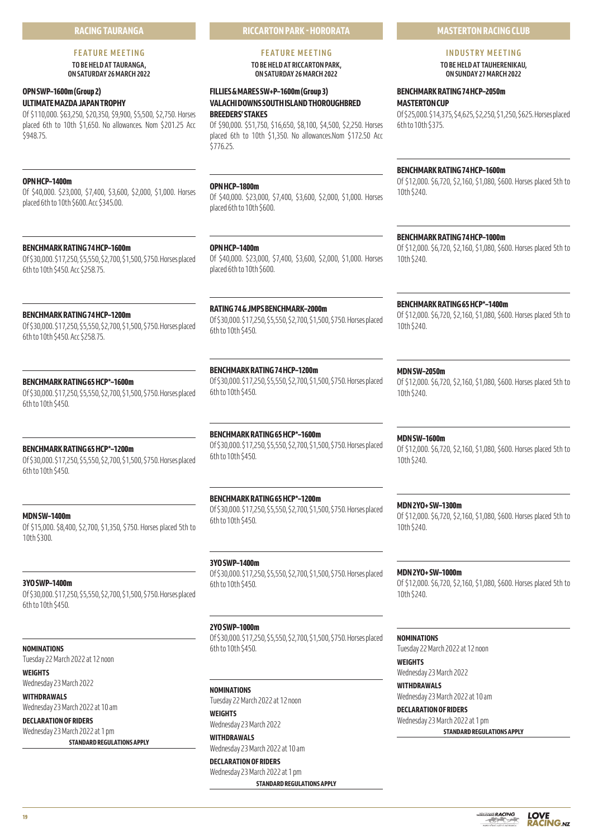# **RACING TAURANGA**

# **FEATURE MEETING**

**TO BE HELD AT TAURANGA, ON SATURDAY 26 MARCH 2022** 

# **OPN SWP–1600m (Group 2) ULTIMATE MAZDA JAPAN TROPHY**

Of \$110,000. \$63,250, \$20,350, \$9,900, \$5,500, \$2,750. Horses placed 6th to 10th \$1,650. No allowances. Nom \$201.25 Acc \$948.75.

# **OPN HCP–1400m**

Of \$40,000. \$23,000, \$7,400, \$3,600, \$2,000, \$1,000. Horses placed 6th to 10th \$600. Acc \$345.00.

# **BENCHMARK RATING 74 HCP–1600m**

Of \$30,000. \$17,250, \$5,550, \$2,700, \$1,500, \$750. Horses placed 6th to 10th \$450. Acc \$258.75.

# **BENCHMARK RATING 74 HCP–1200m**

Of \$30,000. \$17,250, \$5,550, \$2,700, \$1,500, \$750. Horses placed 6th to 10th \$450. Acc \$258.75.

# **BENCHMARK RATING 65 HCP\*–1600m**

Of \$30,000. \$17,250, \$5,550, \$2,700, \$1,500, \$750. Horses placed 6th to 10th \$450.

# **BENCHMARK RATING 65 HCP\*–1200m**

Of \$30,000. \$17,250, \$5,550, \$2,700, \$1,500, \$750. Horses placed 6th to 10th \$450.

# **MDN SW–1400m**

Of \$15,000. \$8,400, \$2,700, \$1,350, \$750. Horses placed 5th to 10th \$300.

# **3YO SWP–1400m**

Of \$30,000. \$17,250, \$5,550, \$2,700, \$1,500, \$750. Horses placed 6th to 10th \$450.

**NOMINATIONS**

Tuesday 22 March 2022 at 12 noon

**WEIGHTS** Wednesday 23 March 2022

**WITHDRAWALS** Wednesday 23 March 2022 at 10 am

**DECLARATION OF RIDERS** Wednesday 23 March 2022 at 1 pm **STANDARD REGULATIONS APPLY** **RICCARTON PARK - HORORATA**

# **FEATURE MEETING**

**TO BE HELD AT RICCARTON PARK, ON SATURDAY 26 MARCH 2022** 

# **FILLIES & MARES SW+P–1600m (Group 3) VALACHI DOWNS SOUTH ISLAND THOROUGHBRED BREEDERS' STAKES**

Of \$90,000. \$51,750, \$16,650, \$8,100, \$4,500, \$2,250. Horses placed 6th to 10th \$1,350. No allowances.Nom \$172.50 Acc \$776.25.

# **OPN HCP–1800m**

Of \$40,000. \$23,000, \$7,400, \$3,600, \$2,000, \$1,000. Horses placed 6th to 10th \$600.

**OPN HCP–1400m**

# Of \$40,000. \$23,000, \$7,400, \$3,600, \$2,000, \$1,000. Horses placed 6th to 10th \$600.

**RATING 74 & JMPS BENCHMARK–2000m** Of \$30,000. \$17,250, \$5,550, \$2,700, \$1,500, \$750. Horses placed

6th to 10th \$450.

**BENCHMARK RATING 74 HCP–1200m** Of \$30,000. \$17,250, \$5,550, \$2,700, \$1,500, \$750. Horses placed 6th to 10th \$450.

**BENCHMARK RATING 65 HCP\*–1600m** Of \$30,000. \$17,250, \$5,550, \$2,700, \$1,500, \$750. Horses placed 6th to 10th \$450.

# **BENCHMARK RATING 65 HCP\*–1200m**

Of \$30,000. \$17,250, \$5,550, \$2,700, \$1,500, \$750. Horses placed 6th to 10th \$450.

# **3YO SWP–1400m** Of \$30,000. \$17,250, \$5,550, \$2,700, \$1,500, \$750. Horses placed 6th to 10th \$450.

**2YO SWP–1000m**

Of \$30,000. \$17,250, \$5,550, \$2,700, \$1,500, \$750. Horses placed 6th to 10th \$450.

**NOMINATIONS** Tuesday 22 March 2022 at 12 noon

**WEIGHTS** Wednesday 23 March 2022

**WITHDRAWALS** Wednesday 23 March 2022 at 10 am

**DECLARATION OF RIDERS** Wednesday 23 March 2022 at 1 pm **STANDARD REGULATIONS APPLY** **MASTERTON RACING CLUB**

# **INDUSTRY MEETING TO BE HELD AT TAUHERENIKAU,**

**ON SUNDAY 27 MARCH 2022** 

# **BENCHMARK RATING 74 HCP–2050m**

**MASTERTON CUP**

Of \$25,000. \$14,375, \$4,625, \$2,250, \$1,250, \$625. Horses placed 6th to 10th \$375.

# **BENCHMARK RATING 74 HCP–1600m**

Of \$12,000. \$6,720, \$2,160, \$1,080, \$600. Horses placed 5th to 10th \$240.

# **BENCHMARK RATING 74 HCP–1000m**

Of \$12,000. \$6,720, \$2,160, \$1,080, \$600. Horses placed 5th to 10th \$240.

**BENCHMARK RATING 65 HCP\*–1400m**

Of \$12,000. \$6,720, \$2,160, \$1,080, \$600. Horses placed 5th to 10th \$240.

# **MDN SW–2050m**

Of \$12,000. \$6,720, \$2,160, \$1,080, \$600. Horses placed 5th to 10th \$240.

**MDN SW–1600m** Of \$12,000. \$6,720, \$2,160, \$1,080, \$600. Horses placed 5th to 10th \$240.

**MDN 2YO+ SW–1300m** Of \$12,000. \$6,720, \$2,160, \$1,080, \$600. Horses placed 5th to 10th \$240.

**MDN 2YO+ SW–1000m** Of \$12,000. \$6,720, \$2,160, \$1,080, \$600. Horses placed 5th to 10th \$240.

# **NOMINATIONS**

Tuesday 22 March 2022 at 12 noon

**WEIGHTS** Wednesday 23 March 2022

**WITHDRAWALS** Wednesday 23 March 2022 at 10 am **DECLARATION OF RIDERS**

Wednesday 23 March 2022 at 1 pm **STANDARD REGULATIONS APPLY**

**LOVE RACING.NZ**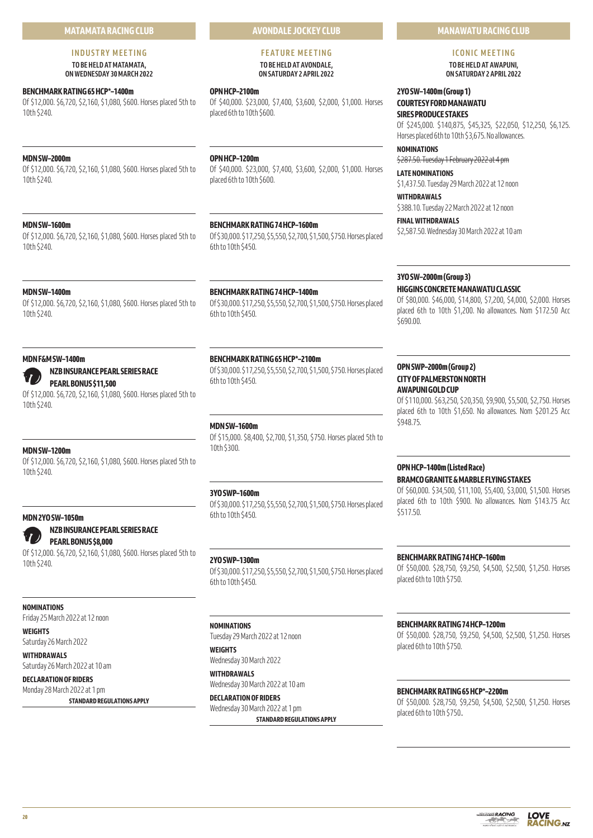# **MATAMATA RACING CLUB**

# **INDUSTRY MEETING TO BE HELD AT MATAMATA,**

**ON WEDNESDAY 30 MARCH 2022** 

# **BENCHMARK RATING 65 HCP\*–1400m**

Of \$12,000. \$6,720, \$2,160, \$1,080, \$600. Horses placed 5th to 10th \$240.

# **MDN SW–2000m**

Of \$12,000. \$6,720, \$2,160, \$1,080, \$600. Horses placed 5th to 10th \$240.

# **MDN SW–1600m**

Of \$12,000. \$6,720, \$2,160, \$1,080, \$600. Horses placed 5th to 10th \$240.

# **OPN HCP–1200m**

**OPN HCP–2100m**

placed 6th to 10th \$600.

Of \$40,000. \$23,000, \$7,400, \$3,600, \$2,000, \$1,000. Horses placed 6th to 10th \$600.

**AVONDALE JOCKEY CLUB**

**FEATURE MEETING TO BE HELD AT AVONDALE, ON SATURDAY 2 APRIL 2022** 

Of \$40,000. \$23,000, \$7,400, \$3,600, \$2,000, \$1,000. Horses

# **BENCHMARK RATING 74 HCP–1600m**

Of \$30,000. \$17,250, \$5,550, \$2,700, \$1,500, \$750. Horses placed 6th to 10th \$450.

# **MDN SW–1400m**

Of \$12,000. \$6,720, \$2,160, \$1,080, \$600. Horses placed 5th to 10th \$240.

#### **MDN F&M SW–1400m**



# **NZB INSURANCE PEARL SERIES RACE PEARL BONUS \$11,500**

Of \$12,000. \$6,720, \$2,160, \$1,080, \$600. Horses placed 5th to 10th \$240.

# **MDN SW–1200m**

Of \$12,000. \$6,720, \$2,160, \$1,080, \$600. Horses placed 5th to 10th \$240.

# **MDN 2YO SW–1050m**

**NZB INSURANCE PEARL SERIES RACE PEARL BONUS \$8,000**

Of \$12,000. \$6,720, \$2,160, \$1,080, \$600. Horses placed 5th to 10th \$240.

# **NOMINATIONS**

Friday 25 March 2022 at 12 noon

**WEIGHTS**

Saturday 26 March 2022 **WITHDRAWALS**

Saturday 26 March 2022 at 10 am

# **DECLARATION OF RIDERS**

Monday 28 March 2022 at 1 pm **STANDARD REGULATIONS APPLY**

# **BENCHMARK RATING 74 HCP–1400m**

Of \$30,000. \$17,250, \$5,550, \$2,700, \$1,500, \$750. Horses placed 6th to 10th \$450.

# **BENCHMARK RATING 65 HCP\*–2100m**

Of \$30,000. \$17,250, \$5,550, \$2,700, \$1,500, \$750. Horses placed 6th to 10th \$450.

# **MDN SW–1600m**

Of \$15,000. \$8,400, \$2,700, \$1,350, \$750. Horses placed 5th to 10th \$300.

# **3YO SWP–1600m**

Of \$30,000. \$17,250, \$5,550, \$2,700, \$1,500, \$750. Horses placed 6th to 10th \$450.

# **2YO SWP–1300m**

Of \$30,000. \$17,250, \$5,550, \$2,700, \$1,500, \$750. Horses placed 6th to 10th \$450.

#### **NOMINATIONS**

Tuesday 29 March 2022 at 12 noon

# **WEIGHTS** Wednesday 30 March 2022

**WITHDRAWALS** Wednesday 30 March 2022 at 10 am

**DECLARATION OF RIDERS** Wednesday 30 March 2022 at 1 pm

**STANDARD REGULATIONS APPLY**

# **MANAWATU RACING CLUB**

# **ICONIC MEETING**

**TO BE HELD AT AWAPUNI, ON SATURDAY 2 APRIL 2022**

# **2YO SW–1400m (Group 1) COURTESY FORD MANAWATU SIRES PRODUCE STAKES**

Of \$245,000. \$140,875, \$45,325, \$22,050, \$12,250, \$6,125. Horses placed 6th to 10th \$3,675. No allowances.

# **NOMINATIONS**

\$287.50. Tuesday 1 February 2022 at 4 pm

# **LATE NOMINATIONS**

\$1,437.50. Tuesday 29 March 2022 at 12 noon

#### **WITHDRAWALS** \$388.10. Tuesday 22 March 2022 at 12 noon

**FINAL WITHDRAWALS** \$2,587.50. Wednesday 30 March 2022 at 10 am

# **3YO SW–2000m (Group 3)**

# **HIGGINS CONCRETE MANAWATU CLASSIC**

Of \$80,000. \$46,000, \$14,800, \$7,200, \$4,000, \$2,000. Horses placed 6th to 10th \$1,200. No allowances. Nom \$172.50 Acc \$690.00.

# **OPN SWP–2000m (Group 2) CITY OF PALMERSTON NORTH AWAPUNI GOLD CUP**

Of \$110,000. \$63,250, \$20,350, \$9,900, \$5,500, \$2,750. Horses placed 6th to 10th \$1,650. No allowances. Nom \$201.25 Acc \$948.75.

# **OPN HCP–1400m (Listed Race) BRAMCO GRANITE & MARBLE FLYING STAKES**

Of \$60,000. \$34,500, \$11,100, \$5,400, \$3,000, \$1,500. Horses placed 6th to 10th \$900. No allowances. Nom \$143.75 Acc \$517.50.

# **BENCHMARK RATING 74 HCP–1600m**

Of \$50,000. \$28,750, \$9,250, \$4,500, \$2,500, \$1,250. Horses placed 6th to 10th \$750.

# **BENCHMARK RATING 74 HCP–1200m**

Of \$50,000. \$28,750, \$9,250, \$4,500, \$2,500, \$1,250. Horses placed 6th to 10th \$750.

# **BENCHMARK RATING 65 HCP\*–2200m**

Of \$50,000. \$28,750, \$9,250, \$4,500, \$2,500, \$1,250. Horses placed 6th to 10th \$750..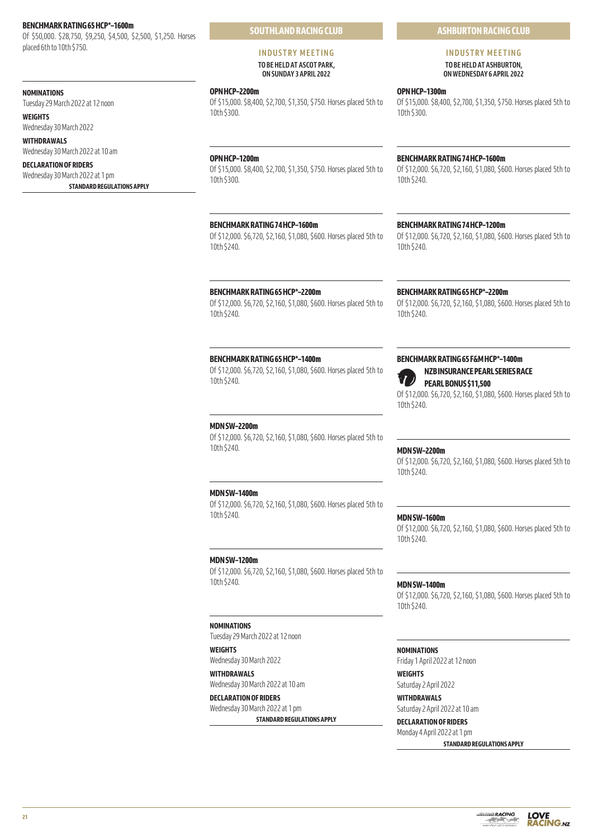#### **BENCHMARK RATING 65 HCP\*–1600m**

Of \$50,000. \$28,750, \$9,250, \$4,500, \$2,500, \$1,250. Horses placed 6th to 10th \$750.

# **NOMINATIONS**

Tuesday 29 March 2022 at 12 noon **WEIGHTS**

Wednesday 30 March 2022 **WITHDRAWALS**

Wednesday 30 March 2022 at 10 am

# **DECLARATION OF RIDERS**

Wednesday 30 March 2022 at 1 pm **STANDARD REGULATIONS APPLY** **SOUTHLAND RACING CLUB**

#### **INDUSTRY MEETING TO BE HELD AT ASCOT PARK, ON SUNDAY 3 APRIL 2022**

#### **OPN HCP–2200m**

Of \$15,000. \$8,400, \$2,700, \$1,350, \$750. Horses placed 5th to 10th \$300.

#### **OPN HCP–1200m**

Of \$15,000. \$8,400, \$2,700, \$1,350, \$750. Horses placed 5th to 10th \$300.

# **BENCHMARK RATING 74 HCP–1600m**

Of \$12,000. \$6,720, \$2,160, \$1,080, \$600. Horses placed 5th to 10th \$240.

#### **BENCHMARK RATING 65 HCP\*–2200m**

Of \$12,000. \$6,720, \$2,160, \$1,080, \$600. Horses placed 5th to 10th \$240.

#### **BENCHMARK RATING 65 HCP\*–1400m**

Of \$12,000. \$6,720, \$2,160, \$1,080, \$600. Horses placed 5th to 10th \$240.

#### **MDN SW–2200m**

Of \$12,000. \$6,720, \$2,160, \$1,080, \$600. Horses placed 5th to 10th \$240.

# **MDN SW–1400m**

Of \$12,000. \$6,720, \$2,160, \$1,080, \$600. Horses placed 5th to 10th \$240.

#### **MDN SW–1200m**

Of \$12,000. \$6,720, \$2,160, \$1,080, \$600. Horses placed 5th to 10th \$240.

# **NOMINATIONS**

Tuesday 29 March 2022 at 12 noon

# **WEIGHTS**

Wednesday 30 March 2022 **WITHDRAWALS** Wednesday 30 March 2022 at 10 am

# **DECLARATION OF RIDERS** Wednesday 30 March 2022 at 1 pm

**STANDARD REGULATIONS APPLY**

# **ASHBURTON RACING CLUB**

# **INDUSTRY MEETING TO BE HELD AT ASHBURTON, ON WEDNESDAY 6 APRIL 2022**

# **OPN HCP–1300m** Of \$15,000. \$8,400, \$2,700, \$1,350, \$750. Horses placed 5th to 10th \$300.

#### **BENCHMARK RATING 74 HCP–1600m**

Of \$12,000. \$6,720, \$2,160, \$1,080, \$600. Horses placed 5th to 10th \$240.

# **BENCHMARK RATING 74 HCP–1200m**

Of \$12,000. \$6,720, \$2,160, \$1,080, \$600. Horses placed 5th to 10th \$240.

#### **BENCHMARK RATING 65 HCP\*–2200m**

Of \$12,000. \$6,720, \$2,160, \$1,080, \$600. Horses placed 5th to 10th \$240.

# **BENCHMARK RATING 65 F&M HCP\*–1400m**

**NZB INSURANCE PEARL SERIES RACE PEARL BONUS \$11,500**

Of \$12,000. \$6,720, \$2,160, \$1,080, \$600. Horses placed 5th to 10th \$240.

#### **MDN SW–2200m**

Of \$12,000. \$6,720, \$2,160, \$1,080, \$600. Horses placed 5th to 10th \$240.

#### **MDN SW–1600m**

Of \$12,000. \$6,720, \$2,160, \$1,080, \$600. Horses placed 5th to 10th \$240.

#### **MDN SW–1400m**

Of \$12,000. \$6,720, \$2,160, \$1,080, \$600. Horses placed 5th to 10th \$240.

#### **NOMINATIONS**

Friday 1 April 2022 at 12 noon

# **WEIGHTS**

Saturday 2 April 2022

# **WITHDRAWALS**

Saturday 2 April 2022 at 10 am **DECLARATION OF RIDERS**

# Monday 4 April 2022 at 1 pm

**STANDARD REGULATIONS APPLY**



**21**

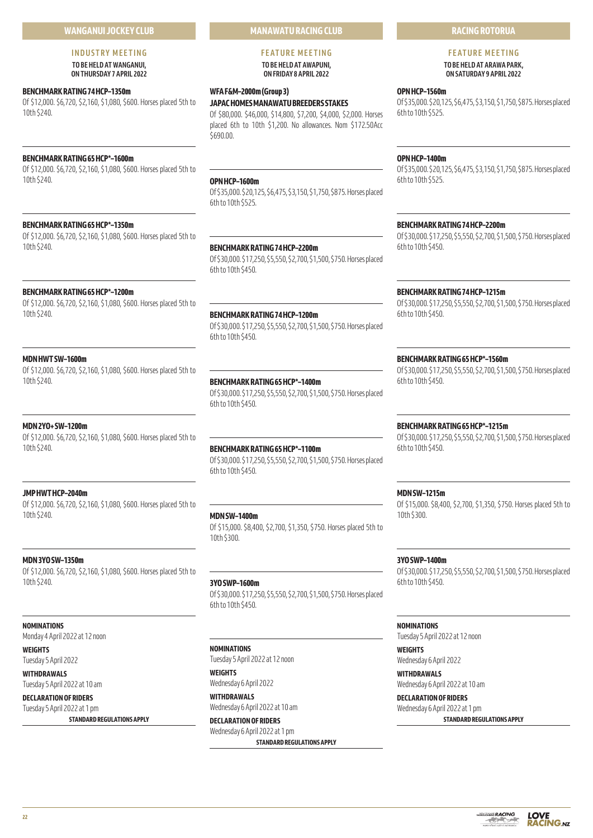# **WANGANUI JOCKEY CLUB**

# **INDUSTRY MEETING TO BE HELD AT WANGANUI,**

**ON THURSDAY 7 APRIL 2022** 

# **BENCHMARK RATING 74 HCP–1350m**

Of \$12,000. \$6,720, \$2,160, \$1,080, \$600. Horses placed 5th to 10th \$240.

# **BENCHMARK RATING 65 HCP\*–1600m**

Of \$12,000. \$6,720, \$2,160, \$1,080, \$600. Horses placed 5th to 10th \$240.

# **BENCHMARK RATING 65 HCP\*–1350m**

Of \$12,000. \$6,720, \$2,160, \$1,080, \$600. Horses placed 5th to 10th \$240.

# **BENCHMARK RATING 65 HCP\*–1200m**

Of \$12,000. \$6,720, \$2,160, \$1,080, \$600. Horses placed 5th to 10th \$240.

# **MDN HWT SW–1600m**

Of \$12,000. \$6,720, \$2,160, \$1,080, \$600. Horses placed 5th to 10th \$240.

# **MDN 2YO+ SW–1200m**

Of \$12,000. \$6,720, \$2,160, \$1,080, \$600. Horses placed 5th to 10th \$240.

# **JMP HWT HCP–2040m**

Of \$12,000. \$6,720, \$2,160, \$1,080, \$600. Horses placed 5th to 10th \$240.

# **MDN 3YO SW–1350m**

Of \$12,000. \$6,720, \$2,160, \$1,080, \$600. Horses placed 5th to 10th \$240.

#### **NOMINATIONS**

Monday 4 April 2022 at 12 noon

**WEIGHTS**

Tuesday 5 April 2022 **WITHDRAWALS**

Tuesday 5 April 2022 at 10 am **DECLARATION OF RIDERS**

Tuesday 5 April 2022 at 1 pm

**STANDARD REGULATIONS APPLY**

# **MANAWATU RACING CLUB**

#### **FEATURE MEETING TO BE HELD AT AWAPUNI, ON FRIDAY 8 APRIL 2022**

# **WFA F&M–2000m (Group 3)**

**JAPAC HOMES MANAWATU BREEDERS STAKES** Of \$80,000. \$46,000, \$14,800, \$7,200, \$4,000, \$2,000. Horses placed 6th to 10th \$1,200. No allowances. Nom \$172.50Acc \$690.00.

# **OPN HCP–1600m**

Of \$35,000. \$20,125, \$6,475, \$3,150, \$1,750, \$875. Horses placed 6th to 10th \$525.

#### **BENCHMARK RATING 74 HCP–2200m**

Of \$30,000. \$17,250, \$5,550, \$2,700, \$1,500, \$750. Horses placed 6th to 10th \$450.

**BENCHMARK RATING 74 HCP–1200m**

Of \$30,000. \$17,250, \$5,550, \$2,700, \$1,500, \$750. Horses placed 6th to 10th \$450.

# **BENCHMARK RATING 65 HCP\*–1400m**

Of \$30,000. \$17,250, \$5,550, \$2,700, \$1,500, \$750. Horses placed 6th to 10th \$450.

# **BENCHMARK RATING 65 HCP\*–1100m**

Of \$30,000. \$17,250, \$5,550, \$2,700, \$1,500, \$750. Horses placed 6th to 10th \$450.

# **MDN SW–1400m**

Of \$15,000. \$8,400, \$2,700, \$1,350, \$750. Horses placed 5th to 10th \$300.

**3YO SWP–1600m** Of \$30,000. \$17,250, \$5,550, \$2,700, \$1,500, \$750. Horses placed 6th to 10th \$450.

# **NOMINATIONS**

Tuesday 5 April 2022 at 12 noon **WEIGHTS**

Wednesday 6 April 2022

**WITHDRAWALS** Wednesday 6 April 2022 at 10 am

**DECLARATION OF RIDERS** Wednesday 6 April 2022 at 1 pm **STANDARD REGULATIONS APPLY**

# **RACING ROTORUA**

#### **FEATURE MEETING TO BE HELD AT ARAWA PARK, ON SATURDAY 9 APRIL 2022**

# **OPN HCP–1560m**

Of \$35,000. \$20,125, \$6,475, \$3,150, \$1,750, \$875. Horses placed 6th to 10th \$525.

# **OPN HCP–1400m**

Of \$35,000. \$20,125, \$6,475, \$3,150, \$1,750, \$875. Horses placed 6th to 10th \$525.

# **BENCHMARK RATING 74 HCP–2200m**

Of \$30,000. \$17,250, \$5,550, \$2,700, \$1,500, \$750. Horses placed 6th to 10th \$450.

# **BENCHMARK RATING 74 HCP–1215m**

Of \$30,000. \$17,250, \$5,550, \$2,700, \$1,500, \$750. Horses placed 6th to 10th \$450.

# **BENCHMARK RATING 65 HCP\*–1560m**

Of \$30,000. \$17,250, \$5,550, \$2,700, \$1,500, \$750. Horses placed 6th to 10th \$450.

# **BENCHMARK RATING 65 HCP\*–1215m**

Of \$30,000. \$17,250, \$5,550, \$2,700, \$1,500, \$750. Horses placed 6th to 10th \$450.

# **MDN SW–1215m**

Of \$15,000. \$8,400, \$2,700, \$1,350, \$750. Horses placed 5th to 10th \$300.

# **3YO SWP–1400m**

Of \$30,000. \$17,250, \$5,550, \$2,700, \$1,500, \$750. Horses placed 6th to 10th \$450.

# **NOMINATIONS**

Tuesday 5 April 2022 at 12 noon

**WEIGHTS** Wednesday 6 April 2022

**WITHDRAWALS** Wednesday 6 April 2022 at 10 am

**DECLARATION OF RIDERS** Wednesday 6 April 2022 at 1 pm **STANDARD REGULATIONS APPLY**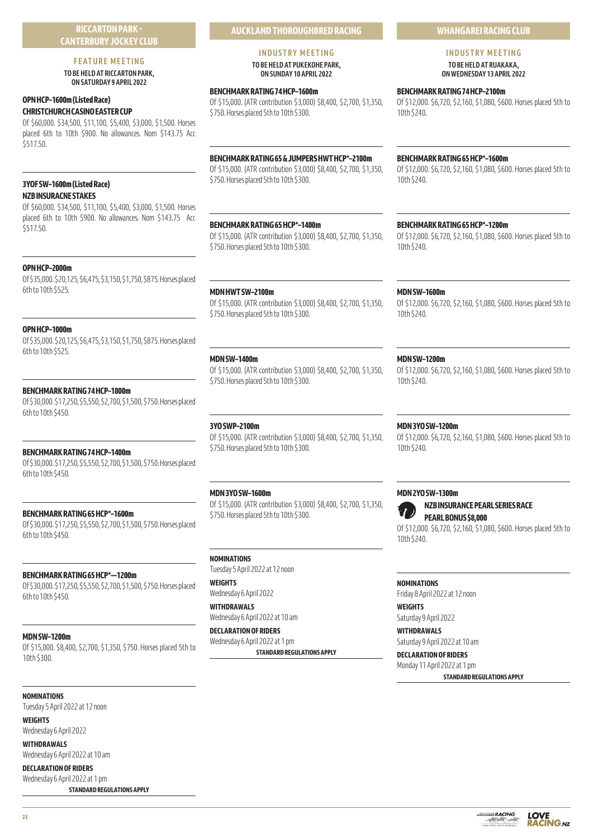# **RICCARTON PARK - CANTERBURY JOCKEY CLUB**

# **FEATURE MEETING**

**TO BE HELD AT RICCARTON PARK, ON SATURDAY 9 APRIL 2022** 

# **OPN HCP–1600m (Listed Race) CHRISTCHURCH CASINO EASTER CUP**

Of \$60,000. \$34,500, \$11,100, \$5,400, \$3,000, \$1,500. Horses placed 6th to 10th \$900. No allowances. Nom \$143.75 Acc \$517.50.

# **3YOF SW–1600m (Listed Race) NZB INSURACNE STAKES**

Of \$60,000. \$34,500, \$11,100, \$5,400, \$3,000, \$1,500. Horses placed 6th to 10th \$900. No allowances. Nom \$143.75 Acc \$517.50.

# **OPN HCP–2000m**

Of \$35,000. \$20,125, \$6,475, \$3,150, \$1,750, \$875. Horses placed 6th to 10th \$525.

# **OPN HCP–1000m**

Of \$35,000. \$20,125, \$6,475, \$3,150, \$1,750, \$875. Horses placed 6th to 10th \$525.

# **BENCHMARK RATING 74 HCP–1800m**

Of \$30,000. \$17,250, \$5,550, \$2,700, \$1,500, \$750. Horses placed 6th to 10th \$450.

# **BENCHMARK RATING 74 HCP–1400m**

Of \$30,000. \$17,250, \$5,550, \$2,700, \$1,500, \$750. Horses placed 6th to 10th \$450.

# **BENCHMARK RATING 65 HCP\*–1600m**

Of \$30,000. \$17,250, \$5,550, \$2,700, \$1,500, \$750. Horses placed 6th to 10th \$450.

# **BENCHMARK RATING 65 HCP\*––1200m**

Of \$30,000. \$17,250, \$5,550, \$2,700, \$1,500, \$750. Horses placed 6th to 10th \$450.

# **MDN SW–1200m**

Of \$15,000. \$8,400, \$2,700, \$1,350, \$750. Horses placed 5th to 10th \$300.

# **NOMINATIONS**

Tuesday 5 April 2022 at 12 noon

# **WEIGHTS**

Wednesday 6 April 2022 **WITHDRAWALS**

Wednesday 6 April 2022 at 10 am

**DECLARATION OF RIDERS** Wednesday 6 April 2022 at 1 pm

**STANDARD REGULATIONS APPLY**

# **INDUSTRY MEETING**

**TO BE HELD AT PUKEKOHE PARK, ON SUNDAY 10 APRIL 2022**

# **BENCHMARK RATING 74 HCP–1600m**

Of \$15,000. (ATR contribution \$3,000) \$8,400, \$2,700, \$1,350, \$750. Horses placed 5th to 10th \$300.

# **BENCHMARK RATING 65 & JUMPERS HWT HCP\*–2100m**

Of \$15,000. (ATR contribution \$3,000) \$8,400, \$2,700, \$1,350, \$750. Horses placed 5th to 10th \$300.

# **BENCHMARK RATING 65 HCP\*–1400m**

Of \$15,000. (ATR contribution \$3,000) \$8,400, \$2,700, \$1,350, \$750. Horses placed 5th to 10th \$300.

# **MDN HWT SW–2100m**

Of \$15,000. (ATR contribution \$3,000) \$8,400, \$2,700, \$1,350, \$750. Horses placed 5th to 10th \$300.

# **MDN SW–1400m**

Of \$15,000. (ATR contribution \$3,000) \$8,400, \$2,700, \$1,350, \$750. Horses placed 5th to 10th \$300.

# **3YO SWP–2100m**

Of \$15,000. (ATR contribution \$3,000) \$8,400, \$2,700, \$1,350, \$750. Horses placed 5th to 10th \$300.

# **MDN 3YO SW–1600m**

Of \$15,000. (ATR contribution \$3,000) \$8,400, \$2,700, \$1,350, \$750. Horses placed 5th to 10th \$300.

# **NOMINATIONS**

Tuesday 5 April 2022 at 12 noon **WEIGHTS**

Wednesday 6 April 2022 **WITHDRAWALS**

Wednesday 6 April 2022 at 10 am

**DECLARATION OF RIDERS** Wednesday 6 April 2022 at 1 pm

**STANDARD REGULATIONS APPLY**

# **WHANGAREI RACING CLUB**

# **INDUSTRY MEETING TO BE HELD AT RUAKAKA,**

**ON WEDNESDAY 13 APRIL 2022** 

**BENCHMARK RATING 74 HCP–2100m**

Of \$12,000. \$6,720, \$2,160, \$1,080, \$600. Horses placed 5th to 10th \$240.

# **BENCHMARK RATING 65 HCP\*–1600m**

Of \$12,000. \$6,720, \$2,160, \$1,080, \$600. Horses placed 5th to 10th \$240.

# **BENCHMARK RATING 65 HCP\*–1200m**

Of \$12,000. \$6,720, \$2,160, \$1,080, \$600. Horses placed 5th to 10th \$240.

# **MDN SW–1600m**

Of \$12,000. \$6,720, \$2,160, \$1,080, \$600. Horses placed 5th to 10th \$240.

# **MDN SW–1200m**

Of \$12,000. \$6,720, \$2,160, \$1,080, \$600. Horses placed 5th to 10th \$240.

# **MDN 3YO SW–1200m**

Of \$12,000. \$6,720, \$2,160, \$1,080, \$600. Horses placed 5th to 10th \$240.

# **MDN 2YO SW–1300m**



**NZB INSURANCE PEARL SERIES RACE PEARL BONUS \$8,000**

Of \$12,000. \$6,720, \$2,160, \$1,080, \$600. Horses placed 5th to 10th \$240.

# **NOMINATIONS**

Friday 8 April 2022 at 12 noon

**WEIGHTS** Saturday 9 April 2022

**WITHDRAWALS** Saturday 9 April 2022 at 10 am

# **DECLARATION OF RIDERS**

Monday 11 April 2022 at 1 pm **STANDARD REGULATIONS APPLY**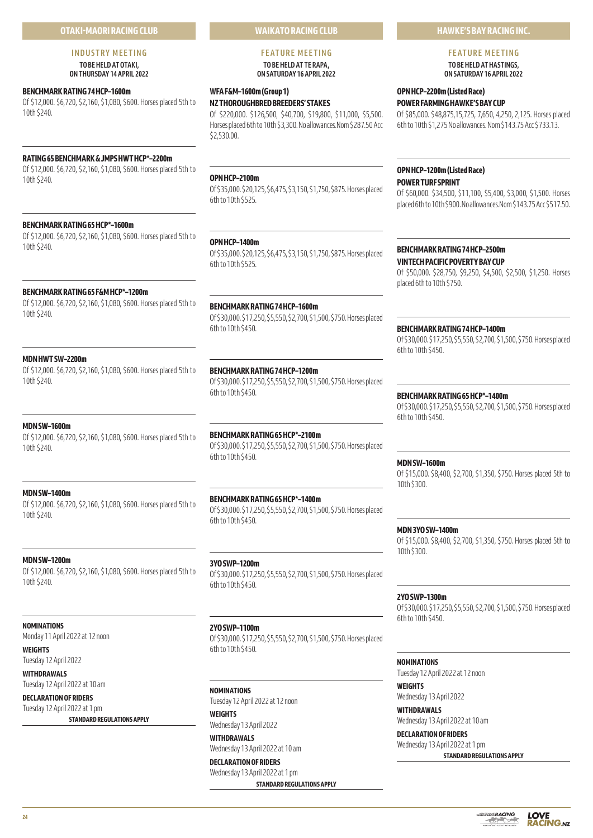# **OTAKI-MAORI RACING CLUB**

#### **INDUSTRY MEETING TO BE HELD AT OTAKI, ON THURSDAY 14 APRIL 2022**

**BENCHMARK RATING 74 HCP–1600m**

Of \$12,000. \$6,720, \$2,160, \$1,080, \$600. Horses placed 5th to 10th \$240.

# **RATING 65 BENCHMARK & JMPS HWT HCP\*–2200m**

Of \$12,000. \$6,720, \$2,160, \$1,080, \$600. Horses placed 5th to 10th \$240.

# **BENCHMARK RATING 65 HCP\*–1600m**

Of \$12,000. \$6,720, \$2,160, \$1,080, \$600. Horses placed 5th to 10th \$240.

#### **BENCHMARK RATING 65 F&M HCP\*–1200m**

Of \$12,000. \$6,720, \$2,160, \$1,080, \$600. Horses placed 5th to 10th \$240.

**MDN HWT SW–2200m**

Of \$12,000. \$6,720, \$2,160, \$1,080, \$600. Horses placed 5th to 10th \$240.

# **MDN SW–1600m**

Of \$12,000. \$6,720, \$2,160, \$1,080, \$600. Horses placed 5th to 10th \$240.

#### **MDN SW–1400m**

Of \$12,000. \$6,720, \$2,160, \$1,080, \$600. Horses placed 5th to 10th \$240.

#### **MDN SW–1200m**

Of \$12,000. \$6,720, \$2,160, \$1,080, \$600. Horses placed 5th to 10th \$240.

# **NOMINATIONS**

Monday 11 April 2022 at 12 noon

**WEIGHTS** Tuesday 12 April 2022

**WITHDRAWALS** Tuesday 12 April 2022 at 10 am

**DECLARATION OF RIDERS** Tuesday 12 April 2022 at 1 pm

**STANDARD REGULATIONS APPLY**

**WAIKATO RACING CLUB**

# **FEATURE MEETING TO BE HELD AT TE RAPA,**

**ON SATURDAY 16 APRIL 2022** 

# **WFA F&M–1600m (Group 1)**

**NZ THOROUGHBRED BREEDERS' STAKES** Of \$220,000. \$126,500, \$40,700, \$19,800, \$11,000, \$5,500. Horses placed 6th to 10th \$3,300. No allowances.Nom \$287.50 Acc \$2,530.00.

# **OPN HCP–2100m**

Of \$35,000. \$20,125, \$6,475, \$3,150, \$1,750, \$875. Horses placed 6th to 10th \$525.

# **OPN HCP–1400m**

Of \$35,000. \$20,125, \$6,475, \$3,150, \$1,750, \$875. Horses placed 6th to 10th \$525.

# **BENCHMARK RATING 74 HCP–1600m**

Of \$30,000. \$17,250, \$5,550, \$2,700, \$1,500, \$750. Horses placed 6th to 10th \$450.

# **BENCHMARK RATING 74 HCP–1200m**

Of \$30,000. \$17,250, \$5,550, \$2,700, \$1,500, \$750. Horses placed 6th to 10th \$450.

# **BENCHMARK RATING 65 HCP\*–2100m**

Of \$30,000. \$17,250, \$5,550, \$2,700, \$1,500, \$750. Horses placed 6th to 10th \$450.

# **BENCHMARK RATING 65 HCP\*–1400m**

Of \$30,000. \$17,250, \$5,550, \$2,700, \$1,500, \$750. Horses placed 6th to 10th \$450.

# **3YO SWP–1200m**

Of \$30,000. \$17,250, \$5,550, \$2,700, \$1,500, \$750. Horses placed 6th to 10th \$450.

# **2YO SWP–1100m**

Of \$30,000. \$17,250, \$5,550, \$2,700, \$1,500, \$750. Horses placed 6th to 10th \$450.

# **NOMINATIONS**

Tuesday 12 April 2022 at 12 noon **WEIGHTS**

# Wednesday 13 April 2022 **WITHDRAWALS**

Wednesday 13 April 2022 at 10 am **DECLARATION OF RIDERS**

# Wednesday 13 April 2022 at 1 pm

**STANDARD REGULATIONS APPLY**

# **HAWKE'S BAY RACING INC.**

# **FEATURE MEETING**

**TO BE HELD AT HASTINGS, ON SATURDAY 16 APRIL 2022** 

# **OPN HCP–2200m (Listed Race) POWER FARMING HAWKE'S BAY CUP**

Of \$85,000. \$48,875,15,725, 7,650, 4,250, 2,125. Horses placed 6th to 10th \$1,275 No allowances. Nom \$143.75 Acc \$733.13.

# **OPN HCP–1200m (Listed Race) POWER TURF SPRINT**

Of \$60,000. \$34,500, \$11,100, \$5,400, \$3,000, \$1,500. Horses placed 6th to 10th \$900. No allowances.Nom \$143.75 Acc \$517.50.

# **BENCHMARK RATING 74 HCP–2500m**

**VINTECH PACIFIC POVERTY BAY CUP** Of \$50,000. \$28,750, \$9,250, \$4,500, \$2,500, \$1,250. Horses placed 6th to 10th \$750.

#### **BENCHMARK RATING 74 HCP–1400m**

Of \$30,000. \$17,250, \$5,550, \$2,700, \$1,500, \$750. Horses placed 6th to 10th \$450.

#### **BENCHMARK RATING 65 HCP\*–1400m**

Of \$30,000. \$17,250, \$5,550, \$2,700, \$1,500, \$750. Horses placed 6th to 10th \$450.

#### **MDN SW–1600m**

Of \$15,000. \$8,400, \$2,700, \$1,350, \$750. Horses placed 5th to 10th \$300.

# **MDN 3YO SW–1400m**

Of \$15,000. \$8,400, \$2,700, \$1,350, \$750. Horses placed 5th to 10th \$300.

# **2YO SWP–1300m**

Of \$30,000. \$17,250, \$5,550, \$2,700, \$1,500, \$750. Horses placed 6th to 10th \$450.

# **NOMINATIONS**

Tuesday 12 April 2022 at 12 noon

**WEIGHTS** Wednesday 13 April 2022

**WITHDRAWALS** Wednesday 13 April 2022 at 10 am

# **DECLARATION OF RIDERS** Wednesday 13 April 2022 at 1 pm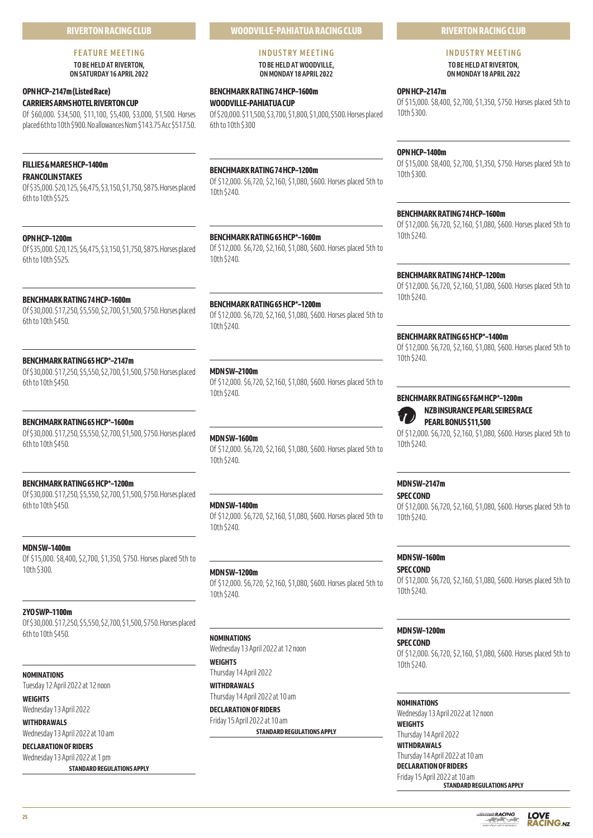# **RIVERTON RACING CLUB**

# **FEATURE MEETING**

**TO BE HELD AT RIVERTON, ON SATURDAY 16 APRIL 2022** 

# **OPN HCP–2147m (Listed Race) CARRIERS ARMS HOTEL RIVERTON CUP**

Of \$60,000. \$34,500, \$11,100, \$5,400, \$3,000, \$1,500. Horses placed 6th to 10th \$900. No allowances Nom \$143.75 Acc \$517.50.

# **FILLIES & MARES HCP–1400m FRANCOLIN STAKES**

Of \$35,000. \$20,125, \$6,475, \$3,150, \$1,750, \$875. Horses placed 6th to 10th \$525.

# **OPN HCP–1200m**

Of \$35,000. \$20,125, \$6,475, \$3,150, \$1,750, \$875. Horses placed 6th to 10th \$525.

# **BENCHMARK RATING 74 HCP–1600m**

Of \$30,000. \$17,250, \$5,550, \$2,700, \$1,500, \$750. Horses placed 6th to 10th \$450.

# **BENCHMARK RATING 65 HCP\*–2147m**

Of \$30,000. \$17,250, \$5,550, \$2,700, \$1,500, \$750. Horses placed 6th to 10th \$450.

# **BENCHMARK RATING 65 HCP\*–1600m**

Of \$30,000. \$17,250, \$5,550, \$2,700, \$1,500, \$750. Horses placed 6th to 10th \$450.

# **BENCHMARK RATING 65 HCP\*–1200m**

Of \$30,000. \$17,250, \$5,550, \$2,700, \$1,500, \$750. Horses placed 6th to 10th \$450.

# **MDN SW–1400m**

Of \$15,000. \$8,400, \$2,700, \$1,350, \$750. Horses placed 5th to 10th \$300.

# **2YO SWP–1100m**

Of \$30,000. \$17,250, \$5,550, \$2,700, \$1,500, \$750. Horses placed 6th to 10th \$450.

# **NOMINATIONS**

Tuesday 12 April 2022 at 12 noon **WEIGHTS**

Wednesday 13 April 2022

# **WITHDRAWALS**

Wednesday 13 April 2022 at 10 am **DECLARATION OF RIDERS**

Wednesday 13 April 2022 at 1 pm **STANDARD REGULATIONS APPLY**

# **WOODVILLE-PAHIATUA RACING CLUB**

**INDUSTRY MEETING TO BE HELD AT WOODVILLE, ON MONDAY 18 APRIL 2022** 

# **BENCHMARK RATING 74 HCP–1600m WOODVILLE-PAHIATUA CUP**

Of \$20,000. \$11,500, \$3,700, \$1,800, \$1,000, \$500. Horses placed 6th to 10th \$300

# **BENCHMARK RATING 74 HCP–1200m**

Of \$12,000. \$6,720, \$2,160, \$1,080, \$600. Horses placed 5th to 10th \$240.

# **BENCHMARK RATING 65 HCP\*–1600m**

Of \$12,000. \$6,720, \$2,160, \$1,080, \$600. Horses placed 5th to 10th \$240.

# **BENCHMARK RATING 65 HCP\*–1200m**

Of \$12,000. \$6,720, \$2,160, \$1,080, \$600. Horses placed 5th to 10th \$240.

# **MDN SW–2100m**

Of \$12,000. \$6,720, \$2,160, \$1,080, \$600. Horses placed 5th to 10th \$240.

# **MDN SW–1600m**

Of \$12,000. \$6,720, \$2,160, \$1,080, \$600. Horses placed 5th to 10th \$240.

# **MDN SW–1400m**

Of \$12,000. \$6,720, \$2,160, \$1,080, \$600. Horses placed 5th to 10th \$240.

# **MDN SW–1200m**

Of \$12,000. \$6,720, \$2,160, \$1,080, \$600. Horses placed 5th to 10th \$240.

# **NOMINATIONS**

Wednesday 13 April 2022 at 12 noon **WEIGHTS**

Thursday 14 April 2022 **WITHDRAWALS**

Thursday 14 April 2022 at 10 am **DECLARATION OF RIDERS**

Friday 15 April 2022 at 10 am **STANDARD REGULATIONS APPLY**

# **RIVERTON RACING CLUB**

#### **INDUSTRY MEETING TO BE HELD AT RIVERTON, ON MONDAY 18 APRIL 2022**

**OPN HCP–2147m** Of \$15,000. \$8,400, \$2,700, \$1,350, \$750. Horses placed 5th to 10th \$300.

# **OPN HCP–1400m**

Of \$15,000. \$8,400, \$2,700, \$1,350, \$750. Horses placed 5th to 10th \$300.

# **BENCHMARK RATING 74 HCP–1600m**

Of \$12,000. \$6,720, \$2,160, \$1,080, \$600. Horses placed 5th to 10th \$240.

# **BENCHMARK RATING 74 HCP–1200m**

Of \$12,000. \$6,720, \$2,160, \$1,080, \$600. Horses placed 5th to 10th \$240.

# **BENCHMARK RATING 65 HCP\*–1400m**

Of \$12,000. \$6,720, \$2,160, \$1,080, \$600. Horses placed 5th to 10th \$240.

# **BENCHMARK RATING 65 F&M HCP\*–1200m NZB INSURANCE PEARL SEIRES RACE**

**PEARL BONUS \$11,500**

Of \$12,000. \$6,720, \$2,160, \$1,080, \$600. Horses placed 5th to 10th \$240.

# **MDN SW–2147m**

# **SPEC COND**

Of \$12,000. \$6,720, \$2,160, \$1,080, \$600. Horses placed 5th to 10th \$240.

# **MDN SW–1600m**

**SPEC COND**

Of \$12,000. \$6,720, \$2,160, \$1,080, \$600. Horses placed 5th to 10th \$240.

# **MDN SW–1200m**

**SPEC COND** Of \$12,000. \$6,720, \$2,160, \$1,080, \$600. Horses placed 5th to 10th \$240.

# **NOMINATIONS**

Wednesday 13 April 2022 at 12 noon **WEIGHTS** Thursday 14 April 2022

**WITHDRAWALS** Thursday 14 April 2022 at 10 am

# **DECLARATION OF RIDERS**

Friday 15 April 2022 at 10 am **STANDARD REGULATIONS APPLY**

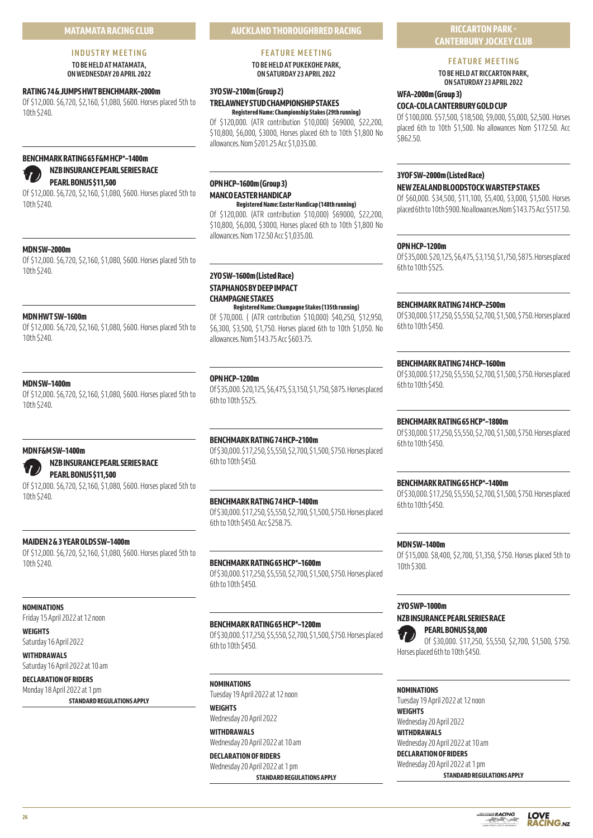# **INDUSTRY MEETING TO BE HELD AT MATAMATA,**

**ON WEDNESDAY 20 APRIL 2022** 

# **RATING 74 & JUMPS HWT BENCHMARK–2000m**

Of \$12,000. \$6,720, \$2,160, \$1,080, \$600. Horses placed 5th to 10th \$240.

# **BENCHMARK RATING 65 F&M HCP\*–1400m NZB INSURANCE PEARL SERIES RACE**

# **PEARL BONUS \$11,500**

Of \$12,000. \$6,720, \$2,160, \$1,080, \$600. Horses placed 5th to 10th \$240.

# **MDN SW–2000m**

Of \$12,000. \$6,720, \$2,160, \$1,080, \$600. Horses placed 5th to 10th \$240.

# **MDN HWT SW–1600m**

Of \$12,000. \$6,720, \$2,160, \$1,080, \$600. Horses placed 5th to 10th \$240.

# **MDN SW–1400m**

Of \$12,000. \$6,720, \$2,160, \$1,080, \$600. Horses placed 5th to 10th \$240.

# **MDN F&M SW–1400m**

# **NZB INSURANCE PEARL SERIES RACE PEARL BONUS \$11,500**

Of \$12,000. \$6,720, \$2,160, \$1,080, \$600. Horses placed 5th to 10th \$240.

# **MAIDEN 2 & 3 YEAR OLDS SW–1400m**

Of \$12,000. \$6,720, \$2,160, \$1,080, \$600. Horses placed 5th to 10th \$240.

# **NOMINATIONS**

Friday 15 April 2022 at 12 noon

**WEIGHTS**

Saturday 16 April 2022

**WITHDRAWALS**

Saturday 16 April 2022 at 10 am **DECLARATION OF RIDERS**

Monday 18 April 2022 at 1 pm

**STANDARD REGULATIONS APPLY**

# **AUCKLAND THOROUGHBRED RACING**

# **FEATURE MEETING**

**TO BE HELD AT PUKEKOHE PARK, ON SATURDAY 23 APRIL 2022**

# **3YO SW–2100m (Group 2) TRELAWNEY STUD CHAMPIONSHIP STAKES**

**Registered Name: Championship Stakes (29th running)** Of \$120,000. (ATR contribution \$10,000) \$69000, \$22,200, \$10,800, \$6,000, \$3000, Horses placed 6th to 10th \$1,800 No allowances. Nom \$201.25 Acc \$1,035.00.

# **OPN HCP–1600m (Group 3) MANCO EASTER HANDICAP**

**Registered Name: Easter Handicap (148th running)**

Of \$120,000. (ATR contribution \$10,000) \$69000, \$22,200, \$10,800, \$6,000, \$3000, Horses placed 6th to 10th \$1,800 No allowances. Nom 172.50 Acc \$1,035.00.

# **2YO SW–1600m (Listed Race) STAPHANOS BY DEEP IMPACT CHAMPAGNE STAKES Registered Name: Champagne Stakes (135th running)**

Of \$70,000. ( (ATR contribution \$10,000) \$40,250, \$12,950, \$6,300, \$3,500, \$1,750. Horses placed 6th to 10th \$1,050. No allowances. Nom \$143.75 Acc \$603.75.

# **OPN HCP–1200m**

Of \$35,000. \$20,125, \$6,475, \$3,150, \$1,750, \$875. Horses placed 6th to 10th \$525.

# **BENCHMARK RATING 74 HCP–2100m** Of \$30,000. \$17,250, \$5,550, \$2,700, \$1,500, \$750. Horses placed

6th to 10th \$450.

# **BENCHMARK RATING 74 HCP–1400m**

Of \$30,000. \$17,250, \$5,550, \$2,700, \$1,500, \$750. Horses placed 6th to 10th \$450. Acc \$258.75.

# **BENCHMARK RATING 65 HCP\*–1600m**

Of \$30,000. \$17,250, \$5,550, \$2,700, \$1,500, \$750. Horses placed 6th to 10th \$450.

# **BENCHMARK RATING 65 HCP\*–1200m**

Of \$30,000. \$17,250, \$5,550, \$2,700, \$1,500, \$750. Horses placed 6th to 10th \$450.

**NOMINATIONS** Tuesday 19 April 2022 at 12 noon

**WEIGHTS** Wednesday 20 April 2022

**WITHDRAWALS** Wednesday 20 April 2022 at 10 am

**DECLARATION OF RIDERS** Wednesday 20 April 2022 at 1 pm

**STANDARD REGULATIONS APPLY**

# **RICCARTON PARK - CANTERBURY JOCKEY CLUB**

# **FEATURE MEETING**

**TO BE HELD AT RICCARTON PARK, ON SATURDAY 23 APRIL 2022** 

# **WFA–2000m (Group 3)**

# **COCA-COLA CANTERBURY GOLD CUP**

Of \$100,000. \$57,500, \$18,500, \$9,000, \$5,000, \$2,500. Horses placed 6th to 10th \$1,500. No allowances Nom \$172.50. Acc \$862.50.

# **3YOF SW–2000m (Listed Race)**

#### **NEW ZEALAND BLOODSTOCK WARSTEP STAKES**

Of \$60,000. \$34,500, \$11,100, \$5,400, \$3,000, \$1,500. Horses placed 6th to 10th \$900. No allowances.Nom \$143.75 Acc \$517.50.

# **OPN HCP–1200m**

Of \$35,000. \$20,125, \$6,475, \$3,150, \$1,750, \$875. Horses placed 6th to 10th \$525.

# **BENCHMARK RATING 74 HCP–2500m**

Of \$30,000. \$17,250, \$5,550, \$2,700, \$1,500, \$750. Horses placed 6th to 10th \$450.

# **BENCHMARK RATING 74 HCP–1600m**

Of \$30,000. \$17,250, \$5,550, \$2,700, \$1,500, \$750. Horses placed 6th to 10th \$450.

# **BENCHMARK RATING 65 HCP\*–1800m**

Of \$30,000. \$17,250, \$5,550, \$2,700, \$1,500, \$750. Horses placed 6th to 10th \$450.

# **BENCHMARK RATING 65 HCP\*–1400m**

Of \$30,000. \$17,250, \$5,550, \$2,700, \$1,500, \$750. Horses placed 6th to 10th \$450.

# **MDN SW–1400m**

Of \$15,000. \$8,400, \$2,700, \$1,350, \$750. Horses placed 5th to 10th \$300.

# **2YO SWP–1000m**

# **NZB INSURANCE PEARL SERIES RACE**

**PEARL BONUS \$8,000** Of \$30,000. \$17,250, \$5,550, \$2,700, \$1,500, \$750. Horses placed 6th to 10th \$450.

# **NOMINATIONS**

Tuesday 19 April 2022 at 12 noon **WEIGHTS** Wednesday 20 April 2022

**WITHDRAWALS** Wednesday 20 April 2022 at 10 am

#### **DECLARATION OF RIDERS** Wednesday 20 April 2022 at 1 pm

**STANDARD REGULATIONS APPLY**



**LOVE** 

**RACING.NZ**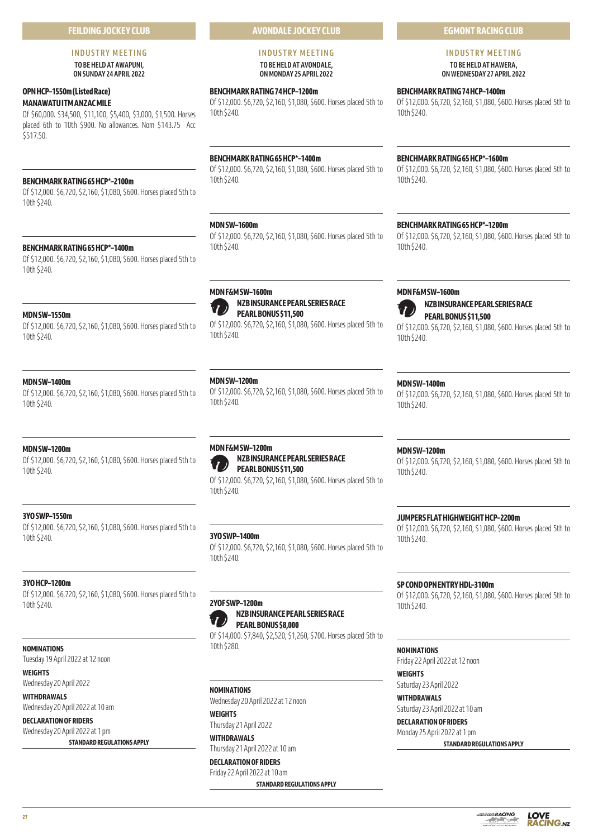# **FEILDING JOCKEY CLUB**

# **INDUSTRY MEETING TO BE HELD AT AWAPUNI,**

**ON SUNDAY 24 APRIL 2022** 

# **OPN HCP–1550m (Listed Race)**

**MANAWATU ITM ANZAC MILE**

Of \$60,000. \$34,500, \$11,100, \$5,400, \$3,000, \$1,500. Horses placed 6th to 10th \$900. No allowances. Nom \$143.75 Acc \$517.50.

# **BENCHMARK RATING 65 HCP\*–2100m**

Of \$12,000. \$6,720, \$2,160, \$1,080, \$600. Horses placed 5th to 10th \$240.

# **BENCHMARK RATING 65 HCP\*–1400m**

Of \$12,000. \$6,720, \$2,160, \$1,080, \$600. Horses placed 5th to 10th \$240.

# **MDN SW–1550m**

Of \$12,000. \$6,720, \$2,160, \$1,080, \$600. Horses placed 5th to 10th \$240.

# **MDN SW–1400m**

Of \$12,000. \$6,720, \$2,160, \$1,080, \$600. Horses placed 5th to 10th \$240.

# **MDN SW–1200m**

Of \$12,000. \$6,720, \$2,160, \$1,080, \$600. Horses placed 5th to 10th \$240.

# **3YO SWP–1550m**

Of \$12,000. \$6,720, \$2,160, \$1,080, \$600. Horses placed 5th to 10th \$240.

# **3YO HCP–1200m**

Of \$12,000. \$6,720, \$2,160, \$1,080, \$600. Horses placed 5th to 10th \$240.

# **NOMINATIONS**

Tuesday 19 April 2022 at 12 noon

**WEIGHTS**

Wednesday 20 April 2022

**WITHDRAWALS** Wednesday 20 April 2022 at 10 am

**DECLARATION OF RIDERS** Wednesday 20 April 2022 at 1 pm **STANDARD REGULATIONS APPLY**

# **AVONDALE JOCKEY CLUB**

#### **INDUSTRY MEETING TO BE HELD AT AVONDALE, ON MONDAY 25 APRIL 2022**

# **BENCHMARK RATING 74 HCP–1200m**

Of \$12,000. \$6,720, \$2,160, \$1,080, \$600. Horses placed 5th to 10th \$240.

# **BENCHMARK RATING 65 HCP\*–1400m**

Of \$12,000. \$6,720, \$2,160, \$1,080, \$600. Horses placed 5th to 10th \$240.

# **MDN SW–1600m**

**MDN F&M SW–1600m**

Of \$12,000. \$6,720, \$2,160, \$1,080, \$600. Horses placed 5th to 10th \$240.

**NZB INSURANCE PEARL SERIES RACE**

Of \$12,000. \$6,720, \$2,160, \$1,080, \$600. Horses placed 5th to

**PEARL BONUS \$11,500**

# **BENCHMARK RATING 65 HCP\*–1600m**

Of \$12,000. \$6,720, \$2,160, \$1,080, \$600. Horses placed 5th to 10th \$240.

# **BENCHMARK RATING 65 HCP\*–1200m**

Of \$12,000. \$6,720, \$2,160, \$1,080, \$600. Horses placed 5th to 10th \$240.



**PEARL BONUS \$11,500** Of \$12,000. \$6,720, \$2,160, \$1,080, \$600. Horses placed 5th to 10th \$240.

Of \$12,000. \$6,720, \$2,160, \$1,080, \$600. Horses placed 5th to

# **MDN SW–1200m**

10th \$240.

Of \$12,000. \$6,720, \$2,160, \$1,080, \$600. Horses placed 5th to 10th \$240.

## **MDN F&M SW–1200m NZB INSURANCE PEARL SERIES RACE**



Of \$12,000. \$6,720, \$2,160, \$1,080, \$600. Horses placed 5th to 10th \$240.

# **3YO SWP–1400m**

Of \$12,000. \$6,720, \$2,160, \$1,080, \$600. Horses placed 5th to 10th \$240.

# **2YOF SWP–1200m NZB INSURANCE PEARL SERIES RACE PEARL BONUS \$8,000**

Of \$14,000. \$7,840, \$2,520, \$1,260, \$700. Horses placed 5th to 10th \$280.

# **NOMINATIONS**

Wednesday 20 April 2022 at 12 noon **WEIGHTS**

Thursday 21 April 2022

**WITHDRAWALS** Thursday 21 April 2022 at 10 am

**DECLARATION OF RIDERS**

Friday 22 April 2022 at 10 am **STANDARD REGULATIONS APPLY**

# **MDN SW–1200m**

**MDN SW–1400m**

10th \$240.

Of \$12,000. \$6,720, \$2,160, \$1,080, \$600. Horses placed 5th to 10th \$240.

# **JUMPERS FLAT HIGHWEIGHT HCP–2200m**

Of \$12,000. \$6,720, \$2,160, \$1,080, \$600. Horses placed 5th to 10th \$240.

# **SP COND OPN ENTRY HDL–3100m**

Of \$12,000. \$6,720, \$2,160, \$1,080, \$600. Horses placed 5th to 10th \$240.

# **NOMINATIONS**

Friday 22 April 2022 at 12 noon

# **WEIGHTS**

Saturday 23 April 2022

**WITHDRAWALS** Saturday 23 April 2022 at 10 am

# **DECLARATION OF RIDERS** Monday 25 April 2022 at 1 pm

**STANDARD REGULATIONS APPLY**



# **EGMONT RACING CLUB**

# **INDUSTRY MEETING TO BE HELD AT HAWERA,**

**ON WEDNESDAY 27 APRIL 2022** 

**BENCHMARK RATING 74 HCP–1400m**

Of \$12,000. \$6,720, \$2,160, \$1,080, \$600. Horses placed 5th to 10th \$240.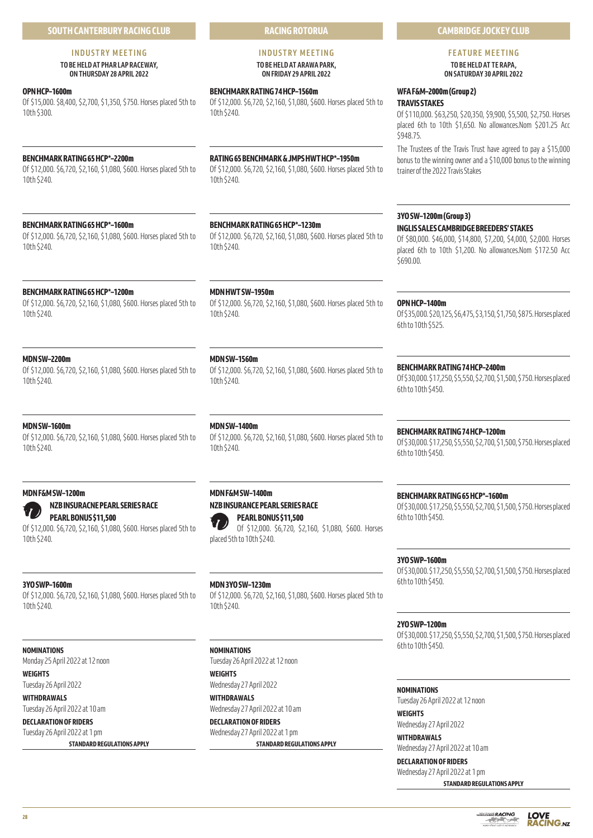# **INDUSTRY MEETING**

# **TO BE HELD AT PHAR LAP RACEWAY, ON THURSDAY 28 APRIL 2022**

# **OPN HCP–1600m**

Of \$15,000. \$8,400, \$2,700, \$1,350, \$750. Horses placed 5th to 10th \$300.

# **BENCHMARK RATING 65 HCP\*–2200m**

Of \$12,000. \$6,720, \$2,160, \$1,080, \$600. Horses placed 5th to 10th \$240.

# **BENCHMARK RATING 65 HCP\*–1600m**

Of \$12,000. \$6,720, \$2,160, \$1,080, \$600. Horses placed 5th to 10th \$240.

# **BENCHMARK RATING 65 HCP\*–1200m**

Of \$12,000. \$6,720, \$2,160, \$1,080, \$600. Horses placed 5th to 10th \$240.

# **MDN SW–2200m**

Of \$12,000. \$6,720, \$2,160, \$1,080, \$600. Horses placed 5th to 10th \$240.

# **MDN SW–1600m**

Of \$12,000. \$6,720, \$2,160, \$1,080, \$600. Horses placed 5th to 10th \$240.

# **MDN F&M SW–1200m**

# **NZB INSURACNE PEARL SERIES RACE PEARL BONUS \$11,500**

Of \$12,000. \$6,720, \$2,160, \$1,080, \$600. Horses placed 5th to 10th \$240.

# **3YO SWP–1600m**

Of \$12,000. \$6,720, \$2,160, \$1,080, \$600. Horses placed 5th to 10th \$240.

# **NOMINATIONS**

Monday 25 April 2022 at 12 noon

# **WEIGHTS**

Tuesday 26 April 2022 **WITHDRAWALS**

Tuesday 26 April 2022 at 10 am

# **DECLARATION OF RIDERS** Tuesday 26 April 2022 at 1 pm

**STANDARD REGULATIONS APPLY**

**RACING ROTORUA**

## **INDUSTRY MEETING TO BE HELD AT ARAWA PARK, ON FRIDAY 29 APRIL 2022**

# **BENCHMARK RATING 74 HCP–1560m**

Of \$12,000. \$6,720, \$2,160, \$1,080, \$600. Horses placed 5th to 10th \$240.

# **RATING 65 BENCHMARK & JMPS HWT HCP\*–1950m**

Of \$12,000. \$6,720, \$2,160, \$1,080, \$600. Horses placed 5th to 10th \$240.

# **BENCHMARK RATING 65 HCP\*–1230m**

Of \$12,000. \$6,720, \$2,160, \$1,080, \$600. Horses placed 5th to 10th \$240.

# **MDN HWT SW–1950m**

Of \$12,000. \$6,720, \$2,160, \$1,080, \$600. Horses placed 5th to 10th \$240.

# **MDN SW–1560m**

Of \$12,000. \$6,720, \$2,160, \$1,080, \$600. Horses placed 5th to 10th \$240.

# **MDN SW–1400m**

Of \$12,000. \$6,720, \$2,160, \$1,080, \$600. Horses placed 5th to 10th \$240.

# **MDN F&M SW–1400m NZB INSURANCE PEARL SERIES RACE PEARL BONUS \$11,500**

Of \$12,000. \$6,720, \$2,160, \$1,080, \$600. Horses placed 5th to 10th \$240.

# **MDN 3YO SW–1230m**

Of \$12,000. \$6,720, \$2,160, \$1,080, \$600. Horses placed 5th to 10th \$240.

# **NOMINATIONS**

Tuesday 26 April 2022 at 12 noon **WEIGHTS**

Wednesday 27 April 2022

**WITHDRAWALS** Wednesday 27 April 2022 at 10 am

**DECLARATION OF RIDERS** Wednesday 27 April 2022 at 1 pm

**STANDARD REGULATIONS APPLY**

# **FEATURE MEETING**

**CAMBRIDGE JOCKEY CLUB**

**TO BE HELD AT TE RAPA, ON SATURDAY 30 APRIL 2022** 

# **WFA F&M–2000m (Group 2)**

**TRAVIS STAKES**

Of \$110,000. \$63,250, \$20,350, \$9,900, \$5,500, \$2,750. Horses placed 6th to 10th \$1,650. No allowances.Nom \$201.25 Acc \$948.75.

The Trustees of the Travis Trust have agreed to pay a \$15,000 bonus to the winning owner and a \$10,000 bonus to the winning trainer of the 2022 Travis Stakes

# **3YO SW–1200m (Group 3)**

**INGLIS SALES CAMBRIDGE BREEDERS' STAKES**

Of \$80,000. \$46,000, \$14,800, \$7,200, \$4,000, \$2,000. Horses placed 6th to 10th \$1,200. No allowances.Nom \$172.50 Acc \$690.00

# **OPN HCP–1400m**

Of \$35,000. \$20,125, \$6,475, \$3,150, \$1,750, \$875. Horses placed 6th to 10th \$525.

# **BENCHMARK RATING 74 HCP–2400m**

Of \$30,000. \$17,250, \$5,550, \$2,700, \$1,500, \$750. Horses placed 6th to 10th \$450.

# **BENCHMARK RATING 74 HCP–1200m**

Of \$30,000. \$17,250, \$5,550, \$2,700, \$1,500, \$750. Horses placed 6th to 10th \$450.

# **BENCHMARK RATING 65 HCP\*–1600m**

Of \$30,000. \$17,250, \$5,550, \$2,700, \$1,500, \$750. Horses placed 6th to 10th \$450.

# **3YO SWP–1600m**

Of \$30,000. \$17,250, \$5,550, \$2,700, \$1,500, \$750. Horses placed 6th to 10th \$450.

# **2YO SWP–1200m**

Of \$30,000. \$17,250, \$5,550, \$2,700, \$1,500, \$750. Horses placed 6th to 10th \$450.

# **NOMINATIONS**

Tuesday 26 April 2022 at 12 noon

# **WEIGHTS**

Wednesday 27 April 2022 **WITHDRAWALS**

# Wednesday 27 April 2022 at 10 am

**DECLARATION OF RIDERS** Wednesday 27 April 2022 at 1 pm

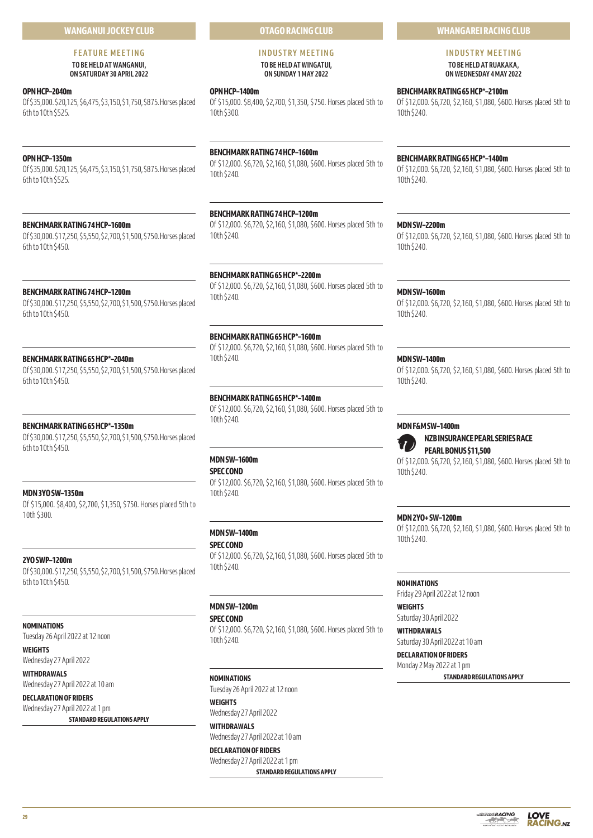# **WANGANUI JOCKEY CLUB**

# **FEATURE MEETING**

**TO BE HELD AT WANGANUI, ON SATURDAY 30 APRIL 2022** 

#### **OPN HCP–2040m**

Of \$35,000. \$20,125, \$6,475, \$3,150, \$1,750, \$875. Horses placed 6th to 10th \$525.

# **OPN HCP–1350m**

Of \$35,000. \$20,125, \$6,475, \$3,150, \$1,750, \$875. Horses placed 6th to 10th \$525.

# **BENCHMARK RATING 74 HCP–1600m**

Of \$30,000. \$17,250, \$5,550, \$2,700, \$1,500, \$750. Horses placed 6th to 10th \$450.

# **BENCHMARK RATING 74 HCP–1200m**

Of \$30,000. \$17,250, \$5,550, \$2,700, \$1,500, \$750. Horses placed 6th to 10th \$450.

#### **BENCHMARK RATING 65 HCP\*–2040m**

Of \$30,000. \$17,250, \$5,550, \$2,700, \$1,500, \$750. Horses placed 6th to 10th \$450.

# **BENCHMARK RATING 65 HCP\*–1350m**

Of \$30,000. \$17,250, \$5,550, \$2,700, \$1,500, \$750. Horses placed 6th to 10th \$450.

# **MDN 3YO SW–1350m**

Of \$15,000. \$8,400, \$2,700, \$1,350, \$750. Horses placed 5th to 10th \$300.

# **2YO SWP–1200m**

Of \$30,000. \$17,250, \$5,550, \$2,700, \$1,500, \$750. Horses placed 6th to 10th \$450.

# **NOMINATIONS**

Tuesday 26 April 2022 at 12 noon

**WEIGHTS**

Wednesday 27 April 2022 **WITHDRAWALS** Wednesday 27 April 2022 at 10 am

**DECLARATION OF RIDERS** Wednesday 27 April 2022 at 1 pm

**STANDARD REGULATIONS APPLY**

# **OTAGO RACING CLUB**

# **INDUSTRY MEETING TO BE HELD AT WINGATUI, ON SUNDAY 1 MAY 2022**

#### **OPN HCP–1400m**

Of \$15,000. \$8,400, \$2,700, \$1,350, \$750. Horses placed 5th to 10th \$300.

# **BENCHMARK RATING 74 HCP–1600m**

Of \$12,000. \$6,720, \$2,160, \$1,080, \$600. Horses placed 5th to 10th \$240.

# **BENCHMARK RATING 74 HCP–1200m**

Of \$12,000. \$6,720, \$2,160, \$1,080, \$600. Horses placed 5th to 10th \$240.

#### **BENCHMARK RATING 65 HCP\*–2200m**

Of \$12,000. \$6,720, \$2,160, \$1,080, \$600. Horses placed 5th to 10th \$240.

## **BENCHMARK RATING 65 HCP\*–1600m**

Of \$12,000. \$6,720, \$2,160, \$1,080, \$600. Horses placed 5th to 10th \$240.

# **BENCHMARK RATING 65 HCP\*–1400m**

Of \$12,000. \$6,720, \$2,160, \$1,080, \$600. Horses placed 5th to 10th \$240.

# **MDN SW–1600m**

**SPEC COND**

Of \$12,000. \$6,720, \$2,160, \$1,080, \$600. Horses placed 5th to 10th \$240.

# **MDN SW–1400m**

**SPEC COND**

Of \$12,000. \$6,720, \$2,160, \$1,080, \$600. Horses placed 5th to 10th \$240.

# **MDN SW–1200m**

**SPEC COND**

Of \$12,000. \$6,720, \$2,160, \$1,080, \$600. Horses placed 5th to 10th \$240.

#### **NOMINATIONS**

Tuesday 26 April 2022 at 12 noon **WEIGHTS**

Wednesday 27 April 2022 **WITHDRAWALS**

Wednesday 27 April 2022 at 10 am

**DECLARATION OF RIDERS** Wednesday 27 April 2022 at 1 pm **STANDARD REGULATIONS APPLY**

# **WHANGAREI RACING CLUB**

**INDUSTRY MEETING TO BE HELD AT RUAKAKA,** 

**ON WEDNESDAY 4 MAY 2022** 

# **BENCHMARK RATING 65 HCP\*–2100m**

Of \$12,000. \$6,720, \$2,160, \$1,080, \$600. Horses placed 5th to 10th \$240.

# **BENCHMARK RATING 65 HCP\*–1400m**

Of \$12,000. \$6,720, \$2,160, \$1,080, \$600. Horses placed 5th to 10th \$240.

**MDN SW–2200m**

Of \$12,000. \$6,720, \$2,160, \$1,080, \$600. Horses placed 5th to 10th \$240.

#### **MDN SW–1600m**

Of \$12,000. \$6,720, \$2,160, \$1,080, \$600. Horses placed 5th to 10th \$240.

#### **MDN SW–1400m**

Of \$12,000. \$6,720, \$2,160, \$1,080, \$600. Horses placed 5th to 10th \$240.

# **MDN F&M SW–1400m**

**NZB INSURANCE PEARL SERIES RACE PEARL BONUS \$11,500** Of \$12,000. \$6,720, \$2,160, \$1,080, \$600. Horses placed 5th to

10th \$240.

# **MDN 2YO+ SW–1200m**

Of \$12,000. \$6,720, \$2,160, \$1,080, \$600. Horses placed 5th to 10th \$240.

#### **NOMINATIONS**

Friday 29 April 2022 at 12 noon

**WEIGHTS** Saturday 30 April 2022

**WITHDRAWALS** Saturday 30 April 2022 at 10 am

# **DECLARATION OF RIDERS**

Monday 2 May 2022 at 1 pm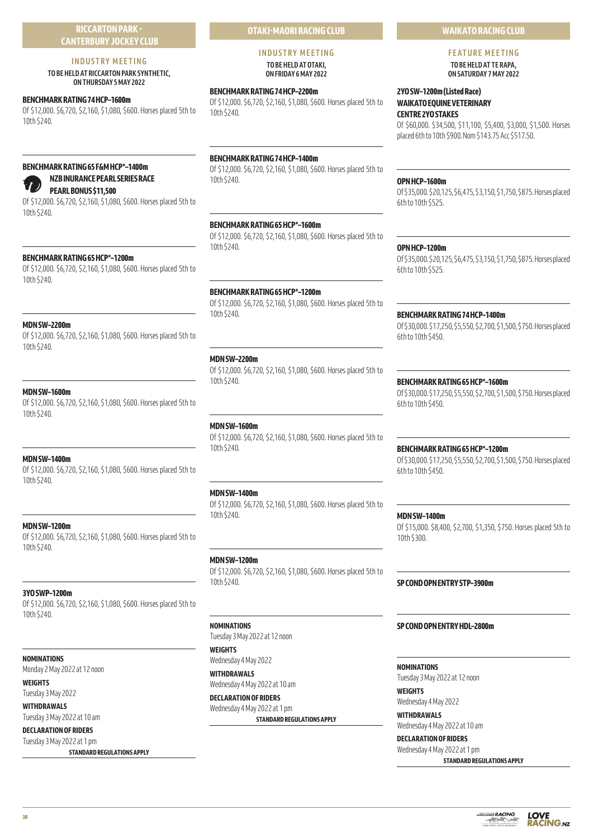# **RICCARTON PARK - CANTERBURY JOCKEY CLUB**

# **INDUSTRY MEETING**

**TO BE HELD AT RICCARTON PARK SYNTHETIC, ON THURSDAY 5 MAY 2022** 

# **BENCHMARK RATING 74 HCP–1600m**

Of \$12,000. \$6,720, \$2,160, \$1,080, \$600. Horses placed 5th to 10th \$240.

# **BENCHMARK RATING 65 F&M HCP\*–1400m**

**PEARL BONUS \$11,500** Of \$12,000. \$6,720, \$2,160, \$1,080, \$600. Horses placed 5th to 10th \$240.

**NZB INURANCE PEARL SERIES RACE**

# **BENCHMARK RATING 65 HCP\*–1200m**

Of \$12,000. \$6,720, \$2,160, \$1,080, \$600. Horses placed 5th to 10th \$240.

# **MDN SW–2200m**

Of \$12,000. \$6,720, \$2,160, \$1,080, \$600. Horses placed 5th to 10th \$240.

# **MDN SW–1600m**

Of \$12,000. \$6,720, \$2,160, \$1,080, \$600. Horses placed 5th to 10th \$240.

# **MDN SW–1400m**

Of \$12,000. \$6,720, \$2,160, \$1,080, \$600. Horses placed 5th to 10th \$240.

# **MDN SW–1200m**

Of \$12,000. \$6,720, \$2,160, \$1,080, \$600. Horses placed 5th to 10th \$240.

# **3YO SWP–1200m**

Of \$12,000. \$6,720, \$2,160, \$1,080, \$600. Horses placed 5th to 10th \$240.

# **NOMINATIONS**

Monday 2 May 2022 at 12 noon

**WEIGHTS** Tuesday 3 May 2022

**WITHDRAWALS**

Tuesday 3 May 2022 at 10 am **DECLARATION OF RIDERS**

Tuesday 3 May 2022 at 1 pm

**STANDARD REGULATIONS APPLY**

# **OTAKI-MAORI RACING CLUB**

#### **INDUSTRY MEETING TO BE HELD AT OTAKI, ON FRIDAY 6 MAY 2022**

# **BENCHMARK RATING 74 HCP–2200m**

Of \$12,000. \$6,720, \$2,160, \$1,080, \$600. Horses placed 5th to 10th \$240.

# **BENCHMARK RATING 74 HCP–1400m**

Of \$12,000. \$6,720, \$2,160, \$1,080, \$600. Horses placed 5th to 10th \$240.

# **BENCHMARK RATING 65 HCP\*–1600m**

Of \$12,000. \$6,720, \$2,160, \$1,080, \$600. Horses placed 5th to 10th \$240.

# **BENCHMARK RATING 65 HCP\*–1200m**

Of \$12,000. \$6,720, \$2,160, \$1,080, \$600. Horses placed 5th to 10th \$240.

# **MDN SW–2200m**

Of \$12,000. \$6,720, \$2,160, \$1,080, \$600. Horses placed 5th to 10th \$240.

# **MDN SW–1600m**

Of \$12,000. \$6,720, \$2,160, \$1,080, \$600. Horses placed 5th to 10th \$240.

# **MDN SW–1400m**

Of \$12,000. \$6,720, \$2,160, \$1,080, \$600. Horses placed 5th to 10th \$240.

# **MDN SW–1200m**

Of \$12,000. \$6,720, \$2,160, \$1,080, \$600. Horses placed 5th to 10th \$240.

# **NOMINATIONS**

Tuesday 3 May 2022 at 12 noon

#### **WEIGHTS**

Wednesday 4 May 2022 **WITHDRAWALS** Wednesday 4 May 2022 at 10 am

**DECLARATION OF RIDERS** Wednesday 4 May 2022 at 1 pm **STANDARD REGULATIONS APPLY** **WAIKATO RACING CLUB**

# **FEATURE MEETING TO BE HELD AT TE RAPA,**

**ON SATURDAY 7 MAY 2022** 

# **2YO SW–1200m (Listed Race) WAIKATO EQUINE VETERINARY CENTRE 2YO STAKES**

Of \$60,000. \$34,500, \$11,100, \$5,400, \$3,000, \$1,500. Horses placed 6th to 10th \$900. Nom \$143.75 Acc \$517.50.

#### **OPN HCP–1600m**

Of \$35,000. \$20,125, \$6,475, \$3,150, \$1,750, \$875. Horses placed 6th to 10th \$525.

# **OPN HCP–1200m**

Of \$35,000. \$20,125, \$6,475, \$3,150, \$1,750, \$875. Horses placed 6th to 10th \$525.

# **BENCHMARK RATING 74 HCP–1400m**

Of \$30,000. \$17,250, \$5,550, \$2,700, \$1,500, \$750. Horses placed 6th to 10th \$450.

# **BENCHMARK RATING 65 HCP\*–1600m**

Of \$30,000. \$17,250, \$5,550, \$2,700, \$1,500, \$750. Horses placed 6th to 10th \$450.

# **BENCHMARK RATING 65 HCP\*–1200m**

Of \$30,000. \$17,250, \$5,550, \$2,700, \$1,500, \$750. Horses placed 6th to 10th \$450.

# **MDN SW–1400m**

Of \$15,000. \$8,400, \$2,700, \$1,350, \$750. Horses placed 5th to 10th \$300.

# **SP COND OPN ENTRY STP–3900m**

# **SP COND OPN ENTRY HDL–2800m**

**NOMINATIONS** Tuesday 3 May 2022 at 12 noon **WEIGHTS**

Wednesday 4 May 2022

**WITHDRAWALS** Wednesday 4 May 2022 at 10 am

**DECLARATION OF RIDERS**

Wednesday 4 May 2022 at 1 pm **STANDARD REGULATIONS APPLY**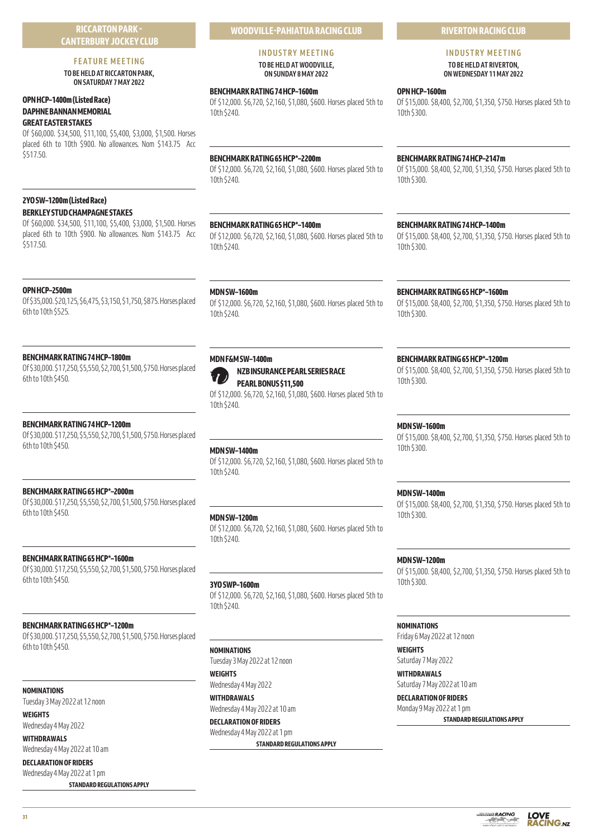# **FEATURE MEETING TO BE HELD AT RICCARTON PARK,**

**ON SATURDAY 7 MAY 2022** 

# **OPN HCP–1400m (Listed Race) DAPHNE BANNAN MEMORIAL GREAT EASTER STAKES**

Of \$60,000. \$34,500, \$11,100, \$5,400, \$3,000, \$1,500. Horses placed 6th to 10th \$900. No allowances. Nom \$143.75 Acc \$517.50.

# **2YO SW–1200m (Listed Race) BERKLEY STUD CHAMPAGNE STAKES**

Of \$60,000. \$34,500, \$11,100, \$5,400, \$3,000, \$1,500. Horses placed 6th to 10th \$900. No allowances. Nom \$143.75 Acc \$517.50.

# **OPN HCP–2500m**

Of \$35,000. \$20,125, \$6,475, \$3,150, \$1,750, \$875. Horses placed 6th to 10th \$525.

# **BENCHMARK RATING 74 HCP–1800m**

Of \$30,000. \$17,250, \$5,550, \$2,700, \$1,500, \$750. Horses placed 6th to 10th \$450.

# **BENCHMARK RATING 74 HCP–1200m**

Of \$30,000. \$17,250, \$5,550, \$2,700, \$1,500, \$750. Horses placed 6th to 10th \$450.

# **BENCHMARK RATING 65 HCP\*–2000m**

Of \$30,000. \$17,250, \$5,550, \$2,700, \$1,500, \$750. Horses placed 6th to 10th \$450.

# **BENCHMARK RATING 65 HCP\*–1600m**

Of \$30,000. \$17,250, \$5,550, \$2,700, \$1,500, \$750. Horses placed 6th to 10th \$450.

# **BENCHMARK RATING 65 HCP\*–1200m**

Of \$30,000. \$17,250, \$5,550, \$2,700, \$1,500, \$750. Horses placed 6th to 10th \$450.

**NOMINATIONS**

Tuesday 3 May 2022 at 12 noon

#### **WEIGHTS** Wednesday 4 May 2022

**WITHDRAWALS** Wednesday 4 May 2022 at 10 am

# **DECLARATION OF RIDERS** Wednesday 4 May 2022 at 1 pm

**STANDARD REGULATIONS APPLY**

# **WOODVILLE-PAHIATUA RACING CLUB**

#### **INDUSTRY MEETING TO BE HELD AT WOODVILLE, ON SUNDAY 8 MAY 2022**

# **BENCHMARK RATING 74 HCP–1600m**

Of \$12,000. \$6,720, \$2,160, \$1,080, \$600. Horses placed 5th to 10th \$240.

# **BENCHMARK RATING 65 HCP\*–2200m**

Of \$12,000. \$6,720, \$2,160, \$1,080, \$600. Horses placed 5th to 10th \$240.

# **BENCHMARK RATING 65 HCP\*–1400m**

Of \$12,000. \$6,720, \$2,160, \$1,080, \$600. Horses placed 5th to 10th \$240.

# **MDN SW–1600m**

Of \$12,000. \$6,720, \$2,160, \$1,080, \$600. Horses placed 5th to 10th \$240.



# **NZB INSURANCE PEARL SERIES RACE PEARL BONUS \$11,500**

Of \$12,000. \$6,720, \$2,160, \$1,080, \$600. Horses placed 5th to 10th \$240.

# **MDN SW–1400m**

Of \$12,000. \$6,720, \$2,160, \$1,080, \$600. Horses placed 5th to 10th \$240.

# **MDN SW–1200m**

Of \$12,000. \$6,720, \$2,160, \$1,080, \$600. Horses placed 5th to 10th \$240.

# **3YO SWP–1600m**

Of \$12,000. \$6,720, \$2,160, \$1,080, \$600. Horses placed 5th to 10th \$240.

# **NOMINATIONS**

Tuesday 3 May 2022 at 12 noon

**WEIGHTS** Wednesday 4 May 2022

**WITHDRAWALS** Wednesday 4 May 2022 at 10 am

**DECLARATION OF RIDERS**

Wednesday 4 May 2022 at 1 pm **STANDARD REGULATIONS APPLY**

# **RIVERTON RACING CLUB**

# **INDUSTRY MEETING TO BE HELD AT RIVERTON,**

**ON WEDNESDAY 11 MAY 2022** 

# **OPN HCP–1600m**

Of \$15,000. \$8,400, \$2,700, \$1,350, \$750. Horses placed 5th to 10th \$300.

# **BENCHMARK RATING 74 HCP–2147m**

Of \$15,000. \$8,400, \$2,700, \$1,350, \$750. Horses placed 5th to 10th \$300.

# **BENCHMARK RATING 74 HCP–1400m**

Of \$15,000. \$8,400, \$2,700, \$1,350, \$750. Horses placed 5th to 10th \$300.

# **BENCHMARK RATING 65 HCP\*–1600m**

Of \$15,000. \$8,400, \$2,700, \$1,350, \$750. Horses placed 5th to 10th \$300.

# **BENCHMARK RATING 65 HCP\*–1200m**

Of \$15,000. \$8,400, \$2,700, \$1,350, \$750. Horses placed 5th to 10th \$300.

# **MDN SW–1600m**

Of \$15,000. \$8,400, \$2,700, \$1,350, \$750. Horses placed 5th to 10th \$300.

# **MDN SW–1400m**

Of \$15,000. \$8,400, \$2,700, \$1,350, \$750. Horses placed 5th to 10th \$300.

# **MDN SW–1200m**

Of \$15,000. \$8,400, \$2,700, \$1,350, \$750. Horses placed 5th to 10th \$300.

# **NOMINATIONS**

Friday 6 May 2022 at 12 noon

**WEIGHTS** Saturday 7 May 2022

**WITHDRAWALS** Saturday 7 May 2022 at 10 am

**DECLARATION OF RIDERS** Monday 9 May 2022 at 1 pm **STANDARD REGULATIONS APPLY**

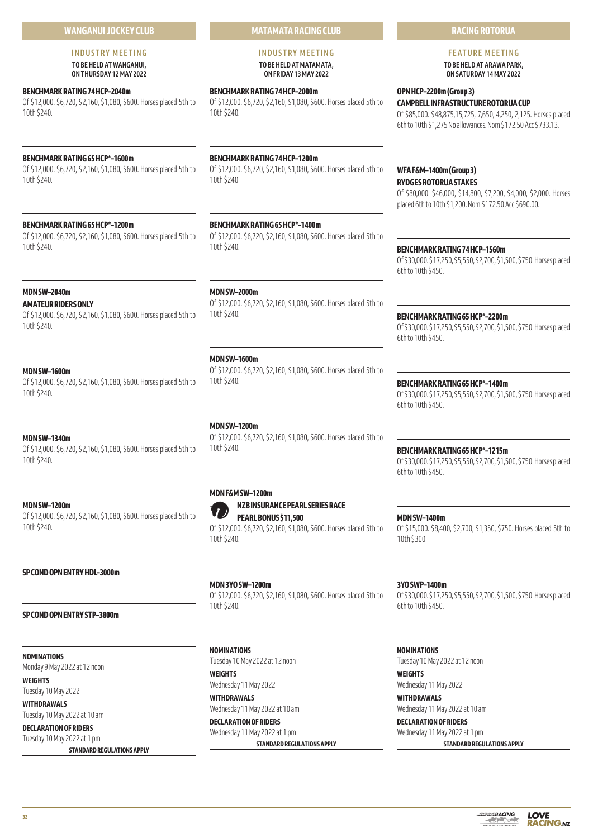# **WANGANUI JOCKEY CLUB**

## **INDUSTRY MEETING TO BE HELD AT WANGANUI, ON THURSDAY 12 MAY 2022**

# **BENCHMARK RATING 74 HCP–2040m**

Of \$12,000. \$6,720, \$2,160, \$1,080, \$600. Horses placed 5th to 10th \$240.

# **BENCHMARK RATING 65 HCP\*–1600m**

Of \$12,000. \$6,720, \$2,160, \$1,080, \$600. Horses placed 5th to 10th \$240.

# **BENCHMARK RATING 65 HCP\*–1200m**

Of \$12,000. \$6,720, \$2,160, \$1,080, \$600. Horses placed 5th to 10th \$240.

# **MDN SW–2040m**

# **AMATEUR RIDERS ONLY**

Of \$12,000. \$6,720, \$2,160, \$1,080, \$600. Horses placed 5th to 10th \$240.

# **MDN SW–1600m**

Of \$12,000. \$6,720, \$2,160, \$1,080, \$600. Horses placed 5th to 10th \$240.

# **MDN SW–1340m**

Of \$12,000. \$6,720, \$2,160, \$1,080, \$600. Horses placed 5th to 10th \$240.

#### **MDN SW–1200m**

Of \$12,000. \$6,720, \$2,160, \$1,080, \$600. Horses placed 5th to 10th \$240.

# **SP COND OPN ENTRY HDL–3000m**

**SP COND OPN ENTRY STP–3800m**

#### **NOMINATIONS**

Monday 9 May 2022 at 12 noon

#### **WEIGHTS** Tuesday 10 May 2022

**WITHDRAWALS** Tuesday 10 May 2022 at 10 am

# **DECLARATION OF RIDERS**

Tuesday 10 May 2022 at 1 pm **STANDARD REGULATIONS APPLY** **MATAMATA RACING CLUB**

## **INDUSTRY MEETING TO BE HELD AT MATAMATA, ON FRIDAY 13 MAY 2022**

# **BENCHMARK RATING 74 HCP–2000m**

Of \$12,000. \$6,720, \$2,160, \$1,080, \$600. Horses placed 5th to 10th \$240.

# **BENCHMARK RATING 74 HCP–1200m**

Of \$12,000. \$6,720, \$2,160, \$1,080, \$600. Horses placed 5th to 10th \$240

# **BENCHMARK RATING 65 HCP\*–1400m**

Of \$12,000. \$6,720, \$2,160, \$1,080, \$600. Horses placed 5th to 10th \$240.

#### **MDN SW–2000m**

Of \$12,000. \$6,720, \$2,160, \$1,080, \$600. Horses placed 5th to 10th \$240.

# **MDN SW–1600m**

Of \$12,000. \$6,720, \$2,160, \$1,080, \$600. Horses placed 5th to 10th \$240.

#### **MDN SW–1200m**

Of \$12,000. \$6,720, \$2,160, \$1,080, \$600. Horses placed 5th to 10th \$240.

# **MDN F&M SW–1200m**



Of \$12,000. \$6,720, \$2,160, \$1,080, \$600. Horses placed 5th to 10th \$240.

# **MDN 3YO SW–1200m**

Of \$12,000. \$6,720, \$2,160, \$1,080, \$600. Horses placed 5th to 10th \$240.

# **NOMINATIONS**

Tuesday 10 May 2022 at 12 noon **WEIGHTS** Wednesday 11 May 2022

**WITHDRAWALS** Wednesday 11 May 2022 at 10 am **DECLARATION OF RIDERS**

Wednesday 11 May 2022 at 1 pm **STANDARD REGULATIONS APPLY**

# **RACING ROTORUA**

# **FEATURE MEETING TO BE HELD AT ARAWA PARK,**

**ON SATURDAY 14 MAY 2022** 

# **OPN HCP–2200m (Group 3) CAMPBELL INFRASTRUCTURE ROTORUA CUP**

Of \$85,000. \$48,875,15,725, 7,650, 4,250, 2,125. Horses placed 6th to 10th \$1,275 No allowances. Nom \$172.50 Acc \$733.13.

# **WFA F&M–1400m (Group 3) RYDGES ROTORUA STAKES**

Of \$80,000. \$46,000, \$14,800, \$7,200, \$4,000, \$2,000. Horses placed 6th to 10th \$1,200. Nom \$172.50 Acc \$690.00.

# **BENCHMARK RATING 74 HCP–1560m**

Of \$30,000. \$17,250, \$5,550, \$2,700, \$1,500, \$750. Horses placed 6th to 10th \$450.

# **BENCHMARK RATING 65 HCP\*–2200m**

Of \$30,000. \$17,250, \$5,550, \$2,700, \$1,500, \$750. Horses placed 6th to 10th \$450.

# **BENCHMARK RATING 65 HCP\*–1400m**

Of \$30,000. \$17,250, \$5,550, \$2,700, \$1,500, \$750. Horses placed 6th to 10th \$450.

# **BENCHMARK RATING 65 HCP\*–1215m**

Of \$30,000. \$17,250, \$5,550, \$2,700, \$1,500, \$750. Horses placed 6th to 10th \$450.

# **MDN SW–1400m**

Of \$15,000. \$8,400, \$2,700, \$1,350, \$750. Horses placed 5th to 10th \$300.

# **3YO SWP–1400m**

Of \$30,000. \$17,250, \$5,550, \$2,700, \$1,500, \$750. Horses placed 6th to 10th \$450.

#### **NOMINATIONS**

Tuesday 10 May 2022 at 12 noon **WEIGHTS**

Wednesday 11 May 2022

# **WITHDRAWALS** Wednesday 11 May 2022 at 10 am

**DECLARATION OF RIDERS** Wednesday 11 May 2022 at 1 pm

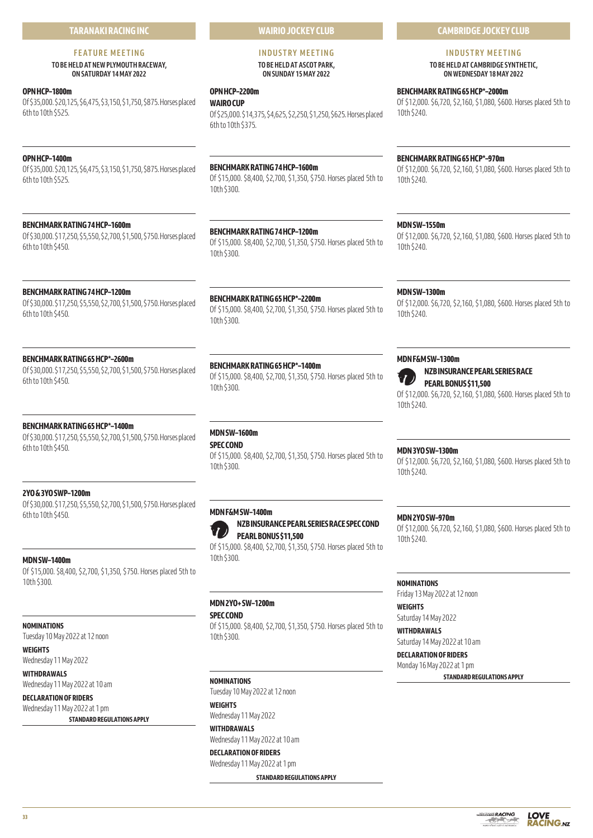# **TARANAKI RACING INC**

# **FEATURE MEETING**

# **TO BE HELD AT NEW PLYMOUTH RACEWAY, ON SATURDAY 14 MAY 2022**

# **OPN HCP–1800m**

Of \$35,000. \$20,125, \$6,475, \$3,150, \$1,750, \$875. Horses placed 6th to 10th \$525.

# **OPN HCP–1400m**

Of \$35,000. \$20,125, \$6,475, \$3,150, \$1,750, \$875. Horses placed 6th to 10th \$525.

# **BENCHMARK RATING 74 HCP–1600m**

Of \$30,000. \$17,250, \$5,550, \$2,700, \$1,500, \$750. Horses placed 6th to 10th \$450.

# **BENCHMARK RATING 74 HCP–1200m**

Of \$30,000. \$17,250, \$5,550, \$2,700, \$1,500, \$750. Horses placed 6th to 10th \$450.

# **BENCHMARK RATING 65 HCP\*–2600m**

Of \$30,000. \$17,250, \$5,550, \$2,700, \$1,500, \$750. Horses placed 6th to 10th \$450.

# **BENCHMARK RATING 65 HCP\*–1400m**

Of \$30,000. \$17,250, \$5,550, \$2,700, \$1,500, \$750. Horses placed 6th to 10th \$450.

# **2YO & 3YO SWP–1200m**

Of \$30,000. \$17,250, \$5,550, \$2,700, \$1,500, \$750. Horses placed 6th to 10th \$450.

# **MDN SW–1400m**

Of \$15,000. \$8,400, \$2,700, \$1,350, \$750. Horses placed 5th to 10th \$300.

# **NOMINATIONS**

Tuesday 10 May 2022 at 12 noon

**WEIGHTS**

Wednesday 11 May 2022 **WITHDRAWALS** Wednesday 11 May 2022 at 10 am

**DECLARATION OF RIDERS** Wednesday 11 May 2022 at 1 pm

**STANDARD REGULATIONS APPLY**

# **WAIRIO JOCKEY CLUB**

#### **INDUSTRY MEETING TO BE HELD AT ASCOT PARK, ON SUNDAY 15 MAY 2022**

# **OPN HCP–2200m**

**WAIRO CUP** Of \$25,000. \$14,375, \$4,625, \$2,250, \$1,250, \$625. Horses placed 6th to 10th \$375.

# **BENCHMARK RATING 74 HCP–1600m**

Of \$15,000. \$8,400, \$2,700, \$1,350, \$750. Horses placed 5th to 10th \$300.

# **BENCHMARK RATING 74 HCP–1200m**

Of \$15,000. \$8,400, \$2,700, \$1,350, \$750. Horses placed 5th to 10th \$300.

**BENCHMARK RATING 65 HCP\*–2200m** Of \$15,000. \$8,400, \$2,700, \$1,350, \$750. Horses placed 5th to 10th \$300.

# **BENCHMARK RATING 65 HCP\*–1400m**

Of \$15,000. \$8,400, \$2,700, \$1,350, \$750. Horses placed 5th to 10th \$300.

# **MDN SW–1600m**

# **SPEC COND**

Of \$15,000. \$8,400, \$2,700, \$1,350, \$750. Horses placed 5th to 10th \$300.

# **MDN F&M SW–1400m**



Of \$15,000. \$8,400, \$2,700, \$1,350, \$750. Horses placed 5th to 10th \$300.

# **MDN 2YO+ SW–1200m**

**SPEC COND**

Of \$15,000. \$8,400, \$2,700, \$1,350, \$750. Horses placed 5th to 10th \$300.

# **NOMINATIONS**

Tuesday 10 May 2022 at 12 noon **WEIGHTS**

Wednesday 11 May 2022 **WITHDRAWALS**

Wednesday 11 May 2022 at 10 am

**DECLARATION OF RIDERS** Wednesday 11 May 2022 at 1 pm

**STANDARD REGULATIONS APPLY**

# **CAMBRIDGE JOCKEY CLUB**

# **INDUSTRY MEETING**

**TO BE HELD AT CAMBRIDGE SYNTHETIC, ON WEDNESDAY 18 MAY 2022** 

# **BENCHMARK RATING 65 HCP\*–2000m**

Of \$12,000. \$6,720, \$2,160, \$1,080, \$600. Horses placed 5th to 10th \$240.

# **BENCHMARK RATING 65 HCP\*–970m**

Of \$12,000. \$6,720, \$2,160, \$1,080, \$600. Horses placed 5th to 10th \$240.

# **MDN SW–1550m**

Of \$12,000. \$6,720, \$2,160, \$1,080, \$600. Horses placed 5th to 10th \$240.

#### **MDN SW–1300m**

Of \$12,000. \$6,720, \$2,160, \$1,080, \$600. Horses placed 5th to 10th \$240.

# **MDN F&M SW–1300m**



**NZB INSURANCE PEARL SERIES RACE**

**PEARL BONUS \$11,500**

Of \$12,000. \$6,720, \$2,160, \$1,080, \$600. Horses placed 5th to 10th \$240.

# **MDN 3YO SW–1300m**

Of \$12,000. \$6,720, \$2,160, \$1,080, \$600. Horses placed 5th to 10th \$240.

# **MDN 2YO SW–970m**

Of \$12,000. \$6,720, \$2,160, \$1,080, \$600. Horses placed 5th to 10th \$240.

# **NOMINATIONS**

Friday 13 May 2022 at 12 noon

**WEIGHTS** Saturday 14 May 2022

**WITHDRAWALS** Saturday 14 May 2022 at 10 am

# **DECLARATION OF RIDERS**

Monday 16 May 2022 at 1 pm **STANDARD REGULATIONS APPLY**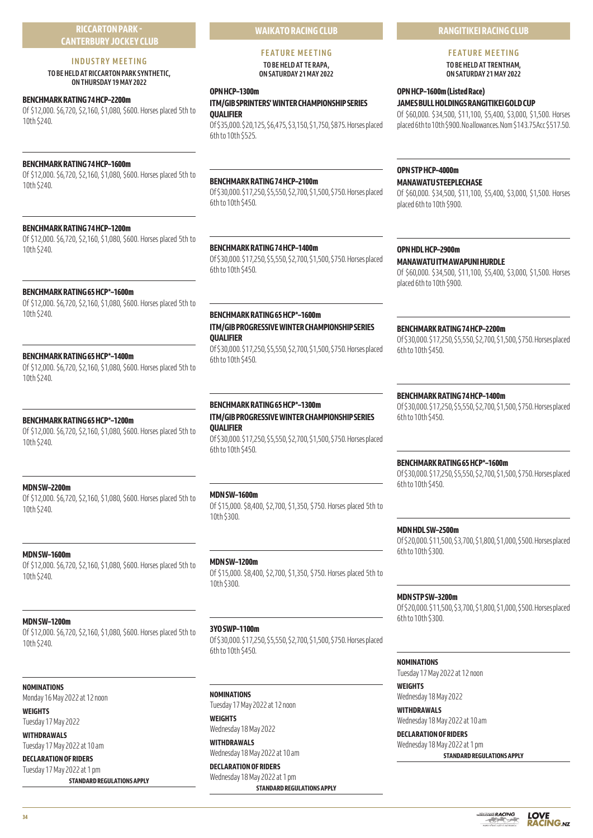# **RICCARTON PARK - CANTERBURY JOCKEY CLUB**

# **INDUSTRY MEETING**

**TO BE HELD AT RICCARTON PARK SYNTHETIC, ON THURSDAY 19 MAY 2022** 

# **BENCHMARK RATING 74 HCP–2200m**

Of \$12,000. \$6,720, \$2,160, \$1,080, \$600. Horses placed 5th to 10th \$240.

# **BENCHMARK RATING 74 HCP–1600m**

Of \$12,000. \$6,720, \$2,160, \$1,080, \$600. Horses placed 5th to 10th \$240.

# **BENCHMARK RATING 74 HCP–1200m**

Of \$12,000. \$6,720, \$2,160, \$1,080, \$600. Horses placed 5th to 10th \$240.

# **BENCHMARK RATING 65 HCP\*–1600m**

Of \$12,000. \$6,720, \$2,160, \$1,080, \$600. Horses placed 5th to 10th \$240.

# **BENCHMARK RATING 65 HCP\*–1400m**

Of \$12,000. \$6,720, \$2,160, \$1,080, \$600. Horses placed 5th to 10th \$240.

# **BENCHMARK RATING 65 HCP\*–1200m**

Of \$12,000. \$6,720, \$2,160, \$1,080, \$600. Horses placed 5th to 10th \$240.

# **MDN SW–2200m**

Of \$12,000. \$6,720, \$2,160, \$1,080, \$600. Horses placed 5th to 10th \$240.

# **MDN SW–1600m**

Of \$12,000. \$6,720, \$2,160, \$1,080, \$600. Horses placed 5th to 10th \$240.

# **MDN SW–1200m**

Of \$12,000. \$6,720, \$2,160, \$1,080, \$600. Horses placed 5th to 10th \$240.

# **NOMINATIONS**

Monday 16 May 2022 at 12 noon

**WEIGHTS** Tuesday 17 May 2022

**WITHDRAWALS** Tuesday 17 May 2022 at 10 am

**DECLARATION OF RIDERS** Tuesday 17 May 2022 at 1 pm **STANDARD REGULATIONS APPLY** **WAIKATO RACING CLUB**

#### **FEATURE MEETING TO BE HELD AT TE RAPA, ON SATURDAY 21 MAY 2022**

#### **OPN HCP–1300m**

# **ITM/GIB SPRINTERS' WINTER CHAMPIONSHIP SERIES QUALIFIER**

Of \$35,000. \$20,125, \$6,475, \$3,150, \$1,750, \$875. Horses placed 6th to 10th \$525.

# **BENCHMARK RATING 74 HCP–2100m**

Of \$30,000. \$17,250, \$5,550, \$2,700, \$1,500, \$750. Horses placed 6th to 10th \$450.

# **BENCHMARK RATING 74 HCP–1400m**

Of \$30,000. \$17,250, \$5,550, \$2,700, \$1,500, \$750. Horses placed 6th to 10th \$450.

# **BENCHMARK RATING 65 HCP\*–1600m ITM/GIB PROGRESSIVE WINTER CHAMPIONSHIP SERIES QUALIFIER**

Of \$30,000. \$17,250, \$5,550, \$2,700, \$1,500, \$750. Horses placed 6th to 10th \$450.

# **BENCHMARK RATING 65 HCP\*–1300m**

# **ITM/GIB PROGRESSIVE WINTER CHAMPIONSHIP SERIES QUALIFIER**

Of \$30,000. \$17,250, \$5,550, \$2,700, \$1,500, \$750. Horses placed 6th to 10th \$450.

# **MDN SW–1600m**

Of \$15,000. \$8,400, \$2,700, \$1,350, \$750. Horses placed 5th to 10th \$300.

# **MDN SW–1200m**

Of \$15,000. \$8,400, \$2,700, \$1,350, \$750. Horses placed 5th to 10th \$300.

#### **3YO SWP–1100m**

Of \$30,000. \$17,250, \$5,550, \$2,700, \$1,500, \$750. Horses placed 6th to 10th \$450.

# **NOMINATIONS**

Tuesday 17 May 2022 at 12 noon **WEIGHTS**

Wednesday 18 May 2022 **WITHDRAWALS**

Wednesday 18 May 2022 at 10 am **DECLARATION OF RIDERS**

Wednesday 18 May 2022 at 1 pm

**STANDARD REGULATIONS APPLY**

# **RANGITIKEI RACING CLUB**

# **FEATURE MEETING TO BE HELD AT TRENTHAM,**

**ON SATURDAY 21 MAY 2022** 

# **OPN HCP–1600m (Listed Race)**

**JAMES BULL HOLDINGS RANGITIKEI GOLD CUP** Of \$60,000. \$34,500, \$11,100, \$5,400, \$3,000, \$1,500. Horses placed 6th to 10th \$900. No allowances. Nom \$143.75Acc \$517.50.

# **OPN STP HCP–4000m**

# **MANAWATU STEEPLECHASE**

Of \$60,000. \$34,500, \$11,100, \$5,400, \$3,000, \$1,500. Horses placed 6th to 10th \$900.

# **OPN HDL HCP–2900m**

**MANAWATU ITM AWAPUNI HURDLE** Of \$60,000. \$34,500, \$11,100, \$5,400, \$3,000, \$1,500. Horses placed 6th to 10th \$900.

# **BENCHMARK RATING 74 HCP–2200m**

Of \$30,000. \$17,250, \$5,550, \$2,700, \$1,500, \$750. Horses placed 6th to 10th \$450.

# **BENCHMARK RATING 74 HCP–1400m**

Of \$30,000. \$17,250, \$5,550, \$2,700, \$1,500, \$750. Horses placed 6th to 10th \$450.

# **BENCHMARK RATING 65 HCP\*–1600m**

Of \$30,000. \$17,250, \$5,550, \$2,700, \$1,500, \$750. Horses placed 6th to 10th \$450.

# **MDN HDL SW–2500m**

Of \$20,000. \$11,500, \$3,700, \$1,800, \$1,000, \$500. Horses placed 6th to 10th \$300.

#### **MDN STP SW–3200m**

Of \$20,000. \$11,500, \$3,700, \$1,800, \$1,000, \$500. Horses placed 6th to 10th \$300.

# **NOMINATIONS**

Tuesday 17 May 2022 at 12 noon

**WEIGHTS** Wednesday 18 May 2022

**WITHDRAWALS** Wednesday 18 May 2022 at 10 am

**DECLARATION OF RIDERS** Wednesday 18 May 2022 at 1 pm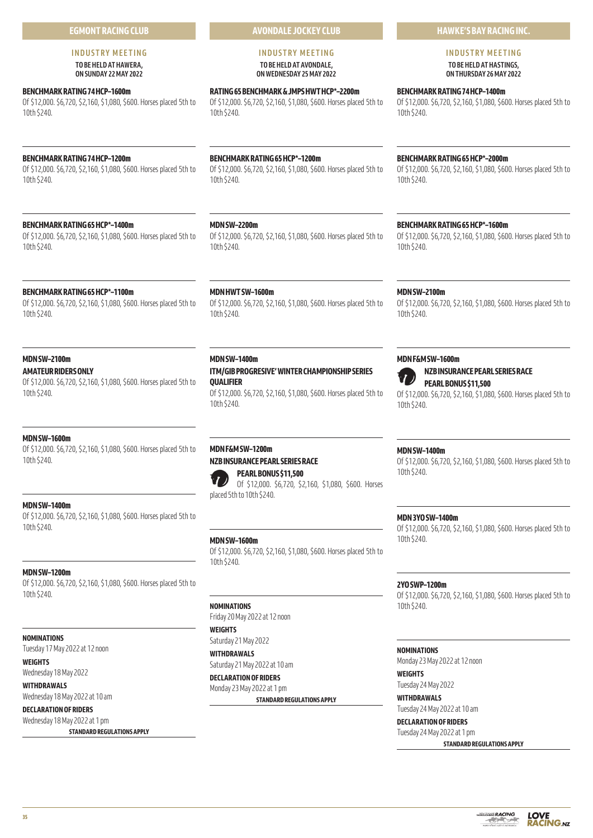# **EGMONT RACING CLUB**

#### **INDUSTRY MEETING TO BE HELD AT HAWERA, ON SUNDAY 22 MAY 2022**

# **BENCHMARK RATING 74 HCP–1600m**

Of \$12,000. \$6,720, \$2,160, \$1,080, \$600. Horses placed 5th to 10th \$240.

# **BENCHMARK RATING 74 HCP–1200m**

Of \$12,000. \$6,720, \$2,160, \$1,080, \$600. Horses placed 5th to 10th \$240.

# **BENCHMARK RATING 65 HCP\*–1400m**

Of \$12,000. \$6,720, \$2,160, \$1,080, \$600. Horses placed 5th to 10th \$240.

#### **BENCHMARK RATING 65 HCP\*–1100m**

Of \$12,000. \$6,720, \$2,160, \$1,080, \$600. Horses placed 5th to 10th \$240.

# **MDN SW–2100m**

**AMATEUR RIDERS ONLY** Of \$12,000. \$6,720, \$2,160, \$1,080, \$600. Horses placed 5th to

# **MDN SW–1600m**

10th \$240.

Of \$12,000. \$6,720, \$2,160, \$1,080, \$600. Horses placed 5th to 10th \$240.

# **MDN SW–1400m**

Of \$12,000. \$6,720, \$2,160, \$1,080, \$600. Horses placed 5th to 10th \$240.

# **MDN SW–1200m**

Of \$12,000. \$6,720, \$2,160, \$1,080, \$600. Horses placed 5th to 10th \$240.

#### **NOMINATIONS**

Tuesday 17 May 2022 at 12 noon

**WEIGHTS** Wednesday 18 May 2022

## **WITHDRAWALS**

Wednesday 18 May 2022 at 10 am **DECLARATION OF RIDERS**

# Wednesday 18 May 2022 at 1 pm

**STANDARD REGULATIONS APPLY**

**AVONDALE JOCKEY CLUB**

## **INDUSTRY MEETING TO BE HELD AT AVONDALE, ON WEDNESDAY 25 MAY 2022**

**RATING 65 BENCHMARK & JMPS HWT HCP\*–2200m** Of \$12,000. \$6,720, \$2,160, \$1,080, \$600. Horses placed 5th to 10th \$240.

# **BENCHMARK RATING 65 HCP\*–1200m**

Of \$12,000. \$6,720, \$2,160, \$1,080, \$600. Horses placed 5th to 10th \$240.

# **MDN SW–2200m**

Of \$12,000. \$6,720, \$2,160, \$1,080, \$600. Horses placed 5th to 10th \$240.

#### **MDN HWT SW–1600m**

Of \$12,000. \$6,720, \$2,160, \$1,080, \$600. Horses placed 5th to 10th \$240.

# **MDN SW–1400m**

**ITM/GIB PROGRESIVE' WINTER CHAMPIONSHIP SERIES QUALIFIER**

Of \$12,000. \$6,720, \$2,160, \$1,080, \$600. Horses placed 5th to 10th \$240.

# **MDN F&M SW–1200m**

# **NZB INSURANCE PEARL SERIES RACE PEARL BONUS \$11,500**



Of \$12,000. \$6,720, \$2,160, \$1,080, \$600. Horses placed 5th to 10th \$240.

# **MDN SW–1600m**

Of \$12,000. \$6,720, \$2,160, \$1,080, \$600. Horses placed 5th to 10th \$240.

# **NOMINATIONS**

Friday 20 May 2022 at 12 noon **WEIGHTS**

Saturday 21 May 2022

**WITHDRAWALS** Saturday 21 May 2022 at 10 am

**DECLARATION OF RIDERS**

# Monday 23 May 2022 at 1 pm

**STANDARD REGULATIONS APPLY**

# **HAWKE'S BAY RACING INC.**

# **INDUSTRY MEETING TO BE HELD AT HASTINGS,**

**ON THURSDAY 26 MAY 2022** 

# **BENCHMARK RATING 74 HCP–1400m**

Of \$12,000. \$6,720, \$2,160, \$1,080, \$600. Horses placed 5th to 10th \$240.

# **BENCHMARK RATING 65 HCP\*–2000m**

Of \$12,000. \$6,720, \$2,160, \$1,080, \$600. Horses placed 5th to 10th \$240.

# **BENCHMARK RATING 65 HCP\*–1600m**

Of \$12,000. \$6,720, \$2,160, \$1,080, \$600. Horses placed 5th to 10th \$240.

#### **MDN SW–2100m**

Of \$12,000. \$6,720, \$2,160, \$1,080, \$600. Horses placed 5th to 10th \$240.

#### **MDN F&M SW–1600m**





**NZB INSURANCE PEARL SERIES RACE PEARL BONUS \$11,500**

Of \$12,000. \$6,720, \$2,160, \$1,080, \$600. Horses placed 5th to 10th \$240.

# **MDN SW–1400m**

Of \$12,000. \$6,720, \$2,160, \$1,080, \$600. Horses placed 5th to 10th \$240.

## **MDN 3YO SW–1400m**

Of \$12,000. \$6,720, \$2,160, \$1,080, \$600. Horses placed 5th to 10th \$240.

# **2YO SWP–1200m**

Of \$12,000. \$6,720, \$2,160, \$1,080, \$600. Horses placed 5th to 10th \$240.

#### **NOMINATIONS**

Monday 23 May 2022 at 12 noon

# **WEIGHTS**

Tuesday 24 May 2022

**WITHDRAWALS** Tuesday 24 May 2022 at 10 am

#### **DECLARATION OF RIDERS**

Tuesday 24 May 2022 at 1 pm





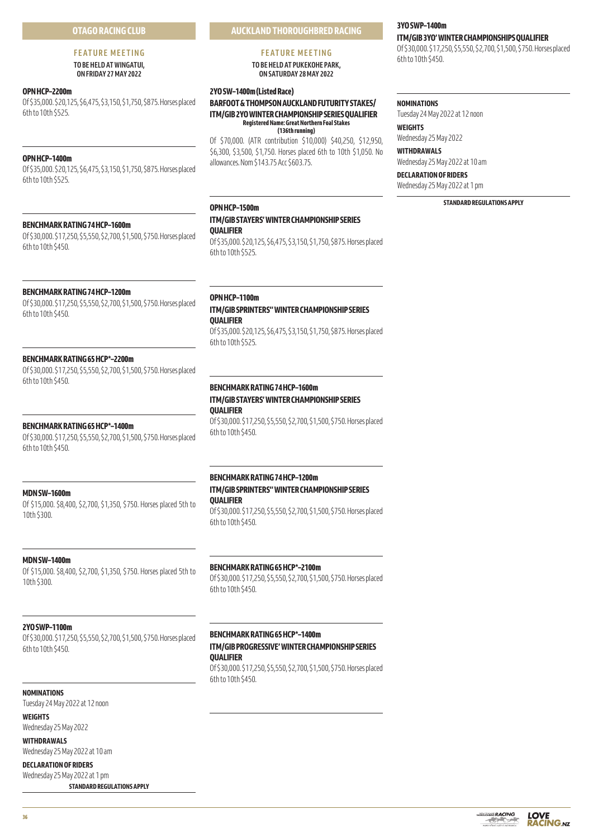# **OTAGO RACING CLUB**

# **FEATURE MEETING TO BE HELD AT WINGATUI,**

**ON FRIDAY 27 MAY 2022** 

# **OPN HCP–2200m**

Of \$35,000. \$20,125, \$6,475, \$3,150, \$1,750, \$875. Horses placed 6th to 10th \$525.

# **OPN HCP–1400m**

Of \$35,000. \$20,125, \$6,475, \$3,150, \$1,750, \$875. Horses placed 6th to 10th \$525.

# **BENCHMARK RATING 74 HCP–1600m**

Of \$30,000. \$17,250, \$5,550, \$2,700, \$1,500, \$750. Horses placed 6th to 10th \$450.

# **BENCHMARK RATING 74 HCP–1200m**

Of \$30,000. \$17,250, \$5,550, \$2,700, \$1,500, \$750. Horses placed 6th to 10th \$450.

#### **BENCHMARK RATING 65 HCP\*–2200m**

Of \$30,000. \$17,250, \$5,550, \$2,700, \$1,500, \$750. Horses placed 6th to 10th \$450.

#### **BENCHMARK RATING 65 HCP\*–1400m**

Of \$30,000. \$17,250, \$5,550, \$2,700, \$1,500, \$750. Horses placed 6th to 10th \$450.

#### **MDN SW–1600m**

Of \$15,000. \$8,400, \$2,700, \$1,350, \$750. Horses placed 5th to 10th \$300.

#### **MDN SW–1400m**

Of \$15,000. \$8,400, \$2,700, \$1,350, \$750. Horses placed 5th to 10th \$300.

## **2YO SWP–1100m**

Of \$30,000. \$17,250, \$5,550, \$2,700, \$1,500, \$750. Horses placed 6th to 10th \$450.

# **NOMINATIONS**

Tuesday 24 May 2022 at 12 noon

**WEIGHTS** Wednesday 25 May 2022

**WITHDRAWALS**

Wednesday 25 May 2022 at 10 am

**DECLARATION OF RIDERS** Wednesday 25 May 2022 at 1 pm

**STANDARD REGULATIONS APPLY**

# **FEATURE MEETING**

**TO BE HELD AT PUKEKOHE PARK, ON SATURDAY 28 MAY 2022**

# **2YO SW–1400m (Listed Race)**

**BARFOOT & THOMPSON AUCKLAND FUTURITY STAKES/ ITM/GIB 2YO WINTER CHAMPIONSHIP SERIES QUALIFIER Registered Name: Great Northern Foal Stakes (136th running)**

Of \$70,000. (ATR contribution \$10,000) \$40,250, \$12,950, \$6,300, \$3,500, \$1,750. Horses placed 6th to 10th \$1,050. No allowances. Nom \$143.75 Acc \$603.75.

# **OPN HCP–1500m ITM/GIB STAYERS' WINTER CHAMPIONSHIP SERIES QUALIFIER**

Of \$35,000. \$20,125, \$6,475, \$3,150, \$1,750, \$875. Horses placed 6th to 10th \$525.

**OPN HCP–1100m ITM/GIB SPRINTERS'' WINTER CHAMPIONSHIP SERIES QUALIFIER**

Of \$35,000. \$20,125, \$6,475, \$3,150, \$1,750, \$875. Horses placed 6th to 10th \$525.

# **BENCHMARK RATING 74 HCP–1600m ITM/GIB STAYERS' WINTER CHAMPIONSHIP SERIES QUALIFIER**

Of \$30,000. \$17,250, \$5,550, \$2,700, \$1,500, \$750. Horses placed 6th to 10th \$450.

#### **BENCHMARK RATING 74 HCP–1200m**

#### **ITM/GIB SPRINTERS'' WINTER CHAMPIONSHIP SERIES QUALIFIER**

Of \$30,000. \$17,250, \$5,550, \$2,700, \$1,500, \$750. Horses placed 6th to 10th \$450.

#### **BENCHMARK RATING 65 HCP\*–2100m**

Of \$30,000. \$17,250, \$5,550, \$2,700, \$1,500, \$750. Horses placed 6th to 10th \$450.

# **BENCHMARK RATING 65 HCP\*–1400m**

# **ITM/GIB PROGRESSIVE' WINTER CHAMPIONSHIP SERIES QUALIFIER**

Of \$30,000. \$17,250, \$5,550, \$2,700, \$1,500, \$750. Horses placed 6th to 10th \$450.

# **3YO SWP–1400m**

**ITM/GIB 3YO' WINTER CHAMPIONSHIPS QUALIFIER**

Of \$30,000. \$17,250, \$5,550, \$2,700, \$1,500, \$750. Horses placed 6th to 10th \$450.

#### **NOMINATIONS**

Tuesday 24 May 2022 at 12 noon **WEIGHTS**

Wednesday 25 May 2022

**WITHDRAWALS** Wednesday 25 May 2022 at 10 am

**DECLARATION OF RIDERS**

Wednesday 25 May 2022 at 1 pm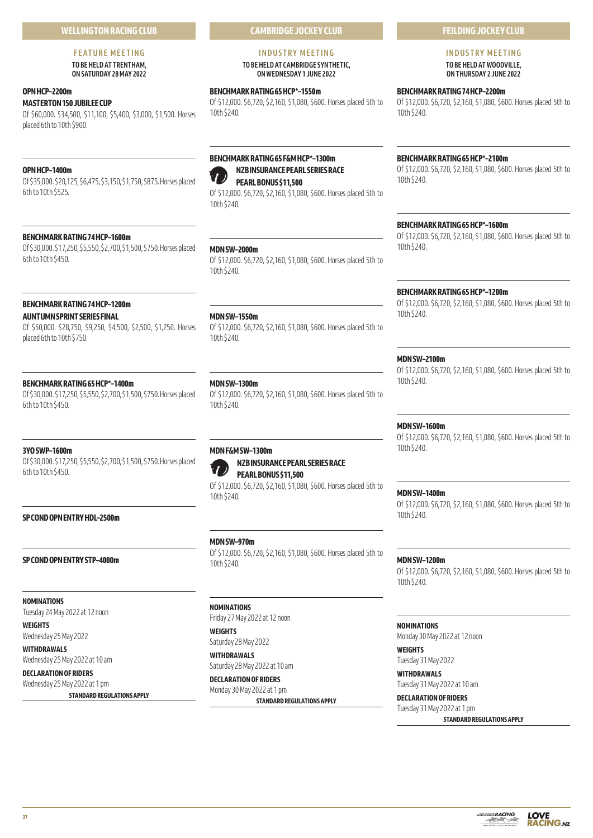# **FEATURE MEETING**

**TO BE HELD AT TRENTHAM, ON SATURDAY 28 MAY 2022** 

# **OPN HCP–2200m**

**MASTERTON 150 JUBILEE CUP**

Of \$60,000. \$34,500, \$11,100, \$5,400, \$3,000, \$1,500. Horses placed 6th to 10th \$900.

# **OPN HCP–1400m**

Of \$35,000. \$20,125, \$6,475, \$3,150, \$1,750, \$875. Horses placed 6th to 10th \$525.

# **BENCHMARK RATING 74 HCP–1600m**

Of \$30,000. \$17,250, \$5,550, \$2,700, \$1,500, \$750. Horses placed 6th to 10th \$450.

# **BENCHMARK RATING 74 HCP–1200m**

# **AUNTUMN SPRINT SERIES FINAL**

Of \$50,000. \$28,750, \$9,250, \$4,500, \$2,500, \$1,250. Horses placed 6th to 10th \$750.

# **BENCHMARK RATING 65 HCP\*–1400m**

Of \$30,000. \$17,250, \$5,550, \$2,700, \$1,500, \$750. Horses placed 6th to 10th \$450.

# **3YO SWP–1600m**

Of \$30,000. \$17,250, \$5,550, \$2,700, \$1,500, \$750. Horses placed 6th to 10th \$450.

# **SP COND OPN ENTRY HDL–2500m**

**SP COND OPN ENTRY STP–4000m**

**NOMINATIONS** Tuesday 24 May 2022 at 12 noon

**WEIGHTS** Wednesday 25 May 2022

**WITHDRAWALS** Wednesday 25 May 2022 at 10 am

**DECLARATION OF RIDERS**

Wednesday 25 May 2022 at 1 pm

**STANDARD REGULATIONS APPLY**

**CAMBRIDGE JOCKEY CLUB**

# **INDUSTRY MEETING**

**TO BE HELD AT CAMBRIDGE SYNTHETIC, ON WEDNESDAY 1 JUNE 2022** 

# **BENCHMARK RATING 65 HCP\*–1550m**

Of \$12,000. \$6,720, \$2,160, \$1,080, \$600. Horses placed 5th to 10th \$240.

# **BENCHMARK RATING 65 F&M HCP\*–1300m NZB INSURANCE PEARL SERIES RACE**

**PEARL BONUS \$11,500** Of \$12,000. \$6,720, \$2,160, \$1,080, \$600. Horses placed 5th to 10th \$240.

**MDN SW–2000m**

Of \$12,000. \$6,720, \$2,160, \$1,080, \$600. Horses placed 5th to 10th \$240.

# **MDN SW–1550m**

Of \$12,000. \$6,720, \$2,160, \$1,080, \$600. Horses placed 5th to 10th \$240.

# **MDN SW–1300m**

Of \$12,000. \$6,720, \$2,160, \$1,080, \$600. Horses placed 5th to 10th \$240.

# **MDN F&M SW–1300m**



**NZB INSURANCE PEARL SERIES RACE PEARL BONUS \$11,500**

Of \$12,000. \$6,720, \$2,160, \$1,080, \$600. Horses placed 5th to 10th \$240.

**MDN SW–970m**

Of \$12,000. \$6,720, \$2,160, \$1,080, \$600. Horses placed 5th to 10th \$240.

# **NOMINATIONS**

Friday 27 May 2022 at 12 noon

**WEIGHTS** Saturday 28 May 2022

**WITHDRAWALS** Saturday 28 May 2022 at 10 am

# **DECLARATION OF RIDERS**

Monday 30 May 2022 at 1 pm **STANDARD REGULATIONS APPLY**

# **FEILDING JOCKEY CLUB**

# **INDUSTRY MEETING TO BE HELD AT WOODVILLE,**

**ON THURSDAY 2 JUNE 2022** 

# **BENCHMARK RATING 74 HCP–2200m**

Of \$12,000. \$6,720, \$2,160, \$1,080, \$600. Horses placed 5th to 10th \$240.

# **BENCHMARK RATING 65 HCP\*–2100m**

Of \$12,000. \$6,720, \$2,160, \$1,080, \$600. Horses placed 5th to 10th \$240.

# **BENCHMARK RATING 65 HCP\*–1600m**

Of \$12,000. \$6,720, \$2,160, \$1,080, \$600. Horses placed 5th to 10th \$240.

# **BENCHMARK RATING 65 HCP\*–1200m**

Of \$12,000. \$6,720, \$2,160, \$1,080, \$600. Horses placed 5th to 10th \$240.

# **MDN SW–2100m**

Of \$12,000. \$6,720, \$2,160, \$1,080, \$600. Horses placed 5th to 10th \$240.

# **MDN SW–1600m**

Of \$12,000. \$6,720, \$2,160, \$1,080, \$600. Horses placed 5th to 10th \$240.

# **MDN SW–1400m**

Of \$12,000. \$6,720, \$2,160, \$1,080, \$600. Horses placed 5th to 10th \$240.

# **MDN SW–1200m**

Of \$12,000. \$6,720, \$2,160, \$1,080, \$600. Horses placed 5th to 10th \$240.

# **NOMINATIONS**

Monday 30 May 2022 at 12 noon

**WEIGHTS** Tuesday 31 May 2022

**WITHDRAWALS** Tuesday 31 May 2022 at 10 am

**DECLARATION OF RIDERS** Tuesday 31 May 2022 at 1 pm

*<u><b>DODGGGGGGGRACING</u>* 

العرازيب

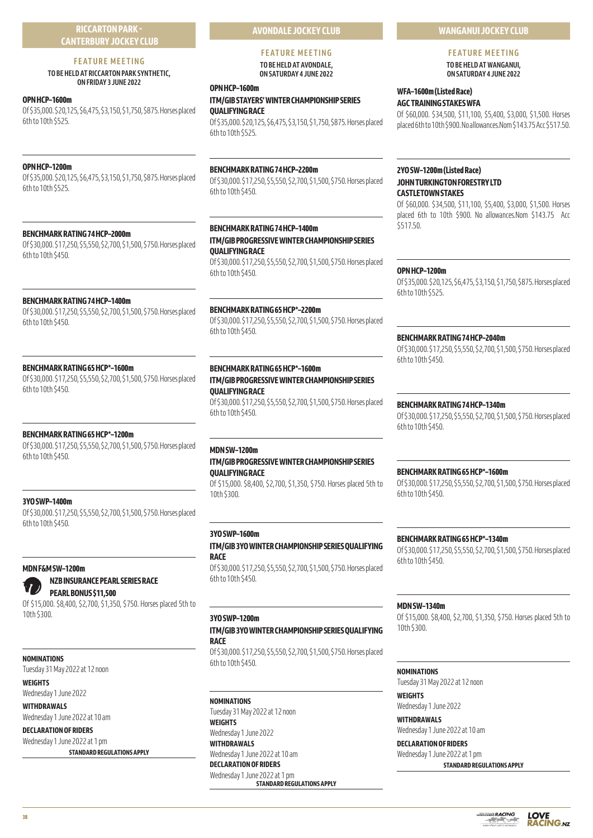# **RICCARTON PARK - CANTERBURY JOCKEY CLUB**

# **FEATURE MEETING**

# **TO BE HELD AT RICCARTON PARK SYNTHETIC, ON FRIDAY 3 JUNE 2022**

# **OPN HCP–1600m**

Of \$35,000. \$20,125, \$6,475, \$3,150, \$1,750, \$875. Horses placed 6th to 10th \$525.

# **OPN HCP–1200m**

Of \$35,000. \$20,125, \$6,475, \$3,150, \$1,750, \$875. Horses placed 6th to 10th \$525.

# **BENCHMARK RATING 74 HCP–2000m**

Of \$30,000. \$17,250, \$5,550, \$2,700, \$1,500, \$750. Horses placed 6th to 10th \$450.

# **BENCHMARK RATING 74 HCP–1400m**

Of \$30,000. \$17,250, \$5,550, \$2,700, \$1,500, \$750. Horses placed 6th to 10th \$450.

# **BENCHMARK RATING 65 HCP\*–1600m**

Of \$30,000. \$17,250, \$5,550, \$2,700, \$1,500, \$750. Horses placed 6th to 10th \$450.

# **BENCHMARK RATING 65 HCP\*–1200m**

Of \$30,000. \$17,250, \$5,550, \$2,700, \$1,500, \$750. Horses placed 6th to 10th \$450.

# **3YO SWP–1400m**

Of \$30,000. \$17,250, \$5,550, \$2,700, \$1,500, \$750. Horses placed 6th to 10th \$450.

# **MDN F&M SW–1200m**



**NZB INSURANCE PEARL SERIES RACE PEARL BONUS \$11,500**

Of \$15,000. \$8,400, \$2,700, \$1,350, \$750. Horses placed 5th to 10th \$300.

# **NOMINATIONS**

Tuesday 31 May 2022 at 12 noon

# **WEIGHTS**

Wednesday 1 June 2022 **WITHDRAWALS**

Wednesday 1 June 2022 at 10 am

#### **DECLARATION OF RIDERS** Wednesday 1 June 2022 at 1 pm

**STANDARD REGULATIONS APPLY**

# **AVONDALE JOCKEY CLUB**

# **FEATURE MEETING TO BE HELD AT AVONDALE,**

**ON SATURDAY 4 JUNE 2022** 

# **OPN HCP–1600m**

# **ITM/GIB STAYERS' WINTER CHAMPIONSHIP SERIES QUALIFYING RACE**

Of \$35,000. \$20,125, \$6,475, \$3,150, \$1,750, \$875. Horses placed 6th to 10th \$525.

# **BENCHMARK RATING 74 HCP–2200m**

Of \$30,000. \$17,250, \$5,550, \$2,700, \$1,500, \$750. Horses placed 6th to 10th \$450.

# **BENCHMARK RATING 74 HCP–1400m ITM/GIB PROGRESSIVE WINTER CHAMPIONSHIP SERIES QUALIFYING RACE**

Of \$30,000. \$17,250, \$5,550, \$2,700, \$1,500, \$750. Horses placed 6th to 10th \$450.

# **BENCHMARK RATING 65 HCP\*–2200m**

Of \$30,000. \$17,250, \$5,550, \$2,700, \$1,500, \$750. Horses placed 6th to 10th \$450.

# **BENCHMARK RATING 65 HCP\*–1600m ITM/GIB PROGRESSIVE WINTER CHAMPIONSHIP SERIES QUALIFYING RACE**

Of \$30,000. \$17,250, \$5,550, \$2,700, \$1,500, \$750. Horses placed 6th to 10th \$450.

# **MDN SW–1200m ITM/GIB PROGRESSIVE WINTER CHAMPIONSHIP SERIES QUALIFYING RACE**

Of \$15,000. \$8,400, \$2,700, \$1,350, \$750. Horses placed 5th to 10th \$300.

# **3YO SWP–1600m**

**ITM/GIB 3YO WINTER CHAMPIONSHIP SERIES QUALIFYING RACE**

Of \$30,000. \$17,250, \$5,550, \$2,700, \$1,500, \$750. Horses placed 6th to 10th \$450.

# **3YO SWP–1200m**

# **ITM/GIB 3YO WINTER CHAMPIONSHIP SERIES QUALIFYING RACE**

Of \$30,000. \$17,250, \$5,550, \$2,700, \$1,500, \$750. Horses placed 6th to 10th \$450.

# **NOMINATIONS**

Tuesday 31 May 2022 at 12 noon **WEIGHTS** Wednesday 1 June 2022 **WITHDRAWALS** Wednesday 1 June 2022 at 10 am **DECLARATION OF RIDERS** Wednesday 1 June 2022 at 1 pm **STANDARD REGULATIONS APPLY**

# **WANGANUI JOCKEY CLUB**

**FEATURE MEETING TO BE HELD AT WANGANUI,** 

**ON SATURDAY 4 JUNE 2022** 

# **WFA–1600m (Listed Race) AGC TRAINING STAKES WFA**

Of \$60,000. \$34,500, \$11,100, \$5,400, \$3,000, \$1,500. Horses placed 6th to 10th \$900. No allowances.Nom \$143.75 Acc \$517.50.

# **2YO SW–1200m (Listed Race) JOHN TURKINGTON FORESTRY LTD CASTLETOWN STAKES**

Of \$60,000. \$34,500, \$11,100, \$5,400, \$3,000, \$1,500. Horses placed 6th to 10th \$900. No allowances.Nom \$143.75 Acc \$517.50.

# **OPN HCP–1200m**

Of \$35,000. \$20,125, \$6,475, \$3,150, \$1,750, \$875. Horses placed 6th to 10th \$525.

# **BENCHMARK RATING 74 HCP–2040m**

Of \$30,000. \$17,250, \$5,550, \$2,700, \$1,500, \$750. Horses placed 6th to 10th \$450.

# **BENCHMARK RATING 74 HCP–1340m**

Of \$30,000. \$17,250, \$5,550, \$2,700, \$1,500, \$750. Horses placed 6th to 10th \$450.

# **BENCHMARK RATING 65 HCP\*–1600m**

Of \$30,000. \$17,250, \$5,550, \$2,700, \$1,500, \$750. Horses placed 6th to 10th \$450.

# **BENCHMARK RATING 65 HCP\*–1340m**

Of \$30,000. \$17,250, \$5,550, \$2,700, \$1,500, \$750. Horses placed 6th to 10th \$450.

# **MDN SW–1340m**

Of \$15,000. \$8,400, \$2,700, \$1,350, \$750. Horses placed 5th to 10th \$300.

# **NOMINATIONS**

Tuesday 31 May 2022 at 12 noon **WEIGHTS**

Wednesday 1 June 2022 **WITHDRAWALS**

Wednesday 1 June 2022 at 10 am

# **DECLARATION OF RIDERS** Wednesday 1 June 2022 at 1 pm

**STANDARD REGULATIONS APPLY**



**LOVE** 

**RACING.NZ**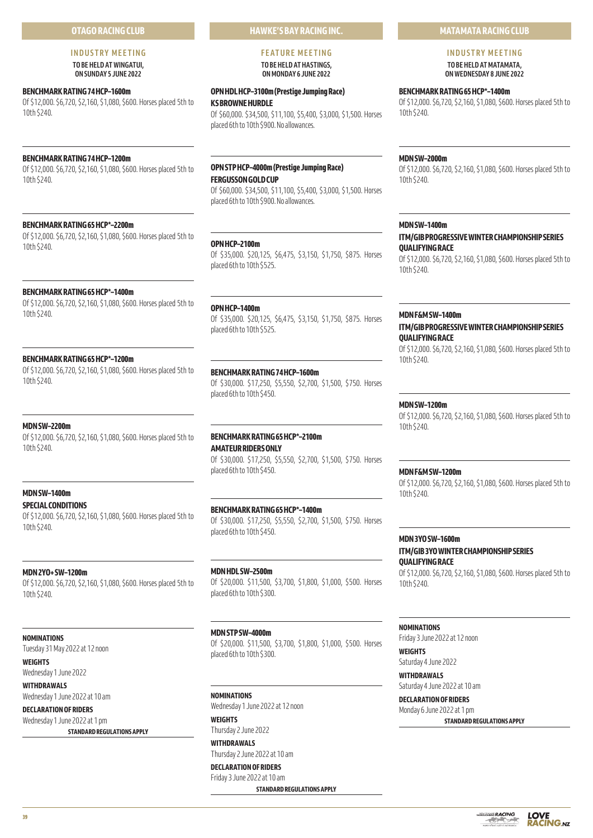# **OTAGO RACING CLUB**

# **INDUSTRY MEETING TO BE HELD AT WINGATUI,**

**ON SUNDAY 5 JUNE 2022** 

# **BENCHMARK RATING 74 HCP–1600m**

Of \$12,000. \$6,720, \$2,160, \$1,080, \$600. Horses placed 5th to 10th \$240.

# **BENCHMARK RATING 74 HCP–1200m**

Of \$12,000. \$6,720, \$2,160, \$1,080, \$600. Horses placed 5th to 10th \$240.

# **BENCHMARK RATING 65 HCP\*–2200m**

Of \$12,000. \$6,720, \$2,160, \$1,080, \$600. Horses placed 5th to 10th \$240.

# **BENCHMARK RATING 65 HCP\*–1400m**

Of \$12,000. \$6,720, \$2,160, \$1,080, \$600. Horses placed 5th to 10th \$240.

#### **BENCHMARK RATING 65 HCP\*–1200m**

Of \$12,000. \$6,720, \$2,160, \$1,080, \$600. Horses placed 5th to 10th \$240.

# **MDN SW–2200m**

Of \$12,000. \$6,720, \$2,160, \$1,080, \$600. Horses placed 5th to 10th \$240.

# **MDN SW–1400m**

**SPECIAL CONDITIONS** Of \$12,000. \$6,720, \$2,160, \$1,080, \$600. Horses placed 5th to 10th \$240.

# **MDN 2YO+ SW–1200m**

Of \$12,000. \$6,720, \$2,160, \$1,080, \$600. Horses placed 5th to 10th \$240.

**NOMINATIONS** Tuesday 31 May 2022 at 12 noon

**WEIGHTS** Wednesday 1 June 2022

**WITHDRAWALS** Wednesday 1 June 2022 at 10 am

**DECLARATION OF RIDERS** Wednesday 1 June 2022 at 1 pm

# **STANDARD REGULATIONS APPLY**

**HAWKE'S BAY RACING INC. FEATURE MEETING** 

# **TO BE HELD AT HASTINGS, ON MONDAY 6 JUNE 2022**

# **OPN HDL HCP–3100m (Prestige Jumping Race)**

**KS BROWNE HURDLE**

Of \$60,000. \$34,500, \$11,100, \$5,400, \$3,000, \$1,500. Horses placed 6th to 10th \$900. No allowances.

# **OPN STP HCP–4000m (Prestige Jumping Race) FERGUSSON GOLD CUP**

Of \$60,000. \$34,500, \$11,100, \$5,400, \$3,000, \$1,500. Horses placed 6th to 10th \$900. No allowances.

# **OPN HCP–2100m**

Of \$35,000. \$20,125, \$6,475, \$3,150, \$1,750, \$875. Horses placed 6th to 10th \$525.

# **OPN HCP–1400m**

Of \$35,000. \$20,125, \$6,475, \$3,150, \$1,750, \$875. Horses placed 6th to 10th \$525.

# **BENCHMARK RATING 74 HCP–1600m**

Of \$30,000. \$17,250, \$5,550, \$2,700, \$1,500, \$750. Horses placed 6th to 10th \$450.

# **BENCHMARK RATING 65 HCP\*–2100m AMATEUR RIDERS ONLY**

Of \$30,000. \$17,250, \$5,550, \$2,700, \$1,500, \$750. Horses placed 6th to 10th \$450.

# **BENCHMARK RATING 65 HCP\*–1400m**

Of \$30,000. \$17,250, \$5,550, \$2,700, \$1,500, \$750. Horses placed 6th to 10th \$450.

# **MDN HDL SW–2500m** Of \$20,000. \$11,500, \$3,700, \$1,800, \$1,000, \$500. Horses placed 6th to 10th \$300.

# **MDN STP SW–4000m**

Of \$20,000. \$11,500, \$3,700, \$1,800, \$1,000, \$500. Horses placed 6th to 10th \$300.

# **NOMINATIONS**

Wednesday 1 June 2022 at 12 noon **WEIGHTS**

Thursday 2 June 2022 **WITHDRAWALS**

Thursday 2 June 2022 at 10 am

# **DECLARATION OF RIDERS** Friday 3 June 2022 at 10 am

**STANDARD REGULATIONS APPLY**

# **MATAMATA RACING CLUB**

# **INDUSTRY MEETING TO BE HELD AT MATAMATA,**

**ON WEDNESDAY 8 JUNE 2022** 

# **BENCHMARK RATING 65 HCP\*–1400m**

Of \$12,000. \$6,720, \$2,160, \$1,080, \$600. Horses placed 5th to 10th \$240.

# **MDN SW–2000m**

Of \$12,000. \$6,720, \$2,160, \$1,080, \$600. Horses placed 5th to 10th \$240.

# **MDN SW–1400m**

# **ITM/GIB PROGRESSIVE WINTER CHAMPIONSHIP SERIES QUALIFYING RACE**

Of \$12,000. \$6,720, \$2,160, \$1,080, \$600. Horses placed 5th to 10th \$240.

# **MDN F&M SW–1400m ITM/GIB PROGRESSIVE WINTER CHAMPIONSHIP SERIES**

**QUALIFYING RACE** Of \$12,000. \$6,720, \$2,160, \$1,080, \$600. Horses placed 5th to 10th \$240.

#### **MDN SW–1200m**

Of \$12,000. \$6,720, \$2,160, \$1,080, \$600. Horses placed 5th to 10th \$240.

# **MDN F&M SW–1200m**

Of \$12,000. \$6,720, \$2,160, \$1,080, \$600. Horses placed 5th to 10th \$240.

# **MDN 3YO SW–1600m ITM/GIB 3YO WINTER CHAMPIONSHIP SERIES QUALIFYING RACE**

Of \$12,000. \$6,720, \$2,160, \$1,080, \$600. Horses placed 5th to 10th \$240.

# **NOMINATIONS**

Friday 3 June 2022 at 12 noon

**WEIGHTS** Saturday 4 June 2022

# **WITHDRAWALS** Saturday 4 June 2022 at 10 am

**DECLARATION OF RIDERS**

#### Monday 6 June 2022 at 1 pm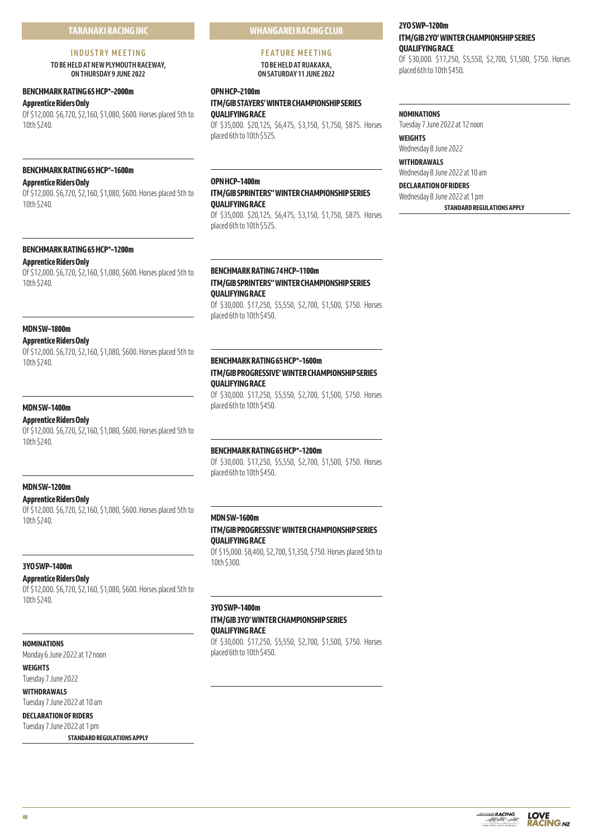# **TARANAKI RACING INC**

#### **INDUSTRY MEETING**

**TO BE HELD AT NEW PLYMOUTH RACEWAY, ON THURSDAY 9 JUNE 2022** 

# **BENCHMARK RATING 65 HCP\*–2000m**

**Apprentice Riders Only**

Of \$12,000. \$6,720, \$2,160, \$1,080, \$600. Horses placed 5th to 10th \$240.

# **BENCHMARK RATING 65 HCP\*–1600m**

# **Apprentice Riders Only**

Of \$12,000. \$6,720, \$2,160, \$1,080, \$600. Horses placed 5th to 10th \$240.

# **BENCHMARK RATING 65 HCP\*–1200m**

**Apprentice Riders Only**

Of \$12,000. \$6,720, \$2,160, \$1,080, \$600. Horses placed 5th to 10th \$240.

# **MDN SW–1800m**

#### **Apprentice Riders Only**

Of \$12,000. \$6,720, \$2,160, \$1,080, \$600. Horses placed 5th to 10th \$240.

# **MDN SW–1400m**

# **Apprentice Riders Only**

Of \$12,000. \$6,720, \$2,160, \$1,080, \$600. Horses placed 5th to 10th \$240.

#### **MDN SW–1200m**

# **Apprentice Riders Only**

Of \$12,000. \$6,720, \$2,160, \$1,080, \$600. Horses placed 5th to 10th \$240.

# **3YO SWP–1400m**

**Apprentice Riders Only**

Of \$12,000. \$6,720, \$2,160, \$1,080, \$600. Horses placed 5th to 10th \$240.

# **NOMINATIONS**

Monday 6 June 2022 at 12 noon

**WEIGHTS** Tuesday 7 June 2022

# **WITHDRAWALS**

Tuesday 7 June 2022 at 10 am

# **DECLARATION OF RIDERS**

Tuesday 7 June 2022 at 1 pm **STANDARD REGULATIONS APPLY** **WHANGAREI RACING CLUB**

# **FEATURE MEETING TO BE HELD AT RUAKAKA, ON SATURDAY 11 JUNE 2022**

#### **OPN HCP–2100m**

# **ITM/GIB STAYERS' WINTER CHAMPIONSHIP SERIES QUALIFYING RACE**

Of \$35,000. \$20,125, \$6,475, \$3,150, \$1,750, \$875. Horses placed 6th to 10th \$525.

# **OPN HCP–1400m**

# **ITM/GIB SPRINTERS'' WINTER CHAMPIONSHIP SERIES QUALIFYING RACE**

Of \$35,000. \$20,125, \$6,475, \$3,150, \$1,750, \$875. Horses placed 6th to 10th \$525.

# **BENCHMARK RATING 74 HCP–1100m ITM/GIB SPRINTERS'' WINTER CHAMPIONSHIP SERIES QUALIFYING RACE**

Of \$30,000. \$17,250, \$5,550, \$2,700, \$1,500, \$750. Horses placed 6th to 10th \$450.

# **BENCHMARK RATING 65 HCP\*–1600m ITM/GIB PROGRESSIVE' WINTER CHAMPIONSHIP SERIES**

# **QUALIFYING RACE**

Of \$30,000. \$17,250, \$5,550, \$2,700, \$1,500, \$750. Horses placed 6th to 10th \$450.

# **BENCHMARK RATING 65 HCP\*–1200m**

Of \$30,000. \$17,250, \$5,550, \$2,700, \$1,500, \$750. Horses placed 6th to 10th \$450.

# **MDN SW–1600m**

# **ITM/GIB PROGRESSIVE' WINTER CHAMPIONSHIP SERIES QUALIFYING RACE**

Of \$15,000. \$8,400, \$2,700, \$1,350, \$750. Horses placed 5th to 10th \$300.

# **3YO SWP–1400m**

# **ITM/GIB 3YO' WINTER CHAMPIONSHIP SERIES QUALIFYING RACE**

Of \$30,000. \$17,250, \$5,550, \$2,700, \$1,500, \$750. Horses placed 6th to 10th \$450.

# **2YO SWP–1200m ITM/GIB 2YO' WINTER CHAMPIONSHIP SERIES QUALIFYING RACE**

Of \$30,000. \$17,250, \$5,550, \$2,700, \$1,500, \$750. Horses placed 6th to 10th \$450.

#### **NOMINATIONS**

Tuesday 7 June 2022 at 12 noon

**WEIGHTS** Wednesday 8 June 2022

**WITHDRAWALS** Wednesday 8 June 2022 at 10 am

# **DECLARATION OF RIDERS** Wednesday 8 June 2022 at 1 pm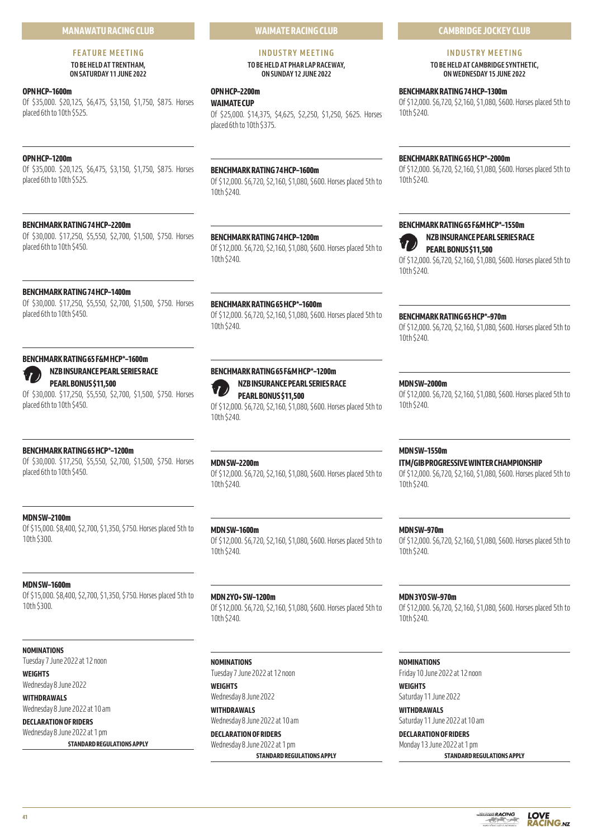# **MANAWATU RACING CLUB**

#### **FEATURE MEETING TO BE HELD AT TRENTHAM, ON SATURDAY 11 JUNE 2022**

#### **OPN HCP–1600m**

Of \$35,000. \$20,125, \$6,475, \$3,150, \$1,750, \$875. Horses placed 6th to 10th \$525.

# **OPN HCP–1200m**

Of \$35,000. \$20,125, \$6,475, \$3,150, \$1,750, \$875. Horses placed 6th to 10th \$525.

# **BENCHMARK RATING 74 HCP–2200m**

Of \$30,000. \$17,250, \$5,550, \$2,700, \$1,500, \$750. Horses placed 6th to 10th \$450.

# **BENCHMARK RATING 74 HCP–1400m**

Of \$30,000. \$17,250, \$5,550, \$2,700, \$1,500, \$750. Horses placed 6th to 10th \$450.

# **BENCHMARK RATING 65 F&M HCP\*–1600m**



# **NZB INSURANCE PEARL SERIES RACE PEARL BONUS \$11,500**

Of \$30,000. \$17,250, \$5,550, \$2,700, \$1,500, \$750. Horses placed 6th to 10th \$450.

# **BENCHMARK RATING 65 HCP\*–1200m**

Of \$30,000. \$17,250, \$5,550, \$2,700, \$1,500, \$750. Horses placed 6th to 10th \$450.

## **MDN SW–2100m**

Of \$15,000. \$8,400, \$2,700, \$1,350, \$750. Horses placed 5th to 10th \$300.

## **MDN SW–1600m**

Of \$15,000. \$8,400, \$2,700, \$1,350, \$750. Horses placed 5th to 10th \$300.

#### **NOMINATIONS**

Tuesday 7 June 2022 at 12 noon

# **WEIGHTS**

Wednesday 8 June 2022 **WITHDRAWALS**

Wednesday 8 June 2022 at 10 am

# **DECLARATION OF RIDERS** Wednesday 8 June 2022 at 1 pm

**STANDARD REGULATIONS APPLY**

# **WAIMATE RACING CLUB**

# **INDUSTRY MEETING TO BE HELD AT PHAR LAP RACEWAY,**

**ON SUNDAY 12 JUNE 2022** 

# **OPN HCP–2200m**

# **WAIMATE CUP**

Of \$25,000. \$14,375, \$4,625, \$2,250, \$1,250, \$625. Horses placed 6th to 10th \$375.

# **BENCHMARK RATING 74 HCP–1600m**

Of \$12,000. \$6,720, \$2,160, \$1,080, \$600. Horses placed 5th to 10th \$240.

# **BENCHMARK RATING 74 HCP–1200m**

Of \$12,000. \$6,720, \$2,160, \$1,080, \$600. Horses placed 5th to 10th \$240.

#### **BENCHMARK RATING 65 HCP\*–1600m**

Of \$12,000. \$6,720, \$2,160, \$1,080, \$600. Horses placed 5th to 10th \$240.

# **BENCHMARK RATING 65 F&M HCP\*–1200m**



**NZB INSURANCE PEARL SERIES RACE PEARL BONUS \$11,500** Of \$12,000. \$6,720, \$2,160, \$1,080, \$600. Horses placed 5th to

10th \$240.

10th \$240.

# **MDN SW–1600m**

Of \$12,000. \$6,720, \$2,160, \$1,080, \$600. Horses placed 5th to 10th \$240.

# **MDN 2YO+ SW–1200m** Of \$12,000. \$6,720, \$2,160, \$1,080, \$600. Horses placed 5th to 10th \$240.

**NOMINATIONS** Tuesday 7 June 2022 at 12 noon

**WEIGHTS** Wednesday 8 June 2022 **WITHDRAWALS** Wednesday 8 June 2022 at 10 am

**DECLARATION OF RIDERS** Wednesday 8 June 2022 at 1 pm

# **STANDARD REGULATIONS APPLY**

**CAMBRIDGE JOCKEY CLUB**

# **INDUSTRY MEETING**

**TO BE HELD AT CAMBRIDGE SYNTHETIC, ON WEDNESDAY 15 JUNE 2022** 

# **BENCHMARK RATING 74 HCP–1300m**

Of \$12,000. \$6,720, \$2,160, \$1,080, \$600. Horses placed 5th to 10th \$240.

# **BENCHMARK RATING 65 HCP\*–2000m**

Of \$12,000. \$6,720, \$2,160, \$1,080, \$600. Horses placed 5th to 10th \$240.

# **BENCHMARK RATING 65 F&M HCP\*–1550m**



Of \$12,000. \$6,720, \$2,160, \$1,080, \$600. Horses placed 5th to 10th \$240.

# **BENCHMARK RATING 65 HCP\*–970m**

Of \$12,000. \$6,720, \$2,160, \$1,080, \$600. Horses placed 5th to 10th \$240.

#### **MDN SW–2000m**

Of \$12,000. \$6,720, \$2,160, \$1,080, \$600. Horses placed 5th to 10th \$240.

#### **MDN SW–1550m**

## **ITM/GIB PROGRESSIVE WINTER CHAMPIONSHIP**

Of \$12,000. \$6,720, \$2,160, \$1,080, \$600. Horses placed 5th to 10th \$240.

#### **MDN SW–970m**

Of \$12,000. \$6,720, \$2,160, \$1,080, \$600. Horses placed 5th to 10th \$240.

## **MDN 3YO SW–970m**

Of \$12,000. \$6,720, \$2,160, \$1,080, \$600. Horses placed 5th to 10th \$240.

# **NOMINATIONS**

Friday 10 June 2022 at 12 noon

**WEIGHTS** Saturday 11 June 2022

**WITHDRAWALS** Saturday 11 June 2022 at 10 am

# **DECLARATION OF RIDERS** Monday 13 June 2022 at 1 pm

**STANDARD REGULATIONS APPLY**



**MDN SW–2200m**

Of \$12,000. \$6,720, \$2,160, \$1,080, \$600. Horses placed 5th to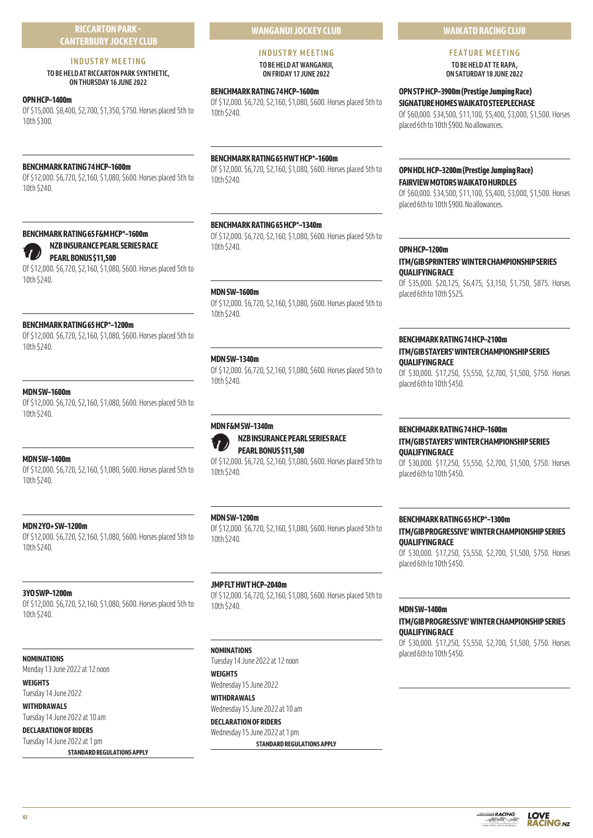# **RICCARTON PARK - CANTERBURY JOCKEY CLUB**

# **INDUSTRY MEETING**

# **TO BE HELD AT RICCARTON PARK SYNTHETIC, ON THURSDAY 16 JUNE 2022**

# **OPN HCP–1400m**

Of \$15,000. \$8,400, \$2,700, \$1,350, \$750. Horses placed 5th to 10th \$300.

# **BENCHMARK RATING 74 HCP–1600m**

Of \$12,000. \$6,720, \$2,160, \$1,080, \$600. Horses placed 5th to 10th \$240.

# **BENCHMARK RATING 65 F&M HCP\*–1600m**



Of \$12,000. \$6,720, \$2,160, \$1,080, \$600. Horses placed 5th to 10th \$240.

# **BENCHMARK RATING 65 HCP\*–1200m**

Of \$12,000. \$6,720, \$2,160, \$1,080, \$600. Horses placed 5th to 10th \$240.

# **MDN SW–1600m**

Of \$12,000. \$6,720, \$2,160, \$1,080, \$600. Horses placed 5th to 10th \$240.

# **MDN SW–1400m**

Of \$12,000. \$6,720, \$2,160, \$1,080, \$600. Horses placed 5th to 10th \$240.

# **MDN 2YO+ SW–1200m**

Of \$12,000. \$6,720, \$2,160, \$1,080, \$600. Horses placed 5th to 10th \$240.

# **3YO SWP–1200m**

Of \$12,000. \$6,720, \$2,160, \$1,080, \$600. Horses placed 5th to 10th \$240.

# **NOMINATIONS**

Monday 13 June 2022 at 12 noon

**WEIGHTS** Tuesday 14 June 2022

**WITHDRAWALS** Tuesday 14 June 2022 at 10 am

**DECLARATION OF RIDERS** Tuesday 14 June 2022 at 1 pm

**STANDARD REGULATIONS APPLY**

# **WANGANUI JOCKEY CLUB**

**INDUSTRY MEETING TO BE HELD AT WANGANUI, ON FRIDAY 17 JUNE 2022** 

# **BENCHMARK RATING 74 HCP–1600m**

Of \$12,000. \$6,720, \$2,160, \$1,080, \$600. Horses placed 5th to 10th \$240.

# **BENCHMARK RATING 65 HWT HCP\*–1600m**

Of \$12,000. \$6,720, \$2,160, \$1,080, \$600. Horses placed 5th to 10th \$240.

# **BENCHMARK RATING 65 HCP\*–1340m**

Of \$12,000. \$6,720, \$2,160, \$1,080, \$600. Horses placed 5th to 10th \$240.

# **MDN SW–1600m**

Of \$12,000. \$6,720, \$2,160, \$1,080, \$600. Horses placed 5th to 10th \$240.

# **MDN SW–1340m**

Of \$12,000. \$6,720, \$2,160, \$1,080, \$600. Horses placed 5th to 10th \$240.

# **MDN F&M SW–1340m**



**NZB INSURANCE PEARL SERIES RACE PEARL BONUS \$11,500**

Of \$12,000. \$6,720, \$2,160, \$1,080, \$600. Horses placed 5th to 10th \$240.

# **MDN SW–1200m**

Of \$12,000. \$6,720, \$2,160, \$1,080, \$600. Horses placed 5th to 10th \$240.

# **JMP FLT HWT HCP–2040m**

Of \$12,000. \$6,720, \$2,160, \$1,080, \$600. Horses placed 5th to 10th \$240.

# **NOMINATIONS**

Tuesday 14 June 2022 at 12 noon **WEIGHTS**

Wednesday 15 June 2022 **WITHDRAWALS**

Wednesday 15 June 2022 at 10 am **DECLARATION OF RIDERS**

Wednesday 15 June 2022 at 1 pm **STANDARD REGULATIONS APPLY**

# **WAIKATO RACING CLUB**

**FEATURE MEETING** 

**TO BE HELD AT TE RAPA, ON SATURDAY 18 JUNE 2022** 

# **OPN STP HCP–3900m (Prestige Jumping Race) SIGNATURE HOMES WAIKATO STEEPLECHASE**

Of \$60,000. \$34,500, \$11,100, \$5,400, \$3,000, \$1,500. Horses placed 6th to 10th \$900. No allowances.

# **OPN HDL HCP–3200m (Prestige Jumping Race) FAIRVIEW MOTORS WAIKATO HURDLES**

Of \$60,000. \$34,500, \$11,100, \$5,400, \$3,000, \$1,500. Horses placed 6th to 10th \$900. No allowances.

# **OPN HCP–1200m**

**ITM/GIB SPRINTERS' WINTER CHAMPIONSHIP SERIES QUALIFYING RACE**

Of \$35,000. \$20,125, \$6,475, \$3,150, \$1,750, \$875. Horses placed 6th to 10th \$525.

# **BENCHMARK RATING 74 HCP–2100m ITM/GIB STAYERS' WINTER CHAMPIONSHIP SERIES QUALIFYING RACE**

Of \$30,000. \$17,250, \$5,550, \$2,700, \$1,500, \$750. Horses placed 6th to 10th \$450.

# **BENCHMARK RATING 74 HCP–1600m ITM/GIB STAYERS' WINTER CHAMPIONSHIP SERIES QUALIFYING RACE**

Of \$30,000. \$17,250, \$5,550, \$2,700, \$1,500, \$750. Horses placed 6th to 10th \$450.

# **BENCHMARK RATING 65 HCP\*–1300m**

**ITM/GIB PROGRESSIVE' WINTER CHAMPIONSHIP SERIES QUALIFYING RACE**

Of \$30,000. \$17,250, \$5,550, \$2,700, \$1,500, \$750. Horses placed 6th to 10th \$450.

#### **MDN SW–1400m**

**ITM/GIB PROGRESSIVE' WINTER CHAMPIONSHIP SERIES QUALIFYING RACE**

Of \$30,000. \$17,250, \$5,550, \$2,700, \$1,500, \$750. Horses placed 6th to 10th \$450.

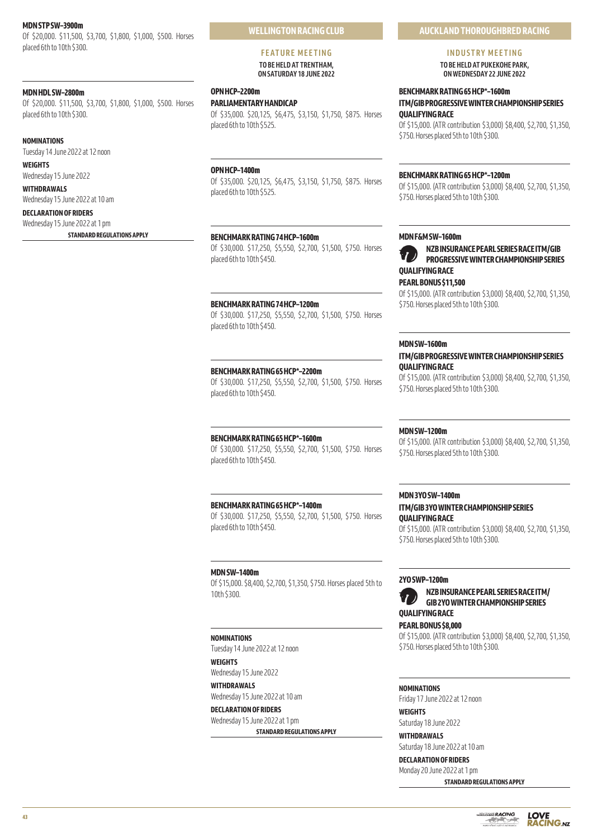## **MDN STP SW–3900m**

Of \$20,000. \$11,500, \$3,700, \$1,800, \$1,000, \$500. Horses placed 6th to 10th \$300.

#### **MDN HDL SW–2800m**

Of \$20,000. \$11,500, \$3,700, \$1,800, \$1,000, \$500. Horses placed 6th to 10th \$300.

#### **NOMINATIONS**

Tuesday 14 June 2022 at 12 noon

# **WEIGHTS**

Wednesday 15 June 2022 **WITHDRAWALS**

Wednesday 15 June 2022 at 10 am **DECLARATION OF RIDERS**

# Wednesday 15 June 2022 at 1 pm

**STANDARD REGULATIONS APPLY**

#### **FEATURE MEETING TO BE HELD AT TRENTHAM, ON SATURDAY 18 JUNE 2022**

# **OPN HCP–2200m**

**PARLIAMENTARY HANDICAP**

Of \$35,000. \$20,125, \$6,475, \$3,150, \$1,750, \$875. Horses placed 6th to 10th \$525.

# **OPN HCP–1400m**

Of \$35,000. \$20,125, \$6,475, \$3,150, \$1,750, \$875. Horses placed 6th to 10th \$525.

## **BENCHMARK RATING 74 HCP–1600m**

Of \$30,000. \$17,250, \$5,550, \$2,700, \$1,500, \$750. Horses placed 6th to 10th \$450.

#### **BENCHMARK RATING 74 HCP–1200m**

Of \$30,000. \$17,250, \$5,550, \$2,700, \$1,500, \$750. Horses placed 6th to 10th \$450.

#### **BENCHMARK RATING 65 HCP\*–2200m**

Of \$30,000. \$17,250, \$5,550, \$2,700, \$1,500, \$750. Horses placed 6th to 10th \$450.

#### **BENCHMARK RATING 65 HCP\*–1600m**

Of \$30,000. \$17,250, \$5,550, \$2,700, \$1,500, \$750. Horses placed 6th to 10th \$450.

# **BENCHMARK RATING 65 HCP\*–1400m**

Of \$30,000. \$17,250, \$5,550, \$2,700, \$1,500, \$750. Horses placed 6th to 10th \$450.

# **MDN SW–1400m**

Of \$15,000. \$8,400, \$2,700, \$1,350, \$750. Horses placed 5th to 10th \$300.

#### **NOMINATIONS**

Tuesday 14 June 2022 at 12 noon

**WEIGHTS** Wednesday 15 June 2022

**WITHDRAWALS** Wednesday 15 June 2022 at 10 am

# **DECLARATION OF RIDERS** Wednesday 15 June 2022 at 1 pm

**STANDARD REGULATIONS APPLY**

# **AUCKLAND THOROUGHBRED RACING**

# **INDUSTRY MEETING**

**TO BE HELD AT PUKEKOHE PARK, ON WEDNESDAY 22 JUNE 2022**

# **BENCHMARK RATING 65 HCP\*–1600m ITM/GIB PROGRESSIVE WINTER CHAMPIONSHIP SERIES QUALIFYING RACE**

Of \$15,000. (ATR contribution \$3,000) \$8,400, \$2,700, \$1,350, \$750. Horses placed 5th to 10th \$300.

#### **BENCHMARK RATING 65 HCP\*–1200m**

Of \$15,000. (ATR contribution \$3,000) \$8,400, \$2,700, \$1,350, \$750. Horses placed 5th to 10th \$300.

## **MDN F&M SW–1600m**





**NZB INSURANCE PEARL SERIES RACE ITM/GIB PROGRESSIVE WINTER CHAMPIONSHIP SERIES QUALIFYING RACE**

# **PEARL BONUS \$11,500**

Of \$15,000. (ATR contribution \$3,000) \$8,400, \$2,700, \$1,350, \$750. Horses placed 5th to 10th \$300.

#### **MDN SW–1600m**

#### **ITM/GIB PROGRESSIVE WINTER CHAMPIONSHIP SERIES QUALIFYING RACE**

Of \$15,000. (ATR contribution \$3,000) \$8,400, \$2,700, \$1,350, \$750. Horses placed 5th to 10th \$300.

# **MDN SW–1200m**

Of \$15,000. (ATR contribution \$3,000) \$8,400, \$2,700, \$1,350, \$750. Horses placed 5th to 10th \$300.

# **MDN 3YO SW–1400m**

# **ITM/GIB 3YO WINTER CHAMPIONSHIP SERIES QUALIFYING RACE**

Of \$15,000. (ATR contribution \$3,000) \$8,400, \$2,700, \$1,350, \$750. Horses placed 5th to 10th \$300.

# **2YO SWP–1200m**



# **PEARL BONUS \$8,000**

Of \$15,000. (ATR contribution \$3,000) \$8,400, \$2,700, \$1,350, \$750. Horses placed 5th to 10th \$300.

#### **NOMINATIONS**

Friday 17 June 2022 at 12 noon

# **WEIGHTS**

Saturday 18 June 2022 **WITHDRAWALS**

Saturday 18 June 2022 at 10 am

# **DECLARATION OF RIDERS**

Monday 20 June 2022 at 1 pm

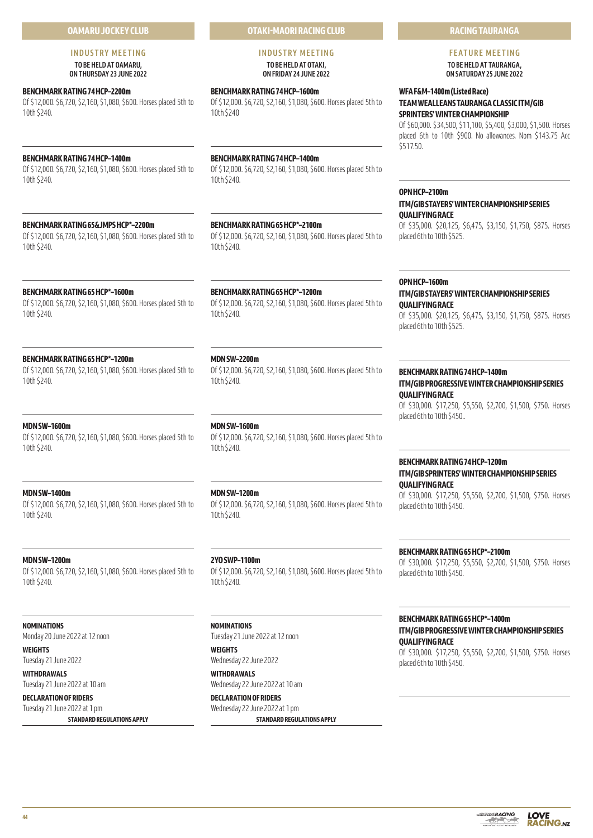# **OAMARU JOCKEY CLUB**

#### **INDUSTRY MEETING TO BE HELD AT OAMARU, ON THURSDAY 23 JUNE 2022**

**BENCHMARK RATING 74 HCP–2200m**

Of \$12,000. \$6,720, \$2,160, \$1,080, \$600. Horses placed 5th to 10th \$240.

# **BENCHMARK RATING 74 HCP–1400m**

Of \$12,000. \$6,720, \$2,160, \$1,080, \$600. Horses placed 5th to 10th \$240.

# **BENCHMARK RATING 65&JMPS HCP\*–2200m**

Of \$12,000. \$6,720, \$2,160, \$1,080, \$600. Horses placed 5th to 10th \$240.

# **BENCHMARK RATING 65 HCP\*–1600m**

Of \$12,000. \$6,720, \$2,160, \$1,080, \$600. Horses placed 5th to 10th \$240.

# **BENCHMARK RATING 65 HCP\*–1200m**

Of \$12,000. \$6,720, \$2,160, \$1,080, \$600. Horses placed 5th to 10th \$240.

# **MDN SW–1600m**

Of \$12,000. \$6,720, \$2,160, \$1,080, \$600. Horses placed 5th to 10th \$240.

# **MDN SW–1400m**

Of \$12,000. \$6,720, \$2,160, \$1,080, \$600. Horses placed 5th to 10th \$240.

# **MDN SW–1200m**

Of \$12,000. \$6,720, \$2,160, \$1,080, \$600. Horses placed 5th to 10th \$240.

# **NOMINATIONS**

Monday 20 June 2022 at 12 noon

**WEIGHTS** Tuesday 21 June 2022

**WITHDRAWALS** Tuesday 21 June 2022 at 10 am

**DECLARATION OF RIDERS** Tuesday 21 June 2022 at 1 pm

**STANDARD REGULATIONS APPLY**

**OTAKI-MAORI RACING CLUB**

#### **INDUSTRY MEETING TO BE HELD AT OTAKI, ON FRIDAY 24 JUNE 2022**

**BENCHMARK RATING 74 HCP–1600m**

Of \$12,000. \$6,720, \$2,160, \$1,080, \$600. Horses placed 5th to 10th \$240

**BENCHMARK RATING 74 HCP–1400m** Of \$12,000. \$6,720, \$2,160, \$1,080, \$600. Horses placed 5th to

10th \$240.

**BENCHMARK RATING 65 HCP\*–2100m** Of \$12,000. \$6,720, \$2,160, \$1,080, \$600. Horses placed 5th to 10th \$240.

**BENCHMARK RATING 65 HCP\*–1200m**

Of \$12,000. \$6,720, \$2,160, \$1,080, \$600. Horses placed 5th to 10th \$240.

# **MDN SW–2200m**

Of \$12,000. \$6,720, \$2,160, \$1,080, \$600. Horses placed 5th to 10th \$240.

# **MDN SW–1600m**

Of \$12,000. \$6,720, \$2,160, \$1,080, \$600. Horses placed 5th to 10th \$240.

# **MDN SW–1200m**

Of \$12,000. \$6,720, \$2,160, \$1,080, \$600. Horses placed 5th to 10th \$240.

# **2YO SWP–1100m**

Of \$12,000. \$6,720, \$2,160, \$1,080, \$600. Horses placed 5th to 10th \$240.

# **NOMINATIONS**

Tuesday 21 June 2022 at 12 noon

# **WEIGHTS**

Wednesday 22 June 2022 **WITHDRAWALS** Wednesday 22 June 2022 at 10 am

**DECLARATION OF RIDERS** Wednesday 22 June 2022 at 1 pm

**STANDARD REGULATIONS APPLY**

# **RACING TAURANGA**

# **FEATURE MEETING**

**TO BE HELD AT TAURANGA, ON SATURDAY 25 JUNE 2022** 

# **WFA F&M–1400m (Listed Race) TEAM WEALLEANS TAURANGA CLASSIC ITM/GIB SPRINTERS' WINTER CHAMPIONSHIP**

Of \$60,000. \$34,500, \$11,100, \$5,400, \$3,000, \$1,500. Horses placed 6th to 10th \$900. No allowances. Nom \$143.75 Acc \$517.50.

# **OPN HCP–2100m**

# **ITM/GIB STAYERS' WINTER CHAMPIONSHIP SERIES QUALIFYING RACE**

Of \$35,000. \$20,125, \$6,475, \$3,150, \$1,750, \$875. Horses placed 6th to 10th \$525.

# **OPN HCP–1600m**

# **ITM/GIB STAYERS' WINTER CHAMPIONSHIP SERIES QUALIFYING RACE**

Of \$35,000. \$20,125, \$6,475, \$3,150, \$1,750, \$875. Horses placed 6th to 10th \$525.

# **BENCHMARK RATING 74 HCP–1400m**

# **ITM/GIB PROGRESSIVE WINTER CHAMPIONSHIP SERIES QUALIFYING RACE**

Of \$30,000. \$17,250, \$5,550, \$2,700, \$1,500, \$750. Horses placed 6th to 10th \$450..

# **BENCHMARK RATING 74 HCP–1200m ITM/GIB SPRINTERS' WINTER CHAMPIONSHIP SERIES QUALIFYING RACE**

Of \$30,000. \$17,250, \$5,550, \$2,700, \$1,500, \$750. Horses placed 6th to 10th \$450.

# **BENCHMARK RATING 65 HCP\*–2100m**

Of \$30,000. \$17,250, \$5,550, \$2,700, \$1,500, \$750. Horses placed 6th to 10th \$450.

# **BENCHMARK RATING 65 HCP\*–1400m**

# **ITM/GIB PROGRESSIVE WINTER CHAMPIONSHIP SERIES QUALIFYING RACE**

Of \$30,000. \$17,250, \$5,550, \$2,700, \$1,500, \$750. Horses placed 6th to 10th \$450.

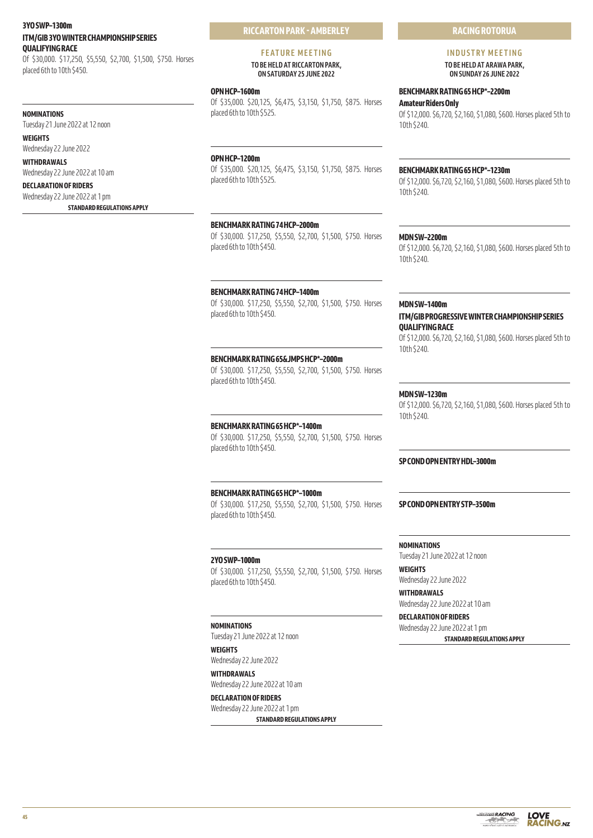# **3YO SWP–1300m ITM/GIB 3YO WINTER CHAMPIONSHIP SERIES QUALIFYING RACE**

Of \$30,000. \$17,250, \$5,550, \$2,700, \$1,500, \$750. Horses placed 6th to 10th \$450.

#### **NOMINATIONS**

Tuesday 21 June 2022 at 12 noon

**WEIGHTS** Wednesday 22 June 2022

**WITHDRAWALS** Wednesday 22 June 2022 at 10 am

# **DECLARATION OF RIDERS**

Wednesday 22 June 2022 at 1 pm **STANDARD REGULATIONS APPLY** **RICCARTON PARK - AMBERLEY**

#### **FEATURE MEETING TO BE HELD AT RICCARTON PARK, ON SATURDAY 25 JUNE 2022**

#### **OPN HCP–1600m**

Of \$35,000. \$20,125, \$6,475, \$3,150, \$1,750, \$875. Horses placed 6th to 10th \$525.

**OPN HCP–1200m**

Of \$35,000. \$20,125, \$6,475, \$3,150, \$1,750, \$875. Horses placed 6th to 10th \$525.

# **BENCHMARK RATING 74 HCP–2000m**

Of \$30,000. \$17,250, \$5,550, \$2,700, \$1,500, \$750. Horses placed 6th to 10th \$450.

#### **BENCHMARK RATING 74 HCP–1400m**

Of \$30,000. \$17,250, \$5,550, \$2,700, \$1,500, \$750. Horses placed 6th to 10th \$450.

#### **BENCHMARK RATING 65&JMPS HCP\*–2000m**

Of \$30,000. \$17,250, \$5,550, \$2,700, \$1,500, \$750. Horses placed 6th to 10th \$450.

#### **BENCHMARK RATING 65 HCP\*–1400m**

Of \$30,000. \$17,250, \$5,550, \$2,700, \$1,500, \$750. Horses placed 6th to 10th \$450.

**BENCHMARK RATING 65 HCP\*–1000m** Of \$30,000. \$17,250, \$5,550, \$2,700, \$1,500, \$750. Horses placed 6th to 10th \$450.

**2YO SWP–1000m** Of \$30,000. \$17,250, \$5,550, \$2,700, \$1,500, \$750. Horses placed 6th to 10th \$450.

**NOMINATIONS** Tuesday 21 June 2022 at 12 noon

**WEIGHTS** Wednesday 22 June 2022 **WITHDRAWALS** Wednesday 22 June 2022 at 10 am

**DECLARATION OF RIDERS** Wednesday 22 June 2022 at 1 pm **STANDARD REGULATIONS APPLY**

# **RACING ROTORUA**

**INDUSTRY MEETING TO BE HELD AT ARAWA PARK, ON SUNDAY 26 JUNE 2022** 

# **BENCHMARK RATING 65 HCP\*–2200m**

**Amateur Riders Only**

Of \$12,000. \$6,720, \$2,160, \$1,080, \$600. Horses placed 5th to 10th \$240.

#### **BENCHMARK RATING 65 HCP\*–1230m**

Of \$12,000. \$6,720, \$2,160, \$1,080, \$600. Horses placed 5th to 10th \$240.

## **MDN SW–2200m**

Of \$12,000. \$6,720, \$2,160, \$1,080, \$600. Horses placed 5th to 10th \$240.

#### **MDN SW–1400m**

# **ITM/GIB PROGRESSIVE WINTER CHAMPIONSHIP SERIES QUALIFYING RACE**

Of \$12,000. \$6,720, \$2,160, \$1,080, \$600. Horses placed 5th to 10th \$240.

# **MDN SW–1230m**

Of \$12,000. \$6,720, \$2,160, \$1,080, \$600. Horses placed 5th to 10th \$240.

# **SP COND OPN ENTRY HDL–3000m**

## **SP COND OPN ENTRY STP–3500m**

**NOMINATIONS** Tuesday 21 June 2022 at 12 noon

**WEIGHTS** Wednesday 22 June 2022

**WITHDRAWALS** Wednesday 22 June 2022 at 10 am

**DECLARATION OF RIDERS** Wednesday 22 June 2022 at 1 pm **STANDARD REGULATIONS APPLY**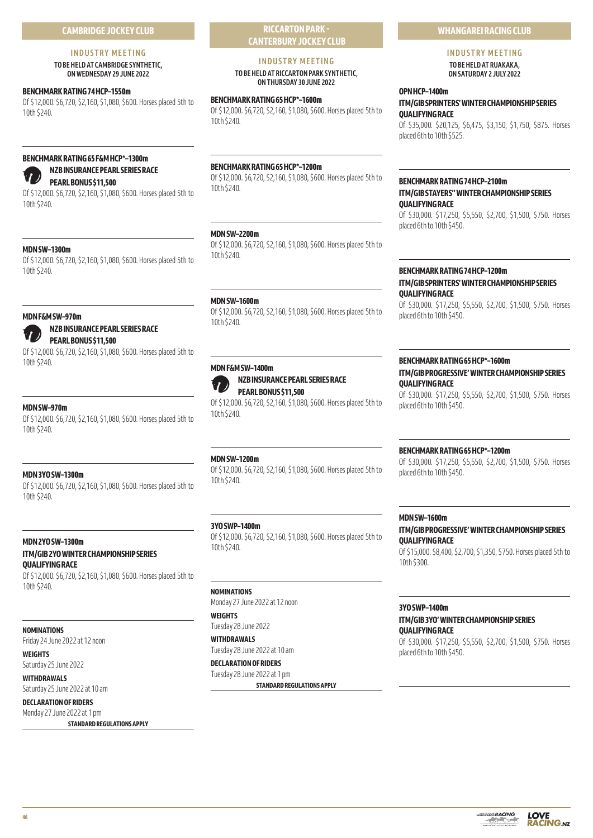# **CAMBRIDGE JOCKEY CLUB**

# **INDUSTRY MEETING**

**TO BE HELD AT CAMBRIDGE SYNTHETIC, ON WEDNESDAY 29 JUNE 2022** 

#### **BENCHMARK RATING 74 HCP–1550m**

Of \$12,000. \$6,720, \$2,160, \$1,080, \$600. Horses placed 5th to 10th \$240.

# **BENCHMARK RATING 65 F&M HCP\*–1300m**

# **NZB INSURANCE PEARL SERIES RACE**

# **PEARL BONUS \$11,500**

Of \$12,000. \$6,720, \$2,160, \$1,080, \$600. Horses placed 5th to 10th \$240.

# **MDN SW–1300m**

Of \$12,000. \$6,720, \$2,160, \$1,080, \$600. Horses placed 5th to 10th \$240.

#### **MDN F&M SW–970m**

# **NZB INSURANCE PEARL SERIES RACE PEARL BONUS \$11,500**

Of \$12,000. \$6,720, \$2,160, \$1,080, \$600. Horses placed 5th to 10th \$240.

# **MDN SW–970m**

Of \$12,000. \$6,720, \$2,160, \$1,080, \$600. Horses placed 5th to 10th \$240.

# **MDN 3YO SW–1300m**

Of \$12,000. \$6,720, \$2,160, \$1,080, \$600. Horses placed 5th to 10th \$240.

# **MDN 2YO SW–1300m ITM/GIB 2YO WINTER CHAMPIONSHIP SERIES QUALIFYING RACE**

Of \$12,000. \$6,720, \$2,160, \$1,080, \$600. Horses placed 5th to 10th \$240.

# **NOMINATIONS**

Friday 24 June 2022 at 12 noon

#### **WEIGHTS**

Saturday 25 June 2022

#### **WITHDRAWALS** Saturday 25 June 2022 at 10 am

**DECLARATION OF RIDERS**

# Monday 27 June 2022 at 1 pm

**STANDARD REGULATIONS APPLY**

# **RICCARTON PARK - CANTERBURY JOCKEY CLUB**

# **INDUSTRY MEETING**

**TO BE HELD AT RICCARTON PARK SYNTHETIC, ON THURSDAY 30 JUNE 2022** 

# **BENCHMARK RATING 65 HCP\*–1600m**

Of \$12,000. \$6,720, \$2,160, \$1,080, \$600. Horses placed 5th to 10th \$240.

# **BENCHMARK RATING 65 HCP\*–1200m**

Of \$12,000. \$6,720, \$2,160, \$1,080, \$600. Horses placed 5th to 10th \$240.

# **MDN SW–2200m**

Of \$12,000. \$6,720, \$2,160, \$1,080, \$600. Horses placed 5th to 10th \$240.

# **MDN SW–1600m**

Of \$12,000. \$6,720, \$2,160, \$1,080, \$600. Horses placed 5th to 10th \$240.

# **MDN F&M SW–1400m**

# **NZB INSURANCE PEARL SERIES RACE PEARL BONUS \$11,500**

Of \$12,000. \$6,720, \$2,160, \$1,080, \$600. Horses placed 5th to 10th \$240.

# **MDN SW–1200m**

Of \$12,000. \$6,720, \$2,160, \$1,080, \$600. Horses placed 5th to 10th \$240.

# **3YO SWP–1400m**

Of \$12,000. \$6,720, \$2,160, \$1,080, \$600. Horses placed 5th to 10th \$240.

# **NOMINATIONS**

Monday 27 June 2022 at 12 noon

# **WEIGHTS** Tuesday 28 June 2022

**WITHDRAWALS** Tuesday 28 June 2022 at 10 am

# **DECLARATION OF RIDERS**

Tuesday 28 June 2022 at 1 pm **STANDARD REGULATIONS APPLY**

# **WHANGAREI RACING CLUB**

# **INDUSTRY MEETING TO BE HELD AT RUAKAKA,**

**ON SATURDAY 2 JULY 2022** 

# **OPN HCP–1400m**

# **ITM/GIB SPRINTERS' WINTER CHAMPIONSHIP SERIES QUALIFYING RACE**

Of \$35,000. \$20,125, \$6,475, \$3,150, \$1,750, \$875. Horses placed 6th to 10th \$525.

# **BENCHMARK RATING 74 HCP–2100m ITM/GIB STAYERS'' WINTER CHAMPIONSHIP SERIES QUALIFYING RACE**

Of \$30,000. \$17,250, \$5,550, \$2,700, \$1,500, \$750. Horses placed 6th to 10th \$450.

# **BENCHMARK RATING 74 HCP–1200m ITM/GIB SPRINTERS' WINTER CHAMPIONSHIP SERIES QUALIFYING RACE**

Of \$30,000. \$17,250, \$5,550, \$2,700, \$1,500, \$750. Horses placed 6th to 10th \$450.

# **BENCHMARK RATING 65 HCP\*–1600m**

# **ITM/GIB PROGRESSIVE' WINTER CHAMPIONSHIP SERIES QUALIFYING RACE**

Of \$30,000. \$17,250, \$5,550, \$2,700, \$1,500, \$750. Horses placed 6th to 10th \$450.

# **BENCHMARK RATING 65 HCP\*–1200m**

Of \$30,000. \$17,250, \$5,550, \$2,700, \$1,500, \$750. Horses placed 6th to 10th \$450.

# **MDN SW–1600m**

# **ITM/GIB PROGRESSIVE' WINTER CHAMPIONSHIP SERIES QUALIFYING RACE**

Of \$15,000. \$8,400, \$2,700, \$1,350, \$750. Horses placed 5th to 10th \$300.

# **3YO SWP–1400m**

#### **ITM/GIB 3YO' WINTER CHAMPIONSHIP SERIES QUALIFYING RACE**

Of \$30,000. \$17,250, \$5,550, \$2,700, \$1,500, \$750. Horses placed 6th to 10th \$450.

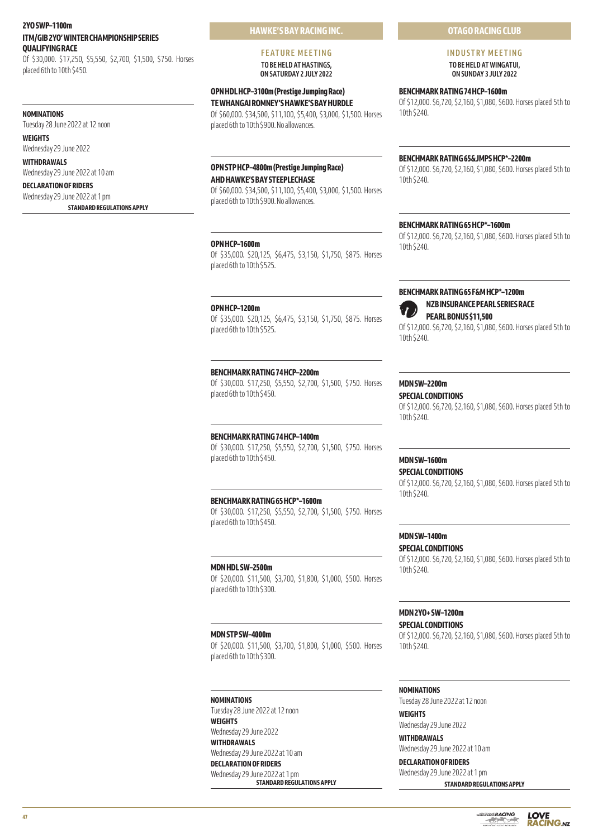# **2YO SWP–1100m ITM/GIB 2YO' WINTER CHAMPIONSHIP SERIES QUALIFYING RACE**

Of \$30,000. \$17,250, \$5,550, \$2,700, \$1,500, \$750. Horses placed 6th to 10th \$450.

#### **NOMINATIONS**

Tuesday 28 June 2022 at 12 noon

**WEIGHTS** Wednesday 29 June 2022

**WITHDRAWALS** Wednesday 29 June 2022 at 10 am

# **DECLARATION OF RIDERS**

Wednesday 29 June 2022 at 1 pm **STANDARD REGULATIONS APPLY** **HAWKE'S BAY RACING INC.**

#### **FEATURE MEETING TO BE HELD AT HASTINGS, ON SATURDAY 2 JULY 2022**

**OPN HDL HCP–3100m (Prestige Jumping Race) TE WHANGAI ROMNEY'S HAWKE'S BAY HURDLE**

Of \$60,000. \$34,500, \$11,100, \$5,400, \$3,000, \$1,500. Horses placed 6th to 10th \$900. No allowances.

# **OPN STP HCP–4800m (Prestige Jumping Race) AHD HAWKE'S BAY STEEPLECHASE**

Of \$60,000. \$34,500, \$11,100, \$5,400, \$3,000, \$1,500. Horses placed 6th to 10th \$900. No allowances.

# **OPN HCP–1600m**

Of \$35,000. \$20,125, \$6,475, \$3,150, \$1,750, \$875. Horses placed 6th to 10th \$525.

# **OPN HCP–1200m**

Of \$35,000. \$20,125, \$6,475, \$3,150, \$1,750, \$875. Horses placed 6th to 10th \$525.

# **BENCHMARK RATING 74 HCP–2200m**

Of \$30,000. \$17,250, \$5,550, \$2,700, \$1,500, \$750. Horses placed 6th to 10th \$450.

# **BENCHMARK RATING 74 HCP–1400m**

Of \$30,000. \$17,250, \$5,550, \$2,700, \$1,500, \$750. Horses placed 6th to 10th \$450.

#### **BENCHMARK RATING 65 HCP\*–1600m**

Of \$30,000. \$17,250, \$5,550, \$2,700, \$1,500, \$750. Horses placed 6th to 10th \$450.

#### **MDN HDL SW–2500m**

Of \$20,000. \$11,500, \$3,700, \$1,800, \$1,000, \$500. Horses placed 6th to 10th \$300.

#### **MDN STP SW–4000m**

Of \$20,000. \$11,500, \$3,700, \$1,800, \$1,000, \$500. Horses placed 6th to 10th \$300.

# **NOMINATIONS**

Tuesday 28 June 2022 at 12 noon **WEIGHTS** Wednesday 29 June 2022 **WITHDRAWALS** Wednesday 29 June 2022 at 10 am **DECLARATION OF RIDERS** Wednesday 29 June 2022 at 1 pm **STANDARD REGULATIONS APPLY**

# **OTAGO RACING CLUB**

**INDUSTRY MEETING TO BE HELD AT WINGATUI,** 

**ON SUNDAY 3 JULY 2022** 

# **BENCHMARK RATING 74 HCP–1600m**

Of \$12,000. \$6,720, \$2,160, \$1,080, \$600. Horses placed 5th to 10th \$240.

#### **BENCHMARK RATING 65&JMPS HCP\*–2200m**

Of \$12,000. \$6,720, \$2,160, \$1,080, \$600. Horses placed 5th to 10th \$240.

# **BENCHMARK RATING 65 HCP\*–1600m**

Of \$12,000. \$6,720, \$2,160, \$1,080, \$600. Horses placed 5th to 10th \$240.

# **BENCHMARK RATING 65 F&M HCP\*–1200m**



Of \$12,000. \$6,720, \$2,160, \$1,080, \$600. Horses placed 5th to 10th \$240.

# **MDN SW–2200m**

# **SPECIAL CONDITIONS**

Of \$12,000. \$6,720, \$2,160, \$1,080, \$600. Horses placed 5th to 10th \$240.

# **MDN SW–1600m**

**SPECIAL CONDITIONS**

Of \$12,000. \$6,720, \$2,160, \$1,080, \$600. Horses placed 5th to 10th \$240.

# **MDN SW–1400m**

**SPECIAL CONDITIONS**

Of \$12,000. \$6,720, \$2,160, \$1,080, \$600. Horses placed 5th to 10th \$240.

# **MDN 2YO+ SW–1200m**

**SPECIAL CONDITIONS** Of \$12,000. \$6,720, \$2,160, \$1,080, \$600. Horses placed 5th to 10th \$240.

#### **NOMINATIONS**

Tuesday 28 June 2022 at 12 noon

# **WEIGHTS**

Wednesday 29 June 2022 **WITHDRAWALS**

Wednesday 29 June 2022 at 10 am

# **DECLARATION OF RIDERS**

Wednesday 29 June 2022 at 1 pm **STANDARD REGULATIONS APPLY**

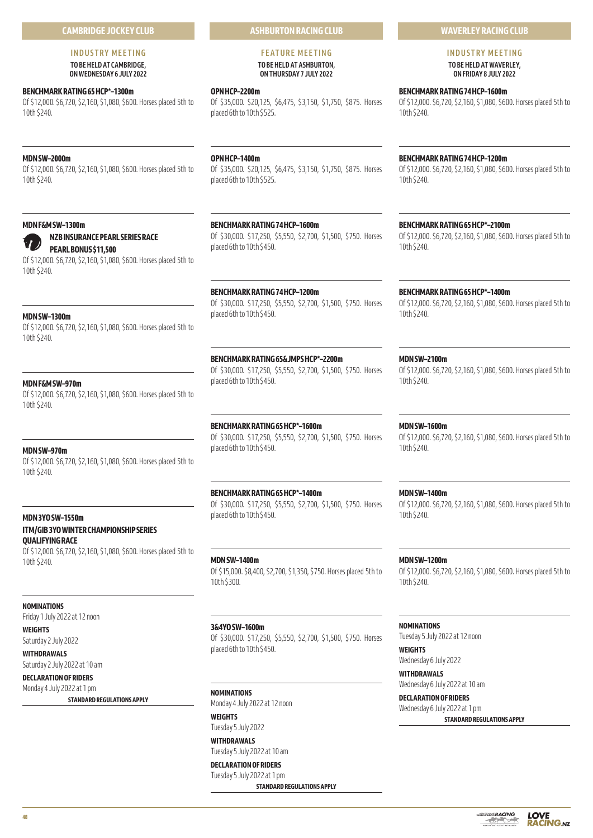# **CAMBRIDGE JOCKEY CLUB**

#### **INDUSTRY MEETING TO BE HELD AT CAMBRIDGE, ON WEDNESDAY 6 JULY 2022**

# **BENCHMARK RATING 65 HCP\*–1300m**

Of \$12,000. \$6,720, \$2,160, \$1,080, \$600. Horses placed 5th to 10th \$240.

# **MDN SW–2000m**

Of \$12,000. \$6,720, \$2,160, \$1,080, \$600. Horses placed 5th to 10th \$240.

#### **MDN F&M SW–1300m**

#### **NZB INSURANCE PEARL SERIES RACE**

**PEARL BONUS \$11,500** Of \$12,000. \$6,720, \$2,160, \$1,080, \$600. Horses placed 5th to

# **MDN SW–1300m**

10th \$240.

Of \$12,000. \$6,720, \$2,160, \$1,080, \$600. Horses placed 5th to 10th \$240.

#### **MDN F&M SW–970m**

Of \$12,000. \$6,720, \$2,160, \$1,080, \$600. Horses placed 5th to 10th \$240.

**MDN SW–970m** Of \$12,000. \$6,720, \$2,160, \$1,080, \$600. Horses placed 5th to 10th \$240.

# **MDN 3YO SW–1550m ITM/GIB 3YO WINTER CHAMPIONSHIP SERIES QUALIFYING RACE**

Of \$12,000. \$6,720, \$2,160, \$1,080, \$600. Horses placed 5th to 10th \$240.

## **NOMINATIONS**

Friday 1 July 2022 at 12 noon **WEIGHTS**

Saturday 2 July 2022

# **WITHDRAWALS**

Saturday 2 July 2022 at 10 am

# **DECLARATION OF RIDERS** Monday 4 July 2022 at 1 pm

**STANDARD REGULATIONS APPLY**

# **OPN HCP–1400m**

**OPN HCP–2200m**

placed 6th to 10th \$525.

Of \$35,000. \$20,125, \$6,475, \$3,150, \$1,750, \$875. Horses placed 6th to 10th \$525.

**ASHBURTON RACING CLUB**

**FEATURE MEETING TO BE HELD AT ASHBURTON, ON THURSDAY 7 JULY 2022** 

Of \$35,000. \$20,125, \$6,475, \$3,150, \$1,750, \$875. Horses

**BENCHMARK RATING 74 HCP–1600m**

# Of \$30,000. \$17,250, \$5,550, \$2,700, \$1,500, \$750. Horses placed 6th to 10th \$450.

# **BENCHMARK RATING 74 HCP–1200m**

Of \$30,000. \$17,250, \$5,550, \$2,700, \$1,500, \$750. Horses placed 6th to 10th \$450.

#### **BENCHMARK RATING 65&JMPS HCP\*–2200m**

Of \$30,000. \$17,250, \$5,550, \$2,700, \$1,500, \$750. Horses placed 6th to 10th \$450.

# **BENCHMARK RATING 65 HCP\*–1600m**

Of \$30,000. \$17,250, \$5,550, \$2,700, \$1,500, \$750. Horses placed 6th to 10th \$450.

# **BENCHMARK RATING 65 HCP\*–1400m**

Of \$30,000. \$17,250, \$5,550, \$2,700, \$1,500, \$750. Horses placed 6th to 10th \$450.

**MDN SW–1400m** Of \$15,000. \$8,400, \$2,700, \$1,350, \$750. Horses placed 5th to 10th \$300.

**3&4YO SW–1600m** Of \$30,000. \$17,250, \$5,550, \$2,700, \$1,500, \$750. Horses placed 6th to 10th \$450.

**NOMINATIONS** Monday 4 July 2022 at 12 noon

**WEIGHTS** Tuesday 5 July 2022

**WITHDRAWALS** Tuesday 5 July 2022 at 10 am

**DECLARATION OF RIDERS** Tuesday 5 July 2022 at 1 pm

**STANDARD REGULATIONS APPLY**

# **WAVERLEY RACING CLUB**

**INDUSTRY MEETING TO BE HELD AT WAVERLEY, ON FRIDAY 8 JULY 2022** 

**BENCHMARK RATING 74 HCP–1600m**

Of \$12,000. \$6,720, \$2,160, \$1,080, \$600. Horses placed 5th to 10th \$240.

# **BENCHMARK RATING 74 HCP–1200m**

Of \$12,000. \$6,720, \$2,160, \$1,080, \$600. Horses placed 5th to 10th \$240.

**BENCHMARK RATING 65 HCP\*–2100m** Of \$12,000. \$6,720, \$2,160, \$1,080, \$600. Horses placed 5th to 10th \$240.

**BENCHMARK RATING 65 HCP\*–1400m**

Of \$12,000. \$6,720, \$2,160, \$1,080, \$600. Horses placed 5th to 10th \$240.

#### **MDN SW–2100m**

Of \$12,000. \$6,720, \$2,160, \$1,080, \$600. Horses placed 5th to 10th \$240.

**MDN SW–1600m**

Of \$12,000. \$6,720, \$2,160, \$1,080, \$600. Horses placed 5th to 10th \$240.

**MDN SW–1400m** Of \$12,000. \$6,720, \$2,160, \$1,080, \$600. Horses placed 5th to 10th \$240.

**MDN SW–1200m** Of \$12,000. \$6,720, \$2,160, \$1,080, \$600. Horses placed 5th to 10th \$240.

**NOMINATIONS** Tuesday 5 July 2022 at 12 noon

**WEIGHTS** Wednesday 6 July 2022

**WITHDRAWALS** Wednesday 6 July 2022 at 10 am

**DECLARATION OF RIDERS** Wednesday 6 July 2022 at 1 pm **STANDARD REGULATIONS APPLY**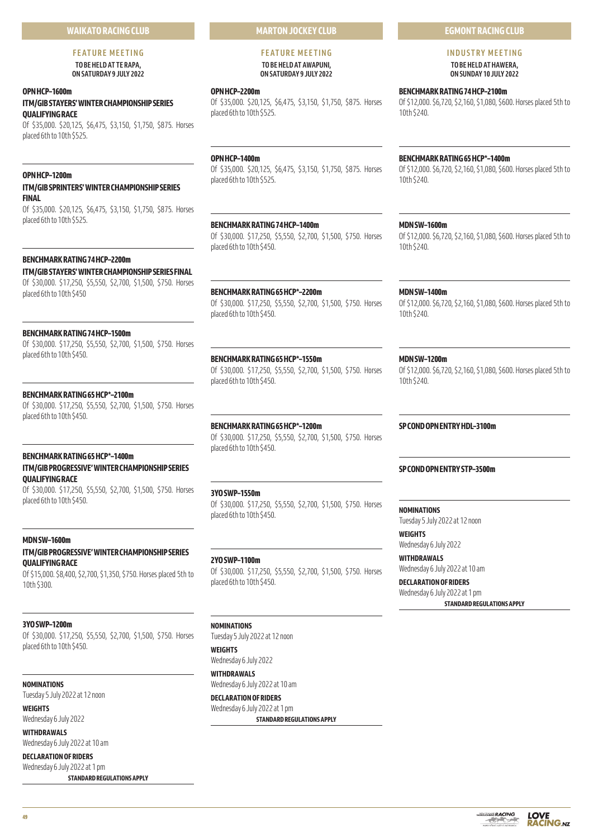# **WAIKATO RACING CLUB**

# **FEATURE MEETING**

**TO BE HELD AT TE RAPA, ON SATURDAY 9 JULY 2022** 

# **OPN HCP–1600m ITM/GIB STAYERS' WINTER CHAMPIONSHIP SERIES QUALIFYING RACE**

Of \$35,000. \$20,125, \$6,475, \$3,150, \$1,750, \$875. Horses placed 6th to 10th \$525.

# **OPN HCP–1200m**

# **ITM/GIB SPRINTERS' WINTER CHAMPIONSHIP SERIES FINAL**

Of \$35,000. \$20,125, \$6,475, \$3,150, \$1,750, \$875. Horses placed 6th to 10th \$525.

# **BENCHMARK RATING 74 HCP–2200m**

# **ITM/GIB STAYERS' WINTER CHAMPIONSHIP SERIES FINAL**

Of \$30,000. \$17,250, \$5,550, \$2,700, \$1,500, \$750. Horses placed 6th to 10th \$450

# **BENCHMARK RATING 74 HCP–1500m**

Of \$30,000. \$17,250, \$5,550, \$2,700, \$1,500, \$750. Horses placed 6th to 10th \$450.

# **BENCHMARK RATING 65 HCP\*–2100m**

Of \$30,000. \$17,250, \$5,550, \$2,700, \$1,500, \$750. Horses placed 6th to 10th \$450.

# **BENCHMARK RATING 65 HCP\*–1400m ITM/GIB PROGRESSIVE' WINTER CHAMPIONSHIP SERIES QUALIFYING RACE**

Of \$30,000. \$17,250, \$5,550, \$2,700, \$1,500, \$750. Horses placed 6th to 10th \$450.

# **MDN SW–1600m**

# **ITM/GIB PROGRESSIVE' WINTER CHAMPIONSHIP SERIES QUALIFYING RACE**

Of \$15,000. \$8,400, \$2,700, \$1,350, \$750. Horses placed 5th to 10th \$300.

# **3YO SWP–1200m**

Of \$30,000. \$17,250, \$5,550, \$2,700, \$1,500, \$750. Horses placed 6th to 10th \$450.

# **NOMINATIONS**

Tuesday 5 July 2022 at 12 noon

# **WEIGHTS**

Wednesday 6 July 2022 **WITHDRAWALS**

Wednesday 6 July 2022 at 10 am

# **DECLARATION OF RIDERS** Wednesday 6 July 2022 at 1 pm

**STANDARD REGULATIONS APPLY**

# **MARTON JOCKEY CLUB**

# **FEATURE MEETING TO BE HELD AT AWAPUNI, ON SATURDAY 9 JULY 2022**

# **OPN HCP–2200m**

Of \$35,000. \$20,125, \$6,475, \$3,150, \$1,750, \$875. Horses placed 6th to 10th \$525.

**OPN HCP–1400m**

Of \$35,000. \$20,125, \$6,475, \$3,150, \$1,750, \$875. Horses placed 6th to 10th \$525.

**BENCHMARK RATING 74 HCP–1400m** Of \$30,000. \$17,250, \$5,550, \$2,700, \$1,500, \$750. Horses placed 6th to 10th \$450.

# **BENCHMARK RATING 65 HCP\*–2200m**

placed 6th to 10th \$450.

# **BENCHMARK RATING 65 HCP\*–1550m**

# **BENCHMARK RATING 65 HCP\*–1200m**

Of \$30,000. \$17,250, \$5,550, \$2,700, \$1,500, \$750. Horses placed 6th to 10th \$450.

# **3YO SWP–1550m**

Of \$30,000. \$17,250, \$5,550, \$2,700, \$1,500, \$750. Horses placed 6th to 10th \$450.

# **2YO SWP–1100m**

Of \$30,000. \$17,250, \$5,550, \$2,700, \$1,500, \$750. Horses placed 6th to 10th \$450.

# **NOMINATIONS**

Tuesday 5 July 2022 at 12 noon

# **WEIGHTS**

Wednesday 6 July 2022 **WITHDRAWALS** Wednesday 6 July 2022 at 10 am

# **DECLARATION OF RIDERS** Wednesday 6 July 2022 at 1 pm

**STANDARD REGULATIONS APPLY**

# **EGMONT RACING CLUB**

**INDUSTRY MEETING TO BE HELD AT HAWERA, ON SUNDAY 10 JULY 2022** 

**BENCHMARK RATING 74 HCP–2100m** Of \$12,000. \$6,720, \$2,160, \$1,080, \$600. Horses placed 5th to 10th \$240.

# **BENCHMARK RATING 65 HCP\*–1400m**

Of \$12,000. \$6,720, \$2,160, \$1,080, \$600. Horses placed 5th to 10th \$240.

# **MDN SW–1600m**

Of \$12,000. \$6,720, \$2,160, \$1,080, \$600. Horses placed 5th to 10th \$240.

# **MDN SW–1400m**

Of \$12,000. \$6,720, \$2,160, \$1,080, \$600. Horses placed 5th to 10th \$240.

# **MDN SW–1200m**

Of \$12,000. \$6,720, \$2,160, \$1,080, \$600. Horses placed 5th to 10th \$240.

# **SP COND OPN ENTRY HDL–3100m**

# **SP COND OPN ENTRY STP–3500m**

**NOMINATIONS**

Tuesday 5 July 2022 at 12 noon

**WEIGHTS** Wednesday 6 July 2022

**WITHDRAWALS** Wednesday 6 July 2022 at 10 am

**DECLARATION OF RIDERS** Wednesday 6 July 2022 at 1 pm **STANDARD REGULATIONS APPLY**

Of \$30,000. \$17,250, \$5,550, \$2,700, \$1,500, \$750. Horses

Of \$30,000. \$17,250, \$5,550, \$2,700, \$1,500, \$750. Horses placed 6th to 10th \$450.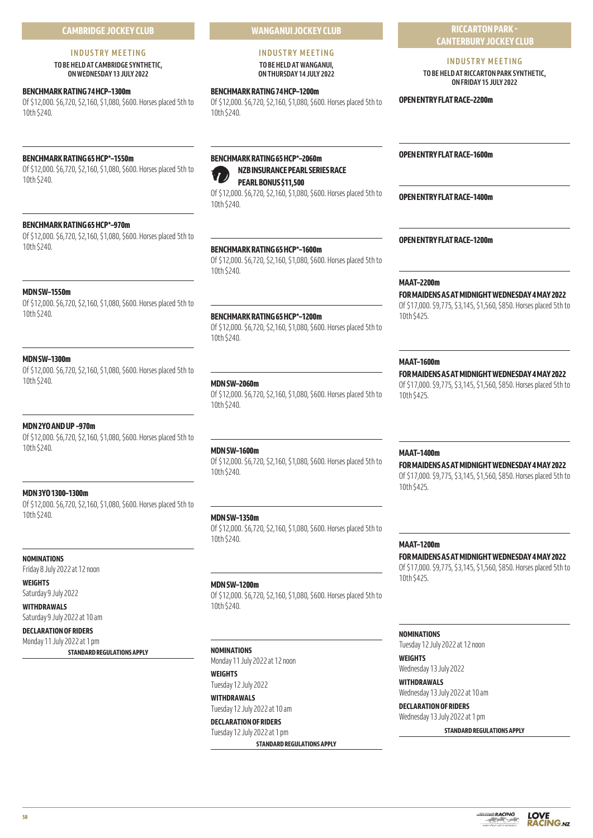# **INDUSTRY MEETING**

**TO BE HELD AT CAMBRIDGE SYNTHETIC, ON WEDNESDAY 13 JULY 2022** 

# **BENCHMARK RATING 74 HCP–1300m**

Of \$12,000. \$6,720, \$2,160, \$1,080, \$600. Horses placed 5th to 10th \$240.

# **BENCHMARK RATING 65 HCP\*–1550m**

Of \$12,000. \$6,720, \$2,160, \$1,080, \$600. Horses placed 5th to 10th \$240.

# **BENCHMARK RATING 65 HCP\*–970m**

Of \$12,000. \$6,720, \$2,160, \$1,080, \$600. Horses placed 5th to 10th \$240.

# **MDN SW–1550m**

Of \$12,000. \$6,720, \$2,160, \$1,080, \$600. Horses placed 5th to 10th \$240.

# **MDN SW–1300m**

Of \$12,000. \$6,720, \$2,160, \$1,080, \$600. Horses placed 5th to 10th \$240.

# **MDN 2YO AND UP –970m**

Of \$12,000. \$6,720, \$2,160, \$1,080, \$600. Horses placed 5th to 10th \$240.

# **MDN 3YO 1300–1300m**

Of \$12,000. \$6,720, \$2,160, \$1,080, \$600. Horses placed 5th to 10th \$240.

# **NOMINATIONS**

Friday 8 July 2022 at 12 noon

# **WEIGHTS**

Saturday 9 July 2022 **WITHDRAWALS**

Saturday 9 July 2022 at 10 am

**DECLARATION OF RIDERS**

# Monday 11 July 2022 at 1 pm

**STANDARD REGULATIONS APPLY**

**WANGANUI JOCKEY CLUB**

#### **INDUSTRY MEETING TO BE HELD AT WANGANUI, ON THURSDAY 14 JULY 2022**

**BENCHMARK RATING 74 HCP–1200m**

Of \$12,000. \$6,720, \$2,160, \$1,080, \$600. Horses placed 5th to 10th \$240.

# **BENCHMARK RATING 65 HCP\*–2060m NZB INSURANCE PEARL SERIES RACE**

**PEARL BONUS \$11,500**

Of \$12,000. \$6,720, \$2,160, \$1,080, \$600. Horses placed 5th to 10th \$240.

# **BENCHMARK RATING 65 HCP\*–1600m**

Of \$12,000. \$6,720, \$2,160, \$1,080, \$600. Horses placed 5th to 10th \$240.

# **BENCHMARK RATING 65 HCP\*–1200m**

Of \$12,000. \$6,720, \$2,160, \$1,080, \$600. Horses placed 5th to 10th \$240.

# **MDN SW–2060m**

Of \$12,000. \$6,720, \$2,160, \$1,080, \$600. Horses placed 5th to 10th \$240.

# **MDN SW–1600m**

Of \$12,000. \$6,720, \$2,160, \$1,080, \$600. Horses placed 5th to 10th \$240.

# **MDN SW–1350m**

Of \$12,000. \$6,720, \$2,160, \$1,080, \$600. Horses placed 5th to 10th \$240.

# **MDN SW–1200m**

Of \$12,000. \$6,720, \$2,160, \$1,080, \$600. Horses placed 5th to 10th \$240.

# **NOMINATIONS**

Monday 11 July 2022 at 12 noon **WEIGHTS** Tuesday 12 July 2022 **WITHDRAWALS**

Tuesday 12 July 2022 at 10 am **DECLARATION OF RIDERS**

# Tuesday 12 July 2022 at 1 pm

**STANDARD REGULATIONS APPLY**

# **RICCARTON PARK - CANTERBURY JOCKEY CLUB**

# **INDUSTRY MEETING**

**TO BE HELD AT RICCARTON PARK SYNTHETIC, ON FRIDAY 15 JULY 2022** 

#### **OPEN ENTRY FLAT RACE–2200m**

**OPEN ENTRY FLAT RACE–1600m**

**OPEN ENTRY FLAT RACE–1400m**

# **OPEN ENTRY FLAT RACE–1200m**

# **MAAT–2200m**

#### **FOR MAIDENS AS AT MIDNIGHT WEDNESDAY 4 MAY 2022**

Of \$17,000. \$9,775, \$3,145, \$1,560, \$850. Horses placed 5th to 10th \$425.

## **MAAT–1600m**

#### **FOR MAIDENS AS AT MIDNIGHT WEDNESDAY 4 MAY 2022**

Of \$17,000. \$9,775, \$3,145, \$1,560, \$850. Horses placed 5th to 10th \$425.

## **MAAT–1400m**

#### **FOR MAIDENS AS AT MIDNIGHT WEDNESDAY 4 MAY 2022**

Of \$17,000. \$9,775, \$3,145, \$1,560, \$850. Horses placed 5th to 10th \$425.

#### **MAAT–1200m**

# **FOR MAIDENS AS AT MIDNIGHT WEDNESDAY 4 MAY 2022**

Of \$17,000. \$9,775, \$3,145, \$1,560, \$850. Horses placed 5th to 10th \$425.

#### **NOMINATIONS**

Tuesday 12 July 2022 at 12 noon **WEIGHTS**

Wednesday 13 July 2022

**WITHDRAWALS** Wednesday 13 July 2022 at 10 am

**DECLARATION OF RIDERS** Wednesday 13 July 2022 at 1 pm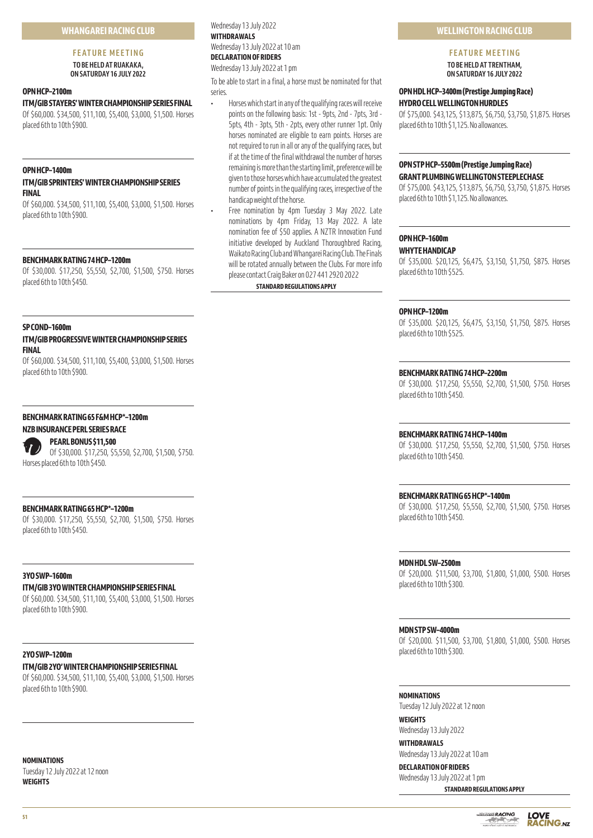# **FEATURE MEETING**

**TO BE HELD AT RUAKAKA, ON SATURDAY 16 JULY 2022** 

# **OPN HCP–2100m**

# **ITM/GIB STAYERS' WINTER CHAMPIONSHIP SERIES FINAL**

Of \$60,000. \$34,500, \$11,100, \$5,400, \$3,000, \$1,500. Horses placed 6th to 10th \$900.

#### **OPN HCP–1400m**

# **ITM/GIB SPRINTERS' WINTER CHAMPIONSHIP SERIES FINAL**

Of \$60,000. \$34,500, \$11,100, \$5,400, \$3,000, \$1,500. Horses placed 6th to 10th \$900.

# **BENCHMARK RATING 74 HCP–1200m**

Of \$30,000. \$17,250, \$5,550, \$2,700, \$1,500, \$750. Horses placed 6th to 10th \$450.

#### **SP COND–1600m**

**ITM/GIB PROGRESSIVE WINTER CHAMPIONSHIP SERIES FINAL**

Of \$60,000. \$34,500, \$11,100, \$5,400, \$3,000, \$1,500. Horses placed 6th to 10th \$900.

#### **BENCHMARK RATING 65 F&M HCP\*–1200m**

# **NZB INSURANCE PERL SERIES RACE**



**PEARL BONUS \$11,500**

Of \$30,000. \$17,250, \$5,550, \$2,700, \$1,500, \$750. Horses placed 6th to 10th \$450.

# **BENCHMARK RATING 65 HCP\*–1200m**

Of \$30,000. \$17,250, \$5,550, \$2,700, \$1,500, \$750. Horses placed 6th to 10th \$450.

#### **3YO SWP–1600m**

# **ITM/GIB 3YO WINTER CHAMPIONSHIP SERIES FINAL**

Of \$60,000. \$34,500, \$11,100, \$5,400, \$3,000, \$1,500. Horses placed 6th to 10th \$900.

# **2YO SWP–1200m**

# **ITM/GIB 2YO' WINTER CHAMPIONSHIP SERIES FINAL**

Of \$60,000. \$34,500, \$11,100, \$5,400, \$3,000, \$1,500. Horses placed 6th to 10th \$900.

# **NOMINATIONS**

Tuesday 12 July 2022 at 12 noon **WEIGHTS**

Wednesday 13 July 2022 **WITHDRAWALS** Wednesday 13 July 2022 at 10 am **DECLARATION OF RIDERS** Wednesday 13 July 2022 at 1 pm

To be able to start in a final, a horse must be nominated for that series.

• Horses which start in any of the qualifying races will receive points on the following basis: 1st - 9pts, 2nd - 7pts, 3rd - 5pts, 4th - 3pts, 5th - 2pts, every other runner 1pt. Only horses nominated are eligible to earn points. Horses are not required to run in all or any of the qualifying races, but if at the time of the final withdrawal the number of horses remaining is more than the starting limit, preference will be given to those horses which have accumulated the greatest number of points in the qualifying races, irrespective of the handicap weight of the horse.

• Free nomination by 4pm Tuesday 3 May 2022. Late nominations by 4pm Friday, 13 May 2022. A late nomination fee of \$50 applies. A NZTR Innovation Fund initiative developed by Auckland Thoroughbred Racing, Waikato Racing Club and Whangarei Racing Club. The Finals will be rotated annually between the Clubs. For more info please contact Craig Baker on 027 441 2920 2022

# **STANDARD REGULATIONS APPLY**

# **WELLINGTON RACING CLUB**

# **FEATURE MEETING TO BE HELD AT TRENTHAM,**

**ON SATURDAY 16 JULY 2022** 

# **OPN HDL HCP–3400m (Prestige Jumping Race) HYDRO CELL WELLINGTON HURDLES**

Of \$75,000. \$43,125, \$13,875, \$6,750, \$3,750, \$1,875. Horses placed 6th to 10th \$1,125. No allowances.

# **OPN STP HCP–5500m (Prestige Jumping Race) GRANT PLUMBING WELLINGTON STEEPLECHASE**

Of \$75,000. \$43,125, \$13,875, \$6,750, \$3,750, \$1,875. Horses placed 6th to 10th \$1,125. No allowances.

# **OPN HCP–1600m**

#### **WHYTE HANDICAP**

Of \$35,000. \$20,125, \$6,475, \$3,150, \$1,750, \$875. Horses placed 6th to 10th \$525.

#### **OPN HCP–1200m**

Of \$35,000. \$20,125, \$6,475, \$3,150, \$1,750, \$875. Horses placed 6th to 10th \$525.

#### **BENCHMARK RATING 74 HCP–2200m**

Of \$30,000. \$17,250, \$5,550, \$2,700, \$1,500, \$750. Horses placed 6th to 10th \$450.

#### **BENCHMARK RATING 74 HCP–1400m**

Of \$30,000. \$17,250, \$5,550, \$2,700, \$1,500, \$750. Horses placed 6th to 10th \$450.

#### **BENCHMARK RATING 65 HCP\*–1400m**

Of \$30,000. \$17,250, \$5,550, \$2,700, \$1,500, \$750. Horses placed 6th to 10th \$450.

#### **MDN HDL SW–2500m**

Of \$20,000. \$11,500, \$3,700, \$1,800, \$1,000, \$500. Horses placed 6th to 10th \$300.

#### **MDN STP SW–4000m**

Of \$20,000. \$11,500, \$3,700, \$1,800, \$1,000, \$500. Horses placed 6th to 10th \$300.

#### **NOMINATIONS**

Tuesday 12 July 2022 at 12 noon **WEIGHTS**

Wednesday 13 July 2022

**WITHDRAWALS** Wednesday 13 July 2022 at 10 am

# **DECLARATION OF RIDERS**

Wednesday 13 July 2022 at 1 pm **STANDARD REGULATIONS APPLY**

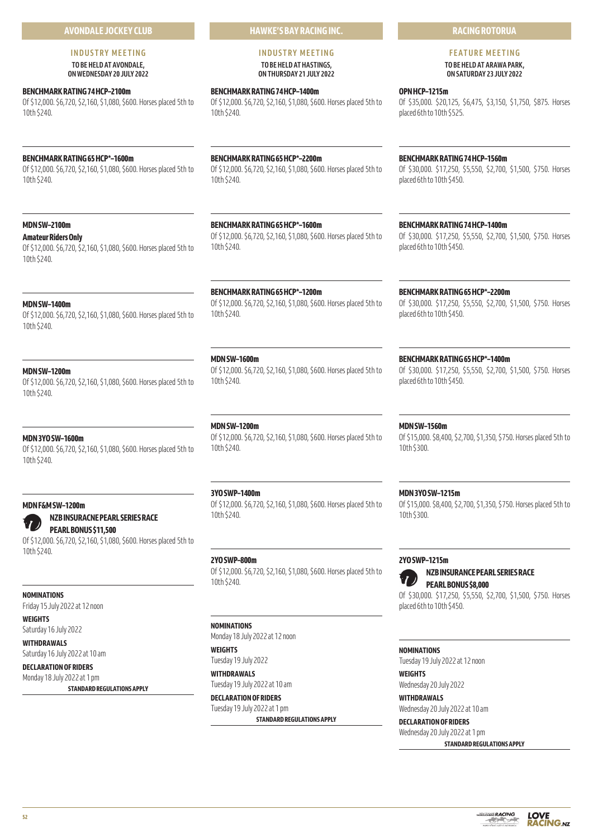# **AVONDALE JOCKEY CLUB**

# **INDUSTRY MEETING TO BE HELD AT AVONDALE, ON WEDNESDAY 20 JULY 2022**

# **BENCHMARK RATING 74 HCP–2100m**

Of \$12,000. \$6,720, \$2,160, \$1,080, \$600. Horses placed 5th to 10th \$240.

# **BENCHMARK RATING 65 HCP\*–1600m**

Of \$12,000. \$6,720, \$2,160, \$1,080, \$600. Horses placed 5th to 10th \$240.

# **MDN SW–2100m**

#### **Amateur Riders Only**

Of \$12,000. \$6,720, \$2,160, \$1,080, \$600. Horses placed 5th to 10th \$240.

# **MDN SW–1400m**

Of \$12,000. \$6,720, \$2,160, \$1,080, \$600. Horses placed 5th to 10th \$240.

# **MDN SW–1200m**

Of \$12,000. \$6,720, \$2,160, \$1,080, \$600. Horses placed 5th to 10th \$240.

# **MDN 3YO SW–1600m**

Of \$12,000. \$6,720, \$2,160, \$1,080, \$600. Horses placed 5th to 10th \$240.

# **MDN F&M SW–1200m**

# **NZB INSURACNE PEARL SERIES RACE**

**PEARL BONUS \$11,500** Of \$12,000. \$6,720, \$2,160, \$1,080, \$600. Horses placed 5th to 10th \$240.

# **NOMINATIONS**

Friday 15 July 2022 at 12 noon

**WEIGHTS**

Saturday 16 July 2022

**WITHDRAWALS** Saturday 16 July 2022 at 10 am

# **DECLARATION OF RIDERS**

Monday 18 July 2022 at 1 pm **STANDARD REGULATIONS APPLY** **HAWKE'S BAY RACING INC.**

## **INDUSTRY MEETING TO BE HELD AT HASTINGS, ON THURSDAY 21 JULY 2022**

**BENCHMARK RATING 74 HCP–1400m** Of \$12,000. \$6,720, \$2,160, \$1,080, \$600. Horses placed 5th to 10th \$240.

# **BENCHMARK RATING 65 HCP\*–2200m**

Of \$12,000. \$6,720, \$2,160, \$1,080, \$600. Horses placed 5th to 10th \$240.

# **BENCHMARK RATING 65 HCP\*–1600m**

Of \$12,000. \$6,720, \$2,160, \$1,080, \$600. Horses placed 5th to 10th \$240.

# **BENCHMARK RATING 65 HCP\*–1200m**

Of \$12,000. \$6,720, \$2,160, \$1,080, \$600. Horses placed 5th to 10th \$240.

# **MDN SW–1600m**

Of \$12,000. \$6,720, \$2,160, \$1,080, \$600. Horses placed 5th to 10th \$240.

# **MDN SW–1200m**

Of \$12,000. \$6,720, \$2,160, \$1,080, \$600. Horses placed 5th to 10th \$240.

# **3YO SWP–1400m**

Of \$12,000. \$6,720, \$2,160, \$1,080, \$600. Horses placed 5th to 10th \$240.

# **2YO SWP–800m**

Of \$12,000. \$6,720, \$2,160, \$1,080, \$600. Horses placed 5th to 10th \$240.

# **NOMINATIONS**

Monday 18 July 2022 at 12 noon

#### **WEIGHTS** Tuesday 19 July 2022

**WITHDRAWALS** Tuesday 19 July 2022 at 10 am

**DECLARATION OF RIDERS** Tuesday 19 July 2022 at 1 pm

**STANDARD REGULATIONS APPLY**

# **RACING ROTORUA**

#### **FEATURE MEETING TO BE HELD AT ARAWA PARK, ON SATURDAY 23 JULY 2022**

**OPN HCP–1215m** Of \$35,000. \$20,125, \$6,475, \$3,150, \$1,750, \$875. Horses placed 6th to 10th \$525.

# **BENCHMARK RATING 74 HCP–1560m**

Of \$30,000. \$17,250, \$5,550, \$2,700, \$1,500, \$750. Horses placed 6th to 10th \$450.

**BENCHMARK RATING 74 HCP–1400m**

Of \$30,000. \$17,250, \$5,550, \$2,700, \$1,500, \$750. Horses placed 6th to 10th \$450.

# **BENCHMARK RATING 65 HCP\*–2200m**

Of \$30,000. \$17,250, \$5,550, \$2,700, \$1,500, \$750. Horses placed 6th to 10th \$450.

# **BENCHMARK RATING 65 HCP\*–1400m**

Of \$30,000. \$17,250, \$5,550, \$2,700, \$1,500, \$750. Horses placed 6th to 10th \$450.

# **MDN SW–1560m**

Of \$15,000. \$8,400, \$2,700, \$1,350, \$750. Horses placed 5th to 10th \$300.

# **MDN 3YO SW–1215m**

Of \$15,000. \$8,400, \$2,700, \$1,350, \$750. Horses placed 5th to 10th \$300.

# **2YO SWP–1215m**

# **NZB INSURANCE PEARL SERIES RACE PEARL BONUS \$8,000**

Of \$30,000. \$17,250, \$5,550, \$2,700, \$1,500, \$750. Horses placed 6th to 10th \$450.

#### **NOMINATIONS**

Tuesday 19 July 2022 at 12 noon **WEIGHTS**

Wednesday 20 July 2022

# **WITHDRAWALS** Wednesday 20 July 2022 at 10 am

**DECLARATION OF RIDERS** Wednesday 20 July 2022 at 1 pm



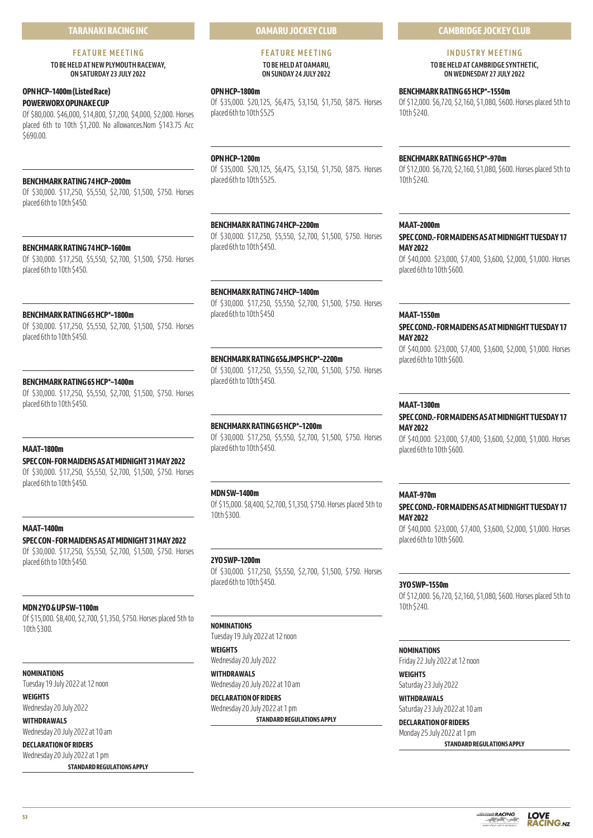# **TARANAKI RACING INC**

# **FEATURE MEETING**

**TO BE HELD AT NEW PLYMOUTH RACEWAY, ON SATURDAY 23 JULY 2022** 

# **OPN HCP–1400m (Listed Race) POWERWORX OPUNAKE CUP**

Of \$80,000. \$46,000, \$14,800, \$7,200, \$4,000, \$2,000. Horses placed 6th to 10th \$1,200. No allowances.Nom \$143.75 Acc \$690.00

# **BENCHMARK RATING 74 HCP–2000m**

Of \$30,000. \$17,250, \$5,550, \$2,700, \$1,500, \$750. Horses placed 6th to 10th \$450.

# **BENCHMARK RATING 74 HCP–1600m**

Of \$30,000. \$17,250, \$5,550, \$2,700, \$1,500, \$750. Horses placed 6th to 10th \$450.

# **BENCHMARK RATING 65 HCP\*–1800m**

Of \$30,000. \$17,250, \$5,550, \$2,700, \$1,500, \$750. Horses placed 6th to 10th \$450.

# **BENCHMARK RATING 65 HCP\*–1400m**

Of \$30,000. \$17,250, \$5,550, \$2,700, \$1,500, \$750. Horses placed 6th to 10th \$450.

# **MAAT–1800m**

# **SPEC CON- FOR MAIDENS AS AT MIDNIGHT 31 MAY 2022**

Of \$30,000. \$17,250, \$5,550, \$2,700, \$1,500, \$750. Horses placed 6th to 10th \$450.

# **MAAT–1400m**

**SPEC CON - FOR MAIDENS AS AT MIDNIGHT 31 MAY 2022** Of \$30,000. \$17,250, \$5,550, \$2,700, \$1,500, \$750. Horses placed 6th to 10th \$450.

#### **MDN 2YO & UP SW–1100m**

Of \$15,000. \$8,400, \$2,700, \$1,350, \$750. Horses placed 5th to 10th \$300.

#### **NOMINATIONS**

Tuesday 19 July 2022 at 12 noon **WEIGHTS**

Wednesday 20 July 2022

# **WITHDRAWALS**

Wednesday 20 July 2022 at 10 am **DECLARATION OF RIDERS**

Wednesday 20 July 2022 at 1 pm **STANDARD REGULATIONS APPLY**

# **OAMARU JOCKEY CLUB**

# **FEATURE MEETING TO BE HELD AT OAMARU, ON SUNDAY 24 JULY 2022**

#### **OPN HCP–1800m**

Of \$35,000. \$20,125, \$6,475, \$3,150, \$1,750, \$875. Horses placed 6th to 10th \$525

# **OPN HCP–1200m**

Of \$35,000. \$20,125, \$6,475, \$3,150, \$1,750, \$875. Horses placed 6th to 10th \$525.

# **BENCHMARK RATING 74 HCP–2200m**

Of \$30,000. \$17,250, \$5,550, \$2,700, \$1,500, \$750. Horses placed 6th to 10th \$450.

#### **BENCHMARK RATING 74 HCP–1400m**

Of \$30,000. \$17,250, \$5,550, \$2,700, \$1,500, \$750. Horses placed 6th to 10th \$450

# **BENCHMARK RATING 65&JMPS HCP\*–2200m**

Of \$30,000. \$17,250, \$5,550, \$2,700, \$1,500, \$750. Horses placed 6th to 10th \$450.

#### **BENCHMARK RATING 65 HCP\*–1200m**

Of \$30,000. \$17,250, \$5,550, \$2,700, \$1,500, \$750. Horses placed 6th to 10th \$450.

#### **MDN SW–1400m**

Of \$15,000. \$8,400, \$2,700, \$1,350, \$750. Horses placed 5th to 10th \$300.

#### **2YO SWP–1200m**

Of \$30,000. \$17,250, \$5,550, \$2,700, \$1,500, \$750. Horses placed 6th to 10th \$450.

# **NOMINATIONS**

Tuesday 19 July 2022 at 12 noon

# **WEIGHTS** Wednesday 20 July 2022

**WITHDRAWALS** Wednesday 20 July 2022 at 10 am

# **DECLARATION OF RIDERS** Wednesday 20 July 2022 at 1 pm

**STANDARD REGULATIONS APPLY**

# **CAMBRIDGE JOCKEY CLUB**

# **INDUSTRY MEETING**

**TO BE HELD AT CAMBRIDGE SYNTHETIC, ON WEDNESDAY 27 JULY 2022** 

# **BENCHMARK RATING 65 HCP\*–1550m**

Of \$12,000. \$6,720, \$2,160, \$1,080, \$600. Horses placed 5th to 10th \$240.

## **BENCHMARK RATING 65 HCP\*–970m**

Of \$12,000. \$6,720, \$2,160, \$1,080, \$600. Horses placed 5th to 10th \$240.

#### **MAAT–2000m**

**SPEC COND.- FOR MAIDENS AS AT MIDNIGHT TUESDAY 17 MAY 2022**

Of \$40,000. \$23,000, \$7,400, \$3,600, \$2,000, \$1,000. Horses placed 6th to 10th \$600.

# **MAAT–1550m**

# **SPEC COND.- FOR MAIDENS AS AT MIDNIGHT TUESDAY 17 MAY 2022**

Of \$40,000. \$23,000, \$7,400, \$3,600, \$2,000, \$1,000. Horses placed 6th to 10th \$600.

#### **MAAT–1300m**

#### **SPEC COND.- FOR MAIDENS AS AT MIDNIGHT TUESDAY 17 MAY 2022**

Of \$40,000. \$23,000, \$7,400, \$3,600, \$2,000, \$1,000. Horses placed 6th to 10th \$600.

# **MAAT–970m**

# **SPEC COND.- FOR MAIDENS AS AT MIDNIGHT TUESDAY 17 MAY 2022**

Of \$40,000. \$23,000, \$7,400, \$3,600, \$2,000, \$1,000. Horses placed 6th to 10th \$600.

## **3YO SWP–1550m**

Of \$12,000. \$6,720, \$2,160, \$1,080, \$600. Horses placed 5th to 10th \$240.

#### **NOMINATIONS**

Friday 22 July 2022 at 12 noon

# **WEIGHTS** Saturday 23 July 2022

**WITHDRAWALS** Saturday 23 July 2022 at 10 am

# **DECLARATION OF RIDERS** Monday 25 July 2022 at 1 pm

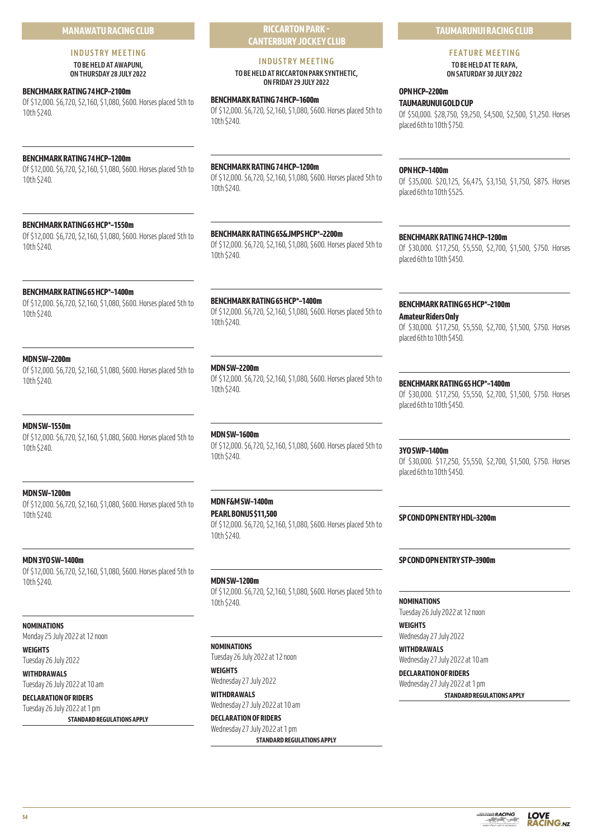# **MANAWATU RACING CLUB**

# **INDUSTRY MEETING TO BE HELD AT AWAPUNI,**

**ON THURSDAY 28 JULY 2022** 

# **BENCHMARK RATING 74 HCP–2100m**

Of \$12,000. \$6,720, \$2,160, \$1,080, \$600. Horses placed 5th to 10th \$240.

# **BENCHMARK RATING 74 HCP–1200m**

Of \$12,000. \$6,720, \$2,160, \$1,080, \$600. Horses placed 5th to 10th \$240.

# **BENCHMARK RATING 65 HCP\*–1550m**

Of \$12,000. \$6,720, \$2,160, \$1,080, \$600. Horses placed 5th to 10th \$240.

# **BENCHMARK RATING 65 HCP\*–1400m**

Of \$12,000. \$6,720, \$2,160, \$1,080, \$600. Horses placed 5th to 10th \$240.

# **MDN SW–2200m**

Of \$12,000. \$6,720, \$2,160, \$1,080, \$600. Horses placed 5th to 10th \$240.

# **MDN SW–1550m**

Of \$12,000. \$6,720, \$2,160, \$1,080, \$600. Horses placed 5th to 10th \$240.

# **MDN SW–1200m**

Of \$12,000. \$6,720, \$2,160, \$1,080, \$600. Horses placed 5th to 10th \$240.

# **MDN 3YO SW–1400m**

Of \$12,000. \$6,720, \$2,160, \$1,080, \$600. Horses placed 5th to 10th \$240.

# **NOMINATIONS**

Monday 25 July 2022 at 12 noon

**WEIGHTS** Tuesday 26 July 2022

**WITHDRAWALS** Tuesday 26 July 2022 at 10 am

**DECLARATION OF RIDERS** Tuesday 26 July 2022 at 1 pm

**STANDARD REGULATIONS APPLY**

**RICCARTON PARK - CANTERBURY JOCKEY CLUB**

# **INDUSTRY MEETING**

**TO BE HELD AT RICCARTON PARK SYNTHETIC, ON FRIDAY 29 JULY 2022** 

# **BENCHMARK RATING 74 HCP–1600m**

Of \$12,000. \$6,720, \$2,160, \$1,080, \$600. Horses placed 5th to 10th \$240.

# **BENCHMARK RATING 74 HCP–1200m**

Of \$12,000. \$6,720, \$2,160, \$1,080, \$600. Horses placed 5th to 10th \$240.

**BENCHMARK RATING 65&JMPS HCP\*–2200m** Of \$12,000. \$6,720, \$2,160, \$1,080, \$600. Horses placed 5th to 10th \$240.

**BENCHMARK RATING 65 HCP\*–1400m** Of \$12,000. \$6,720, \$2,160, \$1,080, \$600. Horses placed 5th to 10th \$240.

# **MDN SW–2200m**

Of \$12,000. \$6,720, \$2,160, \$1,080, \$600. Horses placed 5th to 10th \$240.

# **MDN SW–1600m**

Of \$12,000. \$6,720, \$2,160, \$1,080, \$600. Horses placed 5th to 10th \$240.

# **MDN F&M SW–1400m**

**PEARL BONUS \$11,500** Of \$12,000. \$6,720, \$2,160, \$1,080, \$600. Horses placed 5th to 10th \$240.

**MDN SW–1200m** Of \$12,000. \$6,720, \$2,160, \$1,080, \$600. Horses placed 5th to 10th \$240.

**STANDARD REGULATIONS APPLY**

# **NOMINATIONS**

Tuesday 26 July 2022 at 12 noon

**WEIGHTS** Wednesday 27 July 2022 **WITHDRAWALS** Wednesday 27 July 2022 at 10 am

**DECLARATION OF RIDERS** Wednesday 27 July 2022 at 1 pm

**TAUMARUNUI RACING CLUB**

**FEATURE MEETING TO BE HELD AT TE RAPA,** 

**ON SATURDAY 30 JULY 2022** 

# **OPN HCP–2200m TAUMARUNUI GOLD CUP**

Of \$50,000. \$28,750, \$9,250, \$4,500, \$2,500, \$1,250. Horses placed 6th to 10th \$750.

# **OPN HCP–1400m**

Of \$35,000. \$20,125, \$6,475, \$3,150, \$1,750, \$875. Horses placed 6th to 10th \$525.

# **BENCHMARK RATING 74 HCP–1200m**

Of \$30,000. \$17,250, \$5,550, \$2,700, \$1,500, \$750. Horses placed 6th to 10th \$450.

# **BENCHMARK RATING 65 HCP\*–2100m**

**Amateur Riders Only** Of \$30,000. \$17,250, \$5,550, \$2,700, \$1,500, \$750. Horses placed 6th to 10th \$450.

# **BENCHMARK RATING 65 HCP\*–1400m**

Of \$30,000. \$17,250, \$5,550, \$2,700, \$1,500, \$750. Horses placed 6th to 10th \$450.

# **3YO SWP–1400m**

Of \$30,000. \$17,250, \$5,550, \$2,700, \$1,500, \$750. Horses placed 6th to 10th \$450.

**SP COND OPN ENTRY HDL–3200m**

# **SP COND OPN ENTRY STP–3900m**

**NOMINATIONS** Tuesday 26 July 2022 at 12 noon

**WEIGHTS** Wednesday 27 July 2022

**WITHDRAWALS** Wednesday 27 July 2022 at 10 am **DECLARATION OF RIDERS**

Wednesday 27 July 2022 at 1 pm **STANDARD REGULATIONS APPLY**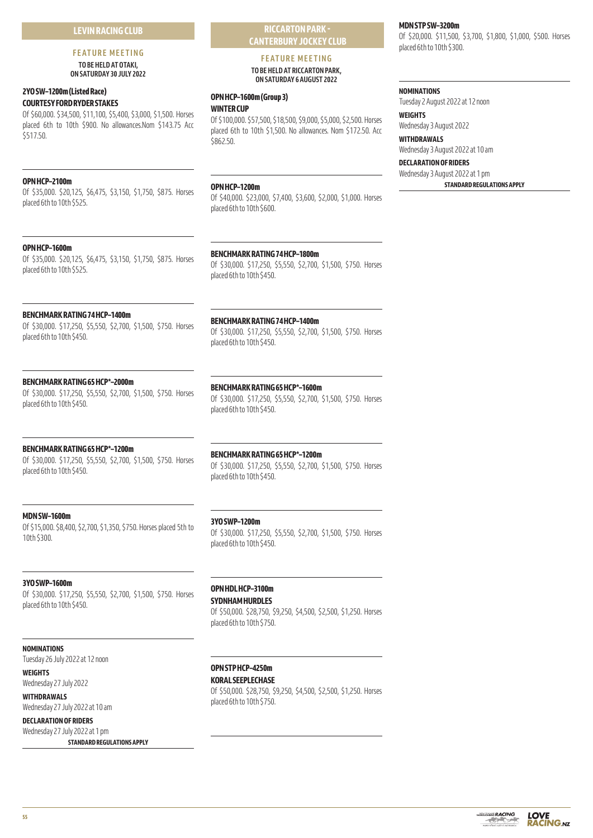# **LEVIN RACING CLUB**

# **FEATURE MEETING**

**TO BE HELD AT OTAKI, ON SATURDAY 30 JULY 2022** 

# **2YO SW–1200m (Listed Race) COURTESY FORD RYDER STAKES**

Of \$60,000. \$34,500, \$11,100, \$5,400, \$3,000, \$1,500. Horses placed 6th to 10th \$900. No allowances.Nom \$143.75 Acc \$517.50.

# **OPN HCP–2100m**

Of \$35,000. \$20,125, \$6,475, \$3,150, \$1,750, \$875. Horses placed 6th to 10th \$525.

# **OPN HCP–1600m**

Of \$35,000. \$20,125, \$6,475, \$3,150, \$1,750, \$875. Horses placed 6th to 10th \$525.

# **BENCHMARK RATING 74 HCP–1400m**

Of \$30,000. \$17,250, \$5,550, \$2,700, \$1,500, \$750. Horses placed 6th to 10th \$450.

# **BENCHMARK RATING 65 HCP\*–2000m**

Of \$30,000. \$17,250, \$5,550, \$2,700, \$1,500, \$750. Horses placed 6th to 10th \$450.

# **BENCHMARK RATING 65 HCP\*–1200m**

Of \$30,000. \$17,250, \$5,550, \$2,700, \$1,500, \$750. Horses placed 6th to 10th \$450.

# **MDN SW–1600m**

Of \$15,000. \$8,400, \$2,700, \$1,350, \$750. Horses placed 5th to 10th \$300.

# **3YO SWP–1200m**

placed 6th to 10th \$450.

Of \$30,000. \$17,250, \$5,550, \$2,700, \$1,500, \$750. Horses placed 6th to 10th \$450.

# **3YO SWP–1600m**

Of \$30,000. \$17,250, \$5,550, \$2,700, \$1,500, \$750. Horses placed 6th to 10th \$450.

# **OPN HDL HCP–3100m**

## **SYDNHAM HURDLES**

Of \$50,000. \$28,750, \$9,250, \$4,500, \$2,500, \$1,250. Horses placed 6th to 10th \$750.

#### **NOMINATIONS**

Tuesday 26 July 2022 at 12 noon

# **WEIGHTS**

Wednesday 27 July 2022 **WITHDRAWALS**

Wednesday 27 July 2022 at 10 am **DECLARATION OF RIDERS**

Wednesday 27 July 2022 at 1 pm **STANDARD REGULATIONS APPLY**

# **OPN STP HCP–4250m KORAL SEEPLECHASE**

Of \$50,000. \$28,750, \$9,250, \$4,500, \$2,500, \$1,250. Horses placed 6th to 10th \$750.

# **MDN STP SW–3200m**

Of \$20,000. \$11,500, \$3,700, \$1,800, \$1,000, \$500. Horses placed 6th to 10th \$300.

## **NOMINATIONS**

Tuesday 2 August 2022 at 12 noon

# **WEIGHTS**

Wednesday 3 August 2022 **WITHDRAWALS**

Wednesday 3 August 2022 at 10 am

# **DECLARATION OF RIDERS** Wednesday 3 August 2022 at 1 pm

**STANDARD REGULATIONS APPLY**

# **BENCHMARK RATING 74 HCP–1400m**

**BENCHMARK RATING 74 HCP–1800m**

**OPN HCP–1600m (Group 3)**

**WINTER CUP**

**OPN HCP–1200m**

placed 6th to 10th \$600.

placed 6th to 10th \$450.

\$862.50.

Of \$30,000. \$17,250, \$5,550, \$2,700, \$1,500, \$750. Horses placed 6th to 10th \$450.

**RICCARTON PARK - CANTERBURY JOCKEY CLUB FEATURE MEETING TO BE HELD AT RICCARTON PARK, ON SATURDAY 6 AUGUST 2022** 

Of \$100,000. \$57,500, \$18,500, \$9,000, \$5,000, \$2,500. Horses placed 6th to 10th \$1,500. No allowances. Nom \$172.50. Acc

Of \$40,000. \$23,000, \$7,400, \$3,600, \$2,000, \$1,000. Horses

Of \$30,000. \$17,250, \$5,550, \$2,700, \$1,500, \$750. Horses

#### **BENCHMARK RATING 65 HCP\*–1600m**

**BENCHMARK RATING 65 HCP\*–1200m**

Of \$30,000. \$17,250, \$5,550, \$2,700, \$1,500, \$750. Horses placed 6th to 10th \$450.

Of \$30,000. \$17,250, \$5,550, \$2,700, \$1,500, \$750. Horses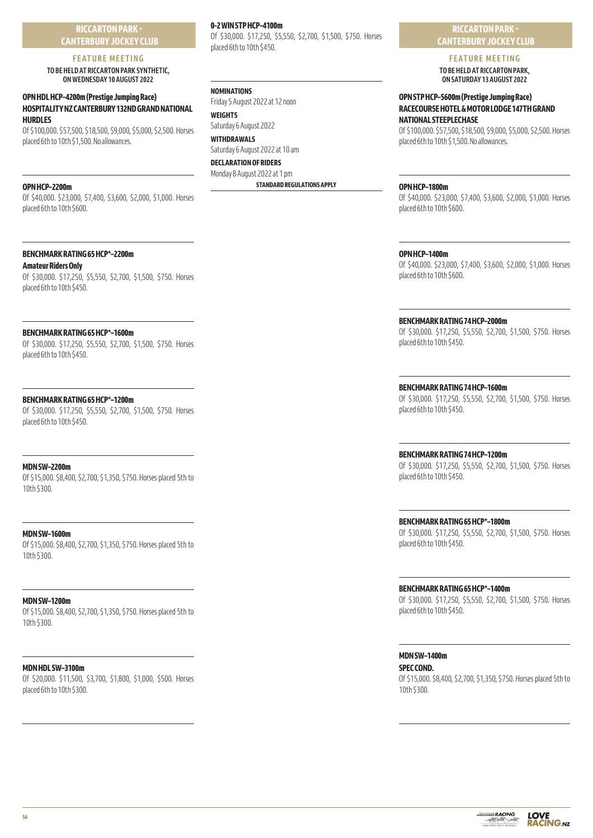**RICCARTON PARK - CANTERBURY JOCKEY CLUB**

# **FEATURE MEETING**

**TO BE HELD AT RICCARTON PARK SYNTHETIC, ON WEDNESDAY 10 AUGUST 2022** 

# **OPN HDL HCP–4200m (Prestige Jumping Race) HOSPITALITY NZ CANTERBURY 132ND GRAND NATIONAL HURDLES**

Of \$100,000. \$57,500, \$18,500, \$9,000, \$5,000, \$2,500. Horses placed 6th to 10th \$1,500. No allowances.

# **OPN HCP–2200m**

Of \$40,000. \$23,000, \$7,400, \$3,600, \$2,000, \$1,000. Horses placed 6th to 10th \$600.

## **BENCHMARK RATING 65 HCP\*–2200m**

# **Amateur Riders Only**

Of \$30,000. \$17,250, \$5,550, \$2,700, \$1,500, \$750. Horses placed 6th to 10th \$450.

# **BENCHMARK RATING 65 HCP\*–1600m**

Of \$30,000. \$17,250, \$5,550, \$2,700, \$1,500, \$750. Horses placed 6th to 10th \$450.

## **BENCHMARK RATING 65 HCP\*–1200m**

Of \$30,000. \$17,250, \$5,550, \$2,700, \$1,500, \$750. Horses placed 6th to 10th \$450.

**MDN SW–2200m**

Of \$15,000. \$8,400, \$2,700, \$1,350, \$750. Horses placed 5th to 10th \$300.

**MDN SW–1600m** Of \$15,000. \$8,400, \$2,700, \$1,350, \$750. Horses placed 5th to 10th \$300.

#### **MDN SW–1200m**

Of \$15,000. \$8,400, \$2,700, \$1,350, \$750. Horses placed 5th to 10th \$300.

# **MDN HDL SW–3100m**

Of \$20,000. \$11,500, \$3,700, \$1,800, \$1,000, \$500. Horses placed 6th to 10th \$300.

#### **0-2 WIN STP HCP–4100m**

Of \$30,000. \$17,250, \$5,550, \$2,700, \$1,500, \$750. Horses placed 6th to 10th \$450.

#### **NOMINATIONS**

Friday 5 August 2022 at 12 noon **WEIGHTS**

Saturday 6 August 2022

**WITHDRAWALS** Saturday 6 August 2022 at 10 am

**DECLARATION OF RIDERS** Monday 8 August 2022 at 1 pm

**STANDARD REGULATIONS APPLY**

# **RICCARTON PARK - CANTERBURY JOCKEY CLUB**

# **FEATURE MEETING**

**TO BE HELD AT RICCARTON PARK, ON SATURDAY 13 AUGUST 2022** 

# **OPN STP HCP–5600m (Prestige Jumping Race) RACECOURSE HOTEL & MOTOR LODGE 147TH GRAND NATIONAL STEEPLECHASE**

Of \$100,000. \$57,500, \$18,500, \$9,000, \$5,000, \$2,500. Horses placed 6th to 10th \$1,500. No allowances.

#### **OPN HCP–1800m**

Of \$40,000. \$23,000, \$7,400, \$3,600, \$2,000, \$1,000. Horses placed 6th to 10th \$600.

#### **OPN HCP–1400m**

Of \$40,000. \$23,000, \$7,400, \$3,600, \$2,000, \$1,000. Horses placed 6th to 10th \$600.

#### **BENCHMARK RATING 74 HCP–2000m**

Of \$30,000. \$17,250, \$5,550, \$2,700, \$1,500, \$750. Horses placed 6th to 10th \$450.

#### **BENCHMARK RATING 74 HCP–1600m**

Of \$30,000. \$17,250, \$5,550, \$2,700, \$1,500, \$750. Horses placed 6th to 10th \$450.

**BENCHMARK RATING 74 HCP–1200m**

Of \$30,000. \$17,250, \$5,550, \$2,700, \$1,500, \$750. Horses placed 6th to 10th \$450.

# **BENCHMARK RATING 65 HCP\*–1800m**

Of \$30,000. \$17,250, \$5,550, \$2,700, \$1,500, \$750. Horses placed 6th to 10th \$450.

#### **BENCHMARK RATING 65 HCP\*–1400m**

Of \$30,000. \$17,250, \$5,550, \$2,700, \$1,500, \$750. Horses placed 6th to 10th \$450.

#### **MDN SW–1400m**

**SPEC COND.** Of \$15,000. \$8,400, \$2,700, \$1,350, \$750. Horses placed 5th to 10th \$300.



**56**